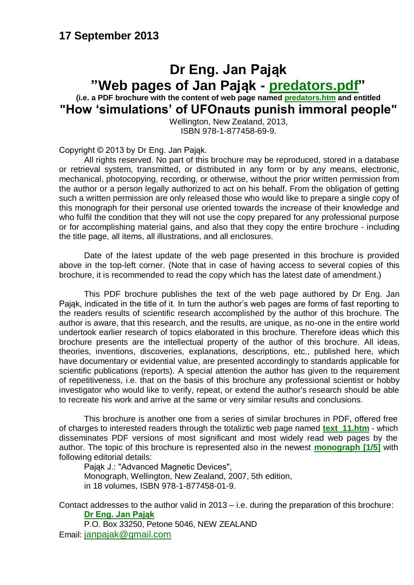#### **17 September 2013**

#### **Dr Eng. Jan Pająk "Web pages of Jan Pająk - [predators.pdf"](http://totalizm.com.pl/predators.pdf)**

**(i.e. a PDF brochure with the content of web page named [predators.htm](http://totalizm.com.pl/predators.htm) and entitled "How "simulations" of UFOnauts punish immoral people"**

Wellington, New Zealand, 2013, ISBN 978-1-877458-69-9.

Copyright © 2013 by Dr Eng. Jan Pająk.

All rights reserved. No part of this brochure may be reproduced, stored in a database or retrieval system, transmitted, or distributed in any form or by any means, electronic, mechanical, photocopying, recording, or otherwise, without the prior written permission from the author or a person legally authorized to act on his behalf. From the obligation of getting such a written permission are only released those who would like to prepare a single copy of this monograph for their personal use oriented towards the increase of their knowledge and who fulfil the condition that they will not use the copy prepared for any professional purpose or for accomplishing material gains, and also that they copy the entire brochure - including the title page, all items, all illustrations, and all enclosures.

Date of the latest update of the web page presented in this brochure is provided above in the top-left corner. (Note that in case of having access to several copies of this brochure, it is recommended to read the copy which has the latest date of amendment.)

This PDF brochure publishes the text of the web page authored by Dr Eng. Jan Pająk, indicated in the title of it. In turn the author's web pages are forms of fast reporting to the readers results of scientific research accomplished by the author of this brochure. The author is aware, that this research, and the results, are unique, as no-one in the entire world undertook earlier research of topics elaborated in this brochure. Therefore ideas which this brochure presents are the intellectual property of the author of this brochure. All ideas, theories, inventions, discoveries, explanations, descriptions, etc., published here, which have documentary or evidential value, are presented accordingly to standards applicable for scientific publications (reports). A special attention the author has given to the requirement of repetitiveness, i.e. that on the basis of this brochure any professional scientist or hobby investigator who would like to verify, repeat, or extend the author's research should be able to recreate his work and arrive at the same or very similar results and conclusions.

This brochure is another one from a series of similar brochures in PDF, offered free of charges to interested readers through the totaliztic web page named **[text\\_11.htm](http://totalizm.com.pl/text_11.htm)** - which disseminates PDF versions of most significant and most widely read web pages by the author. The topic of this brochure is represented also in the newest **[monograph \[1/5\]](http://totalizm.com.pl/text_1_5.htm)** with following editorial details:

Pająk J.: "Advanced Magnetic Devices", Monograph, Wellington, New Zealand, 2007, 5th edition, in 18 volumes, ISBN 978-1-877458-01-9.

Contact addresses to the author valid in 2013 – i.e. during the preparation of this brochure: **[Dr Eng. Jan Pająk](http://images.google.co.nz/images?hl=en&q=Jan+Pajak&btnG=Search+Images&gbv=1)**

P.O. Box 33250, Petone 5046, NEW ZEALAND Email: [janpajak@gmail.com](mailto:%20janpajak@gmail.com)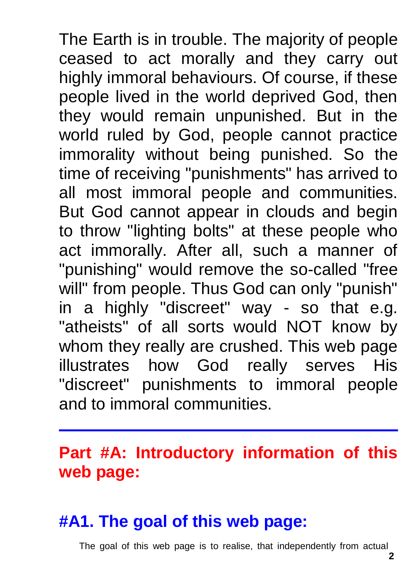The Earth is in trouble. The majority of people ceased to act morally and they carry out highly immoral behaviours. Of course, if these people lived in the world deprived God, then they would remain unpunished. But in the world ruled by God, people cannot practice immorality without being punished. So the time of receiving "punishments" has arrived to all most immoral people and communities. But God cannot appear in clouds and begin to throw "lighting bolts" at these people who act immorally. After all, such a manner of "punishing" would remove the so-called "free will" from people. Thus God can only "punish" in a highly "discreet" way - so that e.g. "atheists" of all sorts would NOT know by whom they really are crushed. This web page illustrates how God really serves His "discreet" punishments to immoral people and to immoral communities.

# **Part #A: Introductory information of this web page:**

## **#A1. The goal of this web page:**

The goal of this web page is to realise, that independently from actual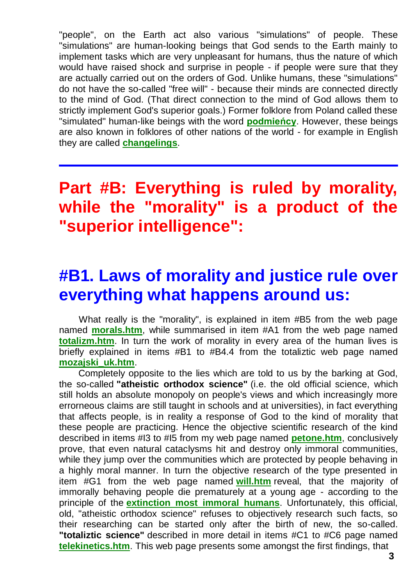"people", on the Earth act also various "simulations" of people. These "simulations" are human-looking beings that God sends to the Earth mainly to implement tasks which are very unpleasant for humans, thus the nature of which would have raised shock and surprise in people - if people were sure that they are actually carried out on the orders of God. Unlike humans, these "simulations" do not have the so-called "free will" - because their minds are connected directly to the mind of God. (That direct connection to the mind of God allows them to strictly implement God's superior goals.) Former folklore from Poland called these "simulated" human-like beings with the word **[podmieńcy](http://totalizm.com.pl/changelings.htm)**. However, these beings are also known in folklores of other nations of the world - for example in English they are called **[changelings](http://totalizm.com.pl/changelings.htm)**.

## **Part #B: Everything is ruled by morality, while the "morality" is a product of the "superior intelligence":**

#### **#B1. Laws of morality and justice rule over everything what happens around us:**

What really is the "morality", is explained in item #B5 from the web page named **[morals.htm](http://totalizm.com.pl/morals.htm)**, while summarised in item #A1 from the web page named **[totalizm.htm](http://totalizm.com.pl/totalizm.htm)**. In turn the work of morality in every area of the human lives is briefly explained in items #B1 to #B4.4 from the totaliztic web page named **[mozajski\\_uk.htm](http://totalizm.com.pl/mozajski_uk.htm)**.

Completely opposite to the lies which are told to us by the barking at God, the so-called **"atheistic orthodox science"** (i.e. the old official science, which still holds an absolute monopoly on people's views and which increasingly more errorneous claims are still taught in schools and at universities), in fact everything that affects people, is in reality a response of God to the kind of morality that these people are practicing. Hence the objective scientific research of the kind described in items #I3 to #I5 from my web page named **[petone.htm](http://totalizm.com.pl/petone.htm)**, conclusively prove, that even natural cataclysms hit and destroy only immoral communities, while they jump over the communities which are protected by people behaving in a highly moral manner. In turn the objective research of the type presented in item #G1 from the web page named **[will.htm](http://totalizm.com.pl/will.htm)** reveal, that the majority of immorally behaving people die prematurely at a young age - according to the principle of the **[extinction most immoral humans](http://totalizm.com.pl/changelings.htm)**. Unfortunately, this official, old, "atheistic orthodox science" refuses to objectively research such facts, so their researching can be started only after the birth of new, the so-called. **"totaliztic science"** described in more detail in items #C1 to #C6 page named **[telekinetics.htm](http://totalizm.com.pl/telekinetics.htm)**. This web page presents some amongst the first findings, that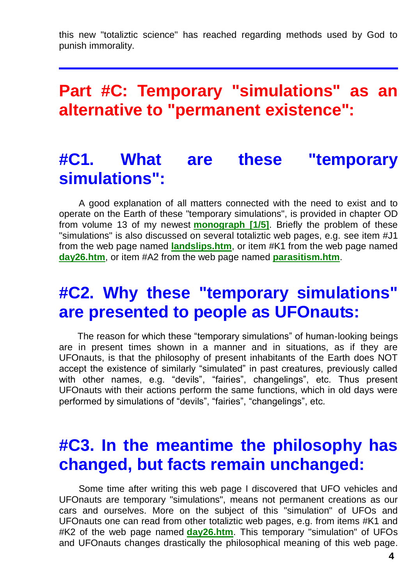this new "totaliztic science" has reached regarding methods used by God to punish immorality.

## **Part #C: Temporary "simulations" as an alternative to "permanent existence":**

## **#C1. What are these "temporary simulations":**

A good explanation of all matters connected with the need to exist and to operate on the Earth of these "temporary simulations", is provided in chapter OD from volume 13 of my newest **[monograph \[1/5\]](http://totalizm.com.pl/text_1_5.htm)**. Briefly the problem of these "simulations" is also discussed on several totaliztic web pages, e.g. see item #J1 from the web page named **[landslips.htm](http://totalizm.com.pl/landslips.htm)**, or item #K1 from the web page named **[day26.htm](http://totalizm.com.pl/day26.htm)**, or item #A2 from the web page named **[parasitism.htm](http://totalizm.com.pl/parasitism.htm)**.

#### **#C2. Why these "temporary simulations" are presented to people as UFOnauts:**

The reason for which these "temporary simulations" of human-looking beings are in present times shown in a manner and in situations, as if they are UFOnauts, is that the philosophy of present inhabitants of the Earth does NOT accept the existence of similarly "simulated" in past creatures, previously called with other names, e.g. "devils", "fairies", changelings", etc. Thus present UFOnauts with their actions perform the same functions, which in old days were performed by simulations of "devils", "fairies", "changelings", etc.

## **#C3. In the meantime the philosophy has changed, but facts remain unchanged:**

Some time after writing this web page I discovered that UFO vehicles and UFOnauts are temporary "simulations", means not permanent creations as our cars and ourselves. More on the subject of this "simulation" of UFOs and UFOnauts one can read from other totaliztic web pages, e.g. from items #K1 and #K2 of the web page named **[day26.htm](http://totalizm.com.pl/day26.htm)**. This temporary "simulation" of UFOs and UFOnauts changes drastically the philosophical meaning of this web page.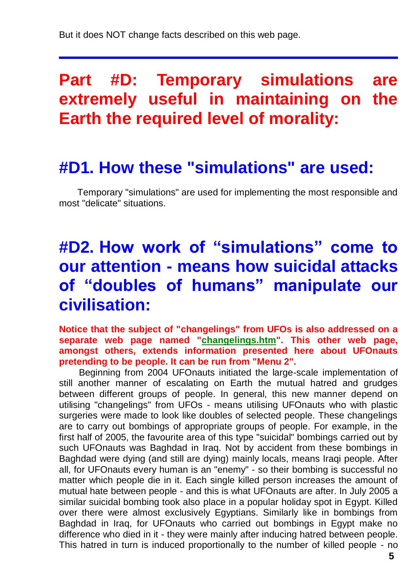## **Part #D: Temporary simulations are extremely useful in maintaining on the Earth the required level of morality:**

#### **#D1. How these "simulations" are used:**

Temporary "simulations" are used for implementing the most responsible and most "delicate" situations.

## **#D2. How work of "simulations" come to our attention - means how suicidal attacks of "doubles of humans" manipulate our civilisation:**

**Notice that the subject of "changelings" from UFOs is also addressed on a separate web page named ["changelings.htm"](http://totalizm.com.pl/changelings.htm). This other web page, amongst others, extends information presented here about UFOnauts pretending to be people. It can be run from "Menu 2".**

Beginning from 2004 UFOnauts initiated the large-scale implementation of still another manner of escalating on Earth the mutual hatred and grudges between different groups of people. In general, this new manner depend on utilising "changelings" from UFOs - means utilising UFOnauts who with plastic surgeries were made to look like doubles of selected people. These changelings are to carry out bombings of appropriate groups of people. For example, in the first half of 2005, the favourite area of this type "suicidal" bombings carried out by such UFOnauts was Baghdad in Iraq. Not by accident from these bombings in Baghdad were dying (and still are dying) mainly locals, means Iraqi people. After all, for UFOnauts every human is an "enemy" - so their bombing is successful no matter which people die in it. Each single killed person increases the amount of mutual hate between people - and this is what UFOnauts are after. In July 2005 a similar suicidal bombing took also place in a popular holiday spot in Egypt. Killed over there were almost exclusively Egyptians. Similarly like in bombings from Baghdad in Iraq, for UFOnauts who carried out bombings in Egypt make no difference who died in it - they were mainly after inducing hatred between people. This hatred in turn is induced proportionally to the number of killed people - no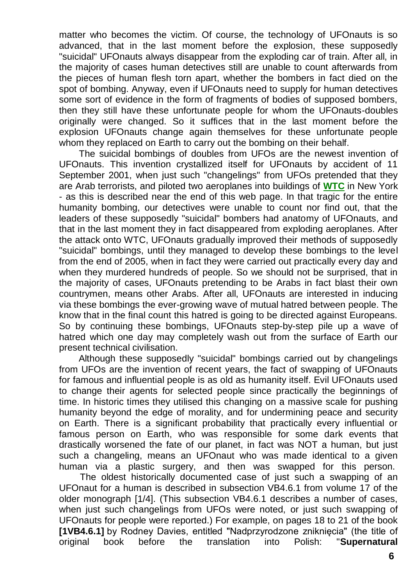matter who becomes the victim. Of course, the technology of UFOnauts is so advanced, that in the last moment before the explosion, these supposedly "suicidal" UFOnauts always disappear from the exploding car of train. After all, in the majority of cases human detectives still are unable to count afterwards from the pieces of human flesh torn apart, whether the bombers in fact died on the spot of bombing. Anyway, even if UFOnauts need to supply for human detectives some sort of evidence in the form of fragments of bodies of supposed bombers, then they still have these unfortunate people for whom the UFOnauts-doubles originally were changed. So it suffices that in the last moment before the explosion UFOnauts change again themselves for these unfortunate people whom they replaced on Earth to carry out the bombing on their behalf.

The suicidal bombings of doubles from UFOs are the newest invention of UFOnauts. This invention crystallized itself for UFOnauts by accident of 11 September 2001, when just such "changelings" from UFOs pretended that they are Arab terrorists, and piloted two aeroplanes into buildings of **[WTC](http://totalizm.com.pl/wtc.htm)** in New York - as this is described near the end of this web page. In that tragic for the entire humanity bombing, our detectives were unable to count nor find out, that the leaders of these supposedly "suicidal" bombers had anatomy of UFOnauts, and that in the last moment they in fact disappeared from exploding aeroplanes. After the attack onto WTC, UFOnauts gradually improved their methods of supposedly "suicidal" bombings, until they managed to develop these bombings to the level from the end of 2005, when in fact they were carried out practically every day and when they murdered hundreds of people. So we should not be surprised, that in the majority of cases, UFOnauts pretending to be Arabs in fact blast their own countrymen, means other Arabs. After all, UFOnauts are interested in inducing via these bombings the ever-growing wave of mutual hatred between people. The know that in the final count this hatred is going to be directed against Europeans. So by continuing these bombings, UFOnauts step-by-step pile up a wave of hatred which one day may completely wash out from the surface of Earth our present technical civilisation.

Although these supposedly "suicidal" bombings carried out by changelings from UFOs are the invention of recent years, the fact of swapping of UFOnauts for famous and influential people is as old as humanity itself. Evil UFOnauts used to change their agents for selected people since practically the beginnings of time. In historic times they utilised this changing on a massive scale for pushing humanity beyond the edge of morality, and for undermining peace and security on Earth. There is a significant probability that practically every influential or famous person on Earth, who was responsible for some dark events that drastically worsened the fate of our planet, in fact was NOT a human, but just such a changeling, means an UFOnaut who was made identical to a given human via a plastic surgery, and then was swapped for this person.

The oldest historically documented case of just such a swapping of an UFOnaut for a human is described in subsection VB4.6.1 from volume 17 of the older monograph [1/4]. (This subsection VB4.6.1 describes a number of cases, when just such changelings from UFOs were noted, or just such swapping of UFOnauts for people were reported.) For example, on pages 18 to 21 of the book **[1VB4.6.1]** by Rodney Davies, entitled "Nadprzyrodzone zniknięcia" (the title of original book before the translation into Polish: "**Supernatural**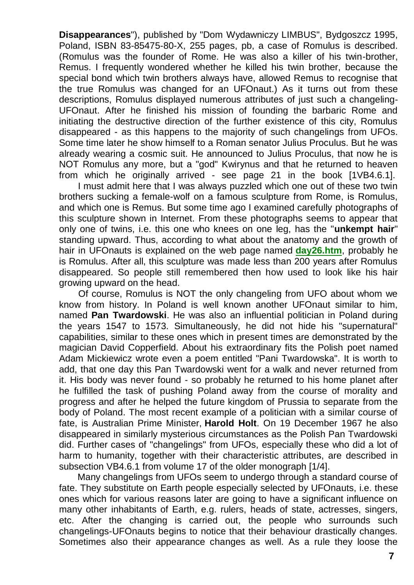**Disappearances**"), published by "Dom Wydawniczy LIMBUS", Bydgoszcz 1995, Poland, ISBN 83-85475-80-X, 255 pages, pb, a case of Romulus is described. (Romulus was the founder of Rome. He was also a killer of his twin-brother, Remus. I frequently wondered whether he killed his twin brother, because the special bond which twin brothers always have, allowed Remus to recognise that the true Romulus was changed for an UFOnaut.) As it turns out from these descriptions, Romulus displayed numerous attributes of just such a changeling-UFOnaut. After he finished his mission of founding the barbaric Rome and initiating the destructive direction of the further existence of this city, Romulus disappeared - as this happens to the majority of such changelings from UFOs. Some time later he show himself to a Roman senator Julius Proculus. But he was already wearing a cosmic suit. He announced to Julius Proculus, that now he is NOT Romulus any more, but a "god" Kwirynus and that he returned to heaven from which he originally arrived - see page 21 in the book [1VB4.6.1].

I must admit here that I was always puzzled which one out of these two twin brothers sucking a female-wolf on a famous sculpture from Rome, is Romulus, and which one is Remus. But some time ago I examined carefully photographs of this sculpture shown in Internet. From these photographs seems to appear that only one of twins, i.e. this one who knees on one leg, has the "**unkempt hair**" standing upward. Thus, according to what about the anatomy and the growth of hair in UFOnauts is explained on the web page named **[day26.htm](http://totalizm.com.pl/day26.htm)**, probably he is Romulus. After all, this sculpture was made less than 200 years after Romulus disappeared. So people still remembered then how used to look like his hair growing upward on the head.

Of course, Romulus is NOT the only changeling from UFO about whom we know from history. In Poland is well known another UFOnaut similar to him, named **Pan Twardowski**. He was also an influential politician in Poland during the years 1547 to 1573. Simultaneously, he did not hide his "supernatural" capabilities, similar to these ones which in present times are demonstrated by the magician David Copperfield. About his extraordinary fits the Polish poet named Adam Mickiewicz wrote even a poem entitled "Pani Twardowska". It is worth to add, that one day this Pan Twardowski went for a walk and never returned from it. His body was never found - so probably he returned to his home planet after he fulfilled the task of pushing Poland away from the course of morality and progress and after he helped the future kingdom of Prussia to separate from the body of Poland. The most recent example of a politician with a similar course of fate, is Australian Prime Minister, **Harold Holt**. On 19 December 1967 he also disappeared in similarly mysterious circumstances as the Polish Pan Twardowski did. Further cases of "changelings" from UFOs, especially these who did a lot of harm to humanity, together with their characteristic attributes, are described in subsection VB4.6.1 from volume 17 of the older monograph [1/4].

Many changelings from UFOs seem to undergo through a standard course of fate. They substitute on Earth people especially selected by UFOnauts, i.e. these ones which for various reasons later are going to have a significant influence on many other inhabitants of Earth, e.g. rulers, heads of state, actresses, singers, etc. After the changing is carried out, the people who surrounds such changelings-UFOnauts begins to notice that their behaviour drastically changes. Sometimes also their appearance changes as well. As a rule they loose the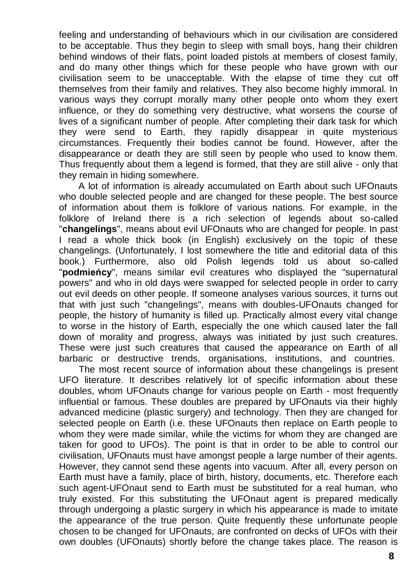feeling and understanding of behaviours which in our civilisation are considered to be acceptable. Thus they begin to sleep with small boys, hang their children behind windows of their flats, point loaded pistols at members of closest family, and do many other things which for these people who have grown with our civilisation seem to be unacceptable. With the elapse of time they cut off themselves from their family and relatives. They also become highly immoral. In various ways they corrupt morally many other people onto whom they exert influence, or they do something very destructive, what worsens the course of lives of a significant number of people. After completing their dark task for which they were send to Earth, they rapidly disappear in quite mysterious circumstances. Frequently their bodies cannot be found. However, after the disappearance or death they are still seen by people who used to know them. Thus frequently about them a legend is formed, that they are still alive - only that they remain in hiding somewhere.

A lot of information is already accumulated on Earth about such UFOnauts who double selected people and are changed for these people. The best source of information about them is folklore of various nations. For example, in the folklore of Ireland there is a rich selection of legends about so-called "**changelings**", means about evil UFOnauts who are changed for people. In past I read a whole thick book (in English) exclusively on the topic of these changelings. (Unfortunately, I lost somewhere the title and editorial data of this book.) Furthermore, also old Polish legends told us about so-called "**podmieńcy**", means similar evil creatures who displayed the "supernatural powers" and who in old days were swapped for selected people in order to carry out evil deeds on other people. If someone analyses various sources, it turns out that with just such "changelings", means with doubles-UFOnauts changed for people, the history of humanity is filled up. Practically almost every vital change to worse in the history of Earth, especially the one which caused later the fall down of morality and progress, always was initiated by just such creatures. These were just such creatures that caused the appearance on Earth of all barbaric or destructive trends, organisations, institutions, and countries.

The most recent source of information about these changelings is present UFO literature. It describes relatively lot of specific information about these doubles, whom UFOnauts change for various people on Earth - most frequently influential or famous. These doubles are prepared by UFOnauts via their highly advanced medicine (plastic surgery) and technology. Then they are changed for selected people on Earth (i.e. these UFOnauts then replace on Earth people to whom they were made similar, while the victims for whom they are changed are taken for good to UFOs). The point is that in order to be able to control our civilisation, UFOnauts must have amongst people a large number of their agents. However, they cannot send these agents into vacuum. After all, every person on Earth must have a family, place of birth, history, documents, etc. Therefore each such agent-UFOnaut send to Earth must be substituted for a real human, who truly existed. For this substituting the UFOnaut agent is prepared medically through undergoing a plastic surgery in which his appearance is made to imitate the appearance of the true person. Quite frequently these unfortunate people chosen to be changed for UFOnauts, are confronted on decks of UFOs with their own doubles (UFOnauts) shortly before the change takes place. The reason is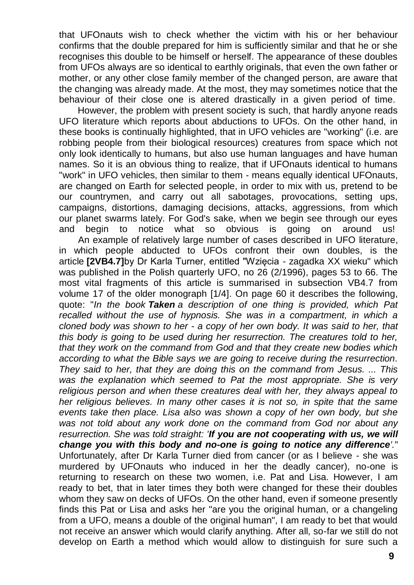that UFOnauts wish to check whether the victim with his or her behaviour confirms that the double prepared for him is sufficiently similar and that he or she recognises this double to be himself or herself. The appearance of these doubles from UFOs always are so identical to earthly originals, that even the own father or mother, or any other close family member of the changed person, are aware that the changing was already made. At the most, they may sometimes notice that the behaviour of their close one is altered drastically in a given period of time.

However, the problem with present society is such, that hardly anyone reads UFO literature which reports about abductions to UFOs. On the other hand, in these books is continually highlighted, that in UFO vehicles are "working" (i.e. are robbing people from their biological resources) creatures from space which not only look identically to humans, but also use human languages and have human names. So it is an obvious thing to realize, that if UFOnauts identical to humans "work" in UFO vehicles, then similar to them - means equally identical UFOnauts, are changed on Earth for selected people, in order to mix with us, pretend to be our countrymen, and carry out all sabotages, provocations, setting ups, campaigns, distortions, damaging decisions, attacks, aggressions, from which our planet swarms lately. For God's sake, when we begin see through our eyes and begin to notice what so obvious is going on around us!

An example of relatively large number of cases described in UFO literature, in which people abducted to UFOs confront their own doubles, is the article **[2VB4.7]**by Dr Karla Turner, entitled "Wzięcia - zagadka XX wieku" which was published in the Polish quarterly UFO, no 26 (2/1996), pages 53 to 66. The most vital fragments of this article is summarised in subsection VB4.7 from volume 17 of the older monograph [1/4]. On page 60 it describes the following, quote: "*In the book Taken a description of one thing is provided, which Pat*  recalled without the use of hypnosis. She was in a compartment, in which a *cloned body was shown to her - a copy of her own body. It was said to her, that this body is going to be used during her resurrection. The creatures told to her, that they work on the command from God and that they create new bodies which according to what the Bible says we are going to receive during the resurrection. They said to her, that they are doing this on the command from Jesus. ... This was the explanation which seemed to Pat the most appropriate. She is very religious person and when these creatures deal with her, they always appeal to her religious believes. In many other cases it is not so, in spite that the same events take then place. Lisa also was shown a copy of her own body, but she was not told about any work done on the command from God nor about any resurrection. She was told straight: 'If you are not cooperating with us, we will change you with this body and no-one is going to notice any difference'.*" Unfortunately, after Dr Karla Turner died from cancer (or as I believe - she was murdered by UFOnauts who induced in her the deadly cancer), no-one is returning to research on these two women, i.e. Pat and Lisa. However, I am ready to bet, that in later times they both were changed for these their doubles whom they saw on decks of UFOs. On the other hand, even if someone presently finds this Pat or Lisa and asks her "are you the original human, or a changeling from a UFO, means a double of the original human", I am ready to bet that would not receive an answer which would clarify anything. After all, so-far we still do not develop on Earth a method which would allow to distinguish for sure such a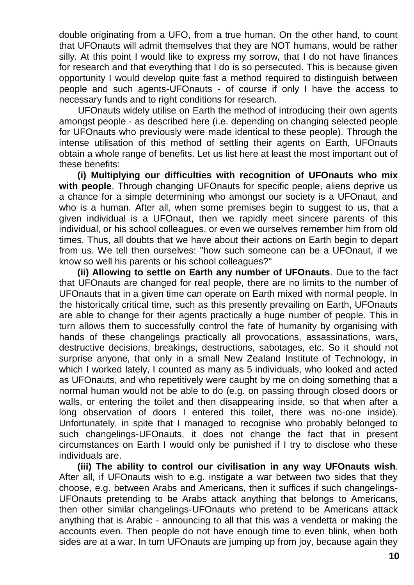double originating from a UFO, from a true human. On the other hand, to count that UFOnauts will admit themselves that they are NOT humans, would be rather silly. At this point I would like to express my sorrow, that I do not have finances for research and that everything that I do is so persecuted. This is because given opportunity I would develop quite fast a method required to distinguish between people and such agents-UFOnauts - of course if only I have the access to necessary funds and to right conditions for research.

UFOnauts widely utilise on Earth the method of introducing their own agents amongst people - as described here (i.e. depending on changing selected people for UFOnauts who previously were made identical to these people). Through the intense utilisation of this method of settling their agents on Earth, UFOnauts obtain a whole range of benefits. Let us list here at least the most important out of these benefits:

**(i) Multiplying our difficulties with recognition of UFOnauts who mix with people**. Through changing UFOnauts for specific people, aliens deprive us a chance for a simple determining who amongst our society is a UFOnaut, and who is a human. After all, when some premises begin to suggest to us, that a given individual is a UFOnaut, then we rapidly meet sincere parents of this individual, or his school colleagues, or even we ourselves remember him from old times. Thus, all doubts that we have about their actions on Earth begin to depart from us. We tell then ourselves: "how such someone can be a UFOnaut, if we know so well his parents or his school colleagues?"

**(ii) Allowing to settle on Earth any number of UFOnauts**. Due to the fact that UFOnauts are changed for real people, there are no limits to the number of UFOnauts that in a given time can operate on Earth mixed with normal people. In the historically critical time, such as this presently prevailing on Earth, UFOnauts are able to change for their agents practically a huge number of people. This in turn allows them to successfully control the fate of humanity by organising with hands of these changelings practically all provocations, assassinations, wars, destructive decisions, breakings, destructions, sabotages, etc. So it should not surprise anyone, that only in a small New Zealand Institute of Technology, in which I worked lately, I counted as many as 5 individuals, who looked and acted as UFOnauts, and who repetitively were caught by me on doing something that a normal human would not be able to do (e.g. on passing through closed doors or walls, or entering the toilet and then disappearing inside, so that when after a long observation of doors I entered this toilet, there was no-one inside). Unfortunately, in spite that I managed to recognise who probably belonged to such changelings-UFOnauts, it does not change the fact that in present circumstances on Earth I would only be punished if I try to disclose who these individuals are.

**(iii) The ability to control our civilisation in any way UFOnauts wish**. After all, if UFOnauts wish to e.g. instigate a war between two sides that they choose, e.g. between Arabs and Americans, then it suffices if such changelings-UFOnauts pretending to be Arabs attack anything that belongs to Americans, then other similar changelings-UFOnauts who pretend to be Americans attack anything that is Arabic - announcing to all that this was a vendetta or making the accounts even. Then people do not have enough time to even blink, when both sides are at a war. In turn UFOnauts are jumping up from joy, because again they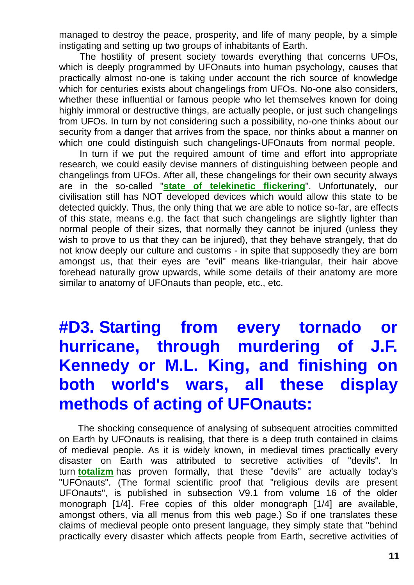managed to destroy the peace, prosperity, and life of many people, by a simple instigating and setting up two groups of inhabitants of Earth.

The hostility of present society towards everything that concerns UFOs, which is deeply programmed by UFOnauts into human psychology, causes that practically almost no-one is taking under account the rich source of knowledge which for centuries exists about changelings from UFOs. No-one also considers, whether these influential or famous people who let themselves known for doing highly immoral or destructive things, are actually people, or just such changelings from UFOs. In turn by not considering such a possibility, no-one thinks about our security from a danger that arrives from the space, nor thinks about a manner on which one could distinguish such changelings-UFOnauts from normal people.

In turn if we put the required amount of time and effort into appropriate research, we could easily devise manners of distinguishing between people and changelings from UFOs. After all, these changelings for their own security always are in the so-called "**[state of telekinetic flickering](http://totalizm.com.pl/day26.htm)**". Unfortunately, our civilisation still has NOT developed devices which would allow this state to be detected quickly. Thus, the only thing that we are able to notice so-far, are effects of this state, means e.g. the fact that such changelings are slightly lighter than normal people of their sizes, that normally they cannot be injured (unless they wish to prove to us that they can be injured), that they behave strangely, that do not know deeply our culture and customs - in spite that supposedly they are born amongst us, that their eyes are "evil" means like-triangular, their hair above forehead naturally grow upwards, while some details of their anatomy are more similar to anatomy of UFOnauts than people, etc., etc.

# **#D3. Starting from every tornado or hurricane, through murdering of J.F. Kennedy or M.L. King, and finishing on both world's wars, all these display methods of acting of UFOnauts:**

The shocking consequence of analysing of subsequent atrocities committed on Earth by UFOnauts is realising, that there is a deep truth contained in claims of medieval people. As it is widely known, in medieval times practically every disaster on Earth was attributed to secretive activities of "devils". In turn **[totalizm](http://totalizm.com.pl/totalizm.htm)** has proven formally, that these "devils" are actually today's "UFOnauts". (The formal scientific proof that "religious devils are present UFOnauts", is published in subsection V9.1 from volume 16 of the older monograph [1/4]. Free copies of this older monograph [1/4] are available, amongst others, via all menus from this web page.) So if one translates these claims of medieval people onto present language, they simply state that "behind practically every disaster which affects people from Earth, secretive activities of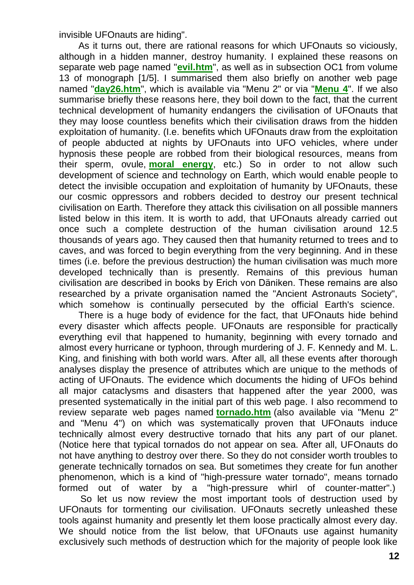invisible UFOnauts are hiding".

As it turns out, there are rational reasons for which UFOnauts so viciously, although in a hidden manner, destroy humanity. I explained these reasons on separate web page named "**[evil.htm](http://totalizm.com.pl/evil.htm)**", as well as in subsection OC1 from volume 13 of monograph [1/5]. I summarised them also briefly on another web page named "**[day26.htm](http://totalizm.com.pl/day26.htm)**", which is available via "Menu 2" or via "**[Menu 4](http://totalizm.com.pl/menu.htm)**". If we also summarise briefly these reasons here, they boil down to the fact, that the current technical development of humanity endangers the civilisation of UFOnauts that they may loose countless benefits which their civilisation draws from the hidden exploitation of humanity. (I.e. benefits which UFOnauts draw from the exploitation of people abducted at nights by UFOnauts into UFO vehicles, where under hypnosis these people are robbed from their biological resources, means from their sperm, ovule, **[moral energy](http://totalizm.com.pl/totalizm.htm)**, etc.) So in order to not allow such development of science and technology on Earth, which would enable people to detect the invisible occupation and exploitation of humanity by UFOnauts, these our cosmic oppressors and robbers decided to destroy our present technical civilisation on Earth. Therefore they attack this civilisation on all possible manners listed below in this item. It is worth to add, that UFOnauts already carried out once such a complete destruction of the human civilisation around 12.5 thousands of years ago. They caused then that humanity returned to trees and to caves, and was forced to begin everything from the very beginning. And in these times (i.e. before the previous destruction) the human civilisation was much more developed technically than is presently. Remains of this previous human civilisation are described in books by Erich von Däniken. These remains are also researched by a private organisation named the "Ancient Astronauts Society", which somehow is continually persecuted by the official Earth's science.

There is a huge body of evidence for the fact, that UFOnauts hide behind every disaster which affects people. UFOnauts are responsible for practically everything evil that happened to humanity, beginning with every tornado and almost every hurricane or typhoon, through murdering of J. F. Kennedy and M. L. King, and finishing with both world wars. After all, all these events after thorough analyses display the presence of attributes which are unique to the methods of acting of UFOnauts. The evidence which documents the hiding of UFOs behind all major cataclysms and disasters that happened after the year 2000, was presented systematically in the initial part of this web page. I also recommend to review separate web pages named **[tornado.htm](http://totalizm.com.pl/tornado.htm)** (also available via "Menu 2" and "Menu 4") on which was systematically proven that UFOnauts induce technically almost every destructive tornado that hits any part of our planet. (Notice here that typical tornados do not appear on sea. After all, UFOnauts do not have anything to destroy over there. So they do not consider worth troubles to generate technically tornados on sea. But sometimes they create for fun another phenomenon, which is a kind of "high-pressure water tornado", means tornado formed out of water by a "high-pressure whirl of counter-matter".)

So let us now review the most important tools of destruction used by UFOnauts for tormenting our civilisation. UFOnauts secretly unleashed these tools against humanity and presently let them loose practically almost every day. We should notice from the list below, that UFOnauts use against humanity exclusively such methods of destruction which for the majority of people look like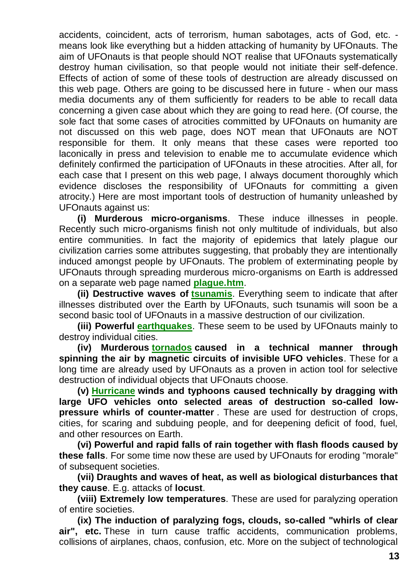accidents, coincident, acts of terrorism, human sabotages, acts of God, etc. means look like everything but a hidden attacking of humanity by UFOnauts. The aim of UFOnauts is that people should NOT realise that UFOnauts systematically destroy human civilisation, so that people would not initiate their self-defence. Effects of action of some of these tools of destruction are already discussed on this web page. Others are going to be discussed here in future - when our mass media documents any of them sufficiently for readers to be able to recall data concerning a given case about which they are going to read here. (Of course, the sole fact that some cases of atrocities committed by UFOnauts on humanity are not discussed on this web page, does NOT mean that UFOnauts are NOT responsible for them. It only means that these cases were reported too laconically in press and television to enable me to accumulate evidence which definitely confirmed the participation of UFOnauts in these atrocities. After all, for each case that I present on this web page, I always document thoroughly which evidence discloses the responsibility of UFOnauts for committing a given atrocity.) Here are most important tools of destruction of humanity unleashed by UFOnauts against us:

**(i) Murderous micro-organisms**. These induce illnesses in people. Recently such micro-organisms finish not only multitude of individuals, but also entire communities. In fact the majority of epidemics that lately plague our civilization carries some attributes suggesting, that probably they are intentionally induced amongst people by UFOnauts. The problem of exterminating people by UFOnauts through spreading murderous micro-organisms on Earth is addressed on a separate web page named **[plague.htm](http://totalizm.com.pl/plague.htm)**.

**(ii) Destructive waves of [tsunamis](http://totalizm.com.pl/day26_pl.htm)**. Everything seem to indicate that after illnesses distributed over the Earth by UFOnauts, such tsunamis will soon be a second basic tool of UFOnauts in a massive destruction of our civilization.

**(iii) Powerful [earthquakes](http://totalizm.com.pl/seismograph_pl.htm)**. These seem to be used by UFOnauts mainly to destroy individual cities.

**(iv) Murderous [tornados](http://totalizm.com.pl/tornado_pl.htm) caused in a technical manner through spinning the air by magnetic circuits of invisible UFO vehicles**. These for a long time are already used by UFOnauts as a proven in action tool for selective destruction of individual objects that UFOnauts choose.

**(v) [Hurricane](http://totalizm.com.pl/hurricane.htm) winds and typhoons caused technically by dragging with large UFO vehicles onto selected areas of destruction so-called lowpressure whirls of counter-matter** . These are used for destruction of crops, cities, for scaring and subduing people, and for deepening deficit of food, fuel, and other resources on Earth.

**(vi) Powerful and rapid falls of rain together with flash floods caused by these falls**. For some time now these are used by UFOnauts for eroding "morale" of subsequent societies.

**(vii) Draughts and waves of heat, as well as biological disturbances that they cause**. E.g. attacks of **locust**.

**(viii) Extremely low temperatures**. These are used for paralyzing operation of entire societies.

**(ix) The induction of paralyzing fogs, clouds, so-called "whirls of clear air", etc.** These in turn cause traffic accidents, communication problems, collisions of airplanes, chaos, confusion, etc. More on the subject of technological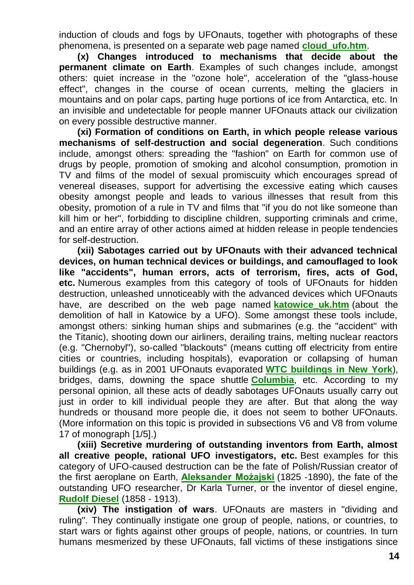induction of clouds and fogs by UFOnauts, together with photographs of these phenomena, is presented on a separate web page named **[cloud\\_ufo.htm](http://totalizm.com.pl/cloud_ufo.htm)**.

**(x) Changes introduced to mechanisms that decide about the permanent climate on Earth**. Examples of such changes include, amongst others: quiet increase in the "ozone hole", acceleration of the "glass-house effect", changes in the course of ocean currents, melting the glaciers in mountains and on polar caps, parting huge portions of ice from Antarctica, etc. In an invisible and undetectable for people manner UFOnauts attack our civilization on every possible destructive manner.

**(xi) Formation of conditions on Earth, in which people release various mechanisms of self-destruction and social degeneration**. Such conditions include, amongst others: spreading the "fashion" on Earth for common use of drugs by people, promotion of smoking and alcohol consumption, promotion in TV and films of the model of sexual promiscuity which encourages spread of venereal diseases, support for advertising the excessive eating which causes obesity amongst people and leads to various illnesses that result from this obesity, promotion of a rule in TV and films that "if you do not like someone than kill him or her", forbidding to discipline children, supporting criminals and crime, and an entire array of other actions aimed at hidden release in people tendencies for self-destruction.

**(xii) Sabotages carried out by UFOnauts with their advanced technical devices, on human technical devices or buildings, and camouflaged to look like "accidents", human errors, acts of terrorism, fires, acts of God, etc.** Numerous examples from this category of tools of UFOnauts for hidden destruction, unleashed unnoticeably with the advanced devices which UFOnauts have, are described on the web page named **[katowice\\_uk.htm](http://totalizm.com.pl/katowice_uk.htm)** (about the demolition of hall in Katowice by a UFO). Some amongst these tools include, amongst others: sinking human ships and submarines (e.g. the "accident" with the Titanic), shooting down our airliners, derailing trains, melting nuclear reactors (e.g. "Chernobyl"), so-called "blackouts" (means cutting off electricity from entire cities or countries, including hospitals), evaporation or collapsing of human buildings (e.g. as in 2001 UFOnauts evaporated **[WTC buildings in New York](http://totalizm.com.pl/wtc.htm)**), bridges, dams, downing the space shuttle **[Columbia](http://totalizm.com.pl/shuttle.htm)**, etc. According to my personal opinion, all these acts of deadly sabotages UFOnauts usually carry out just in order to kill individual people they are after. But that along the way hundreds or thousand more people die, it does not seem to bother UFOnauts. (More information on this topic is provided in subsections V6 and V8 from volume 17 of monograph [1/5].)

**(xiii) Secretive murdering of outstanding inventors from Earth, almost all creative people, rational UFO investigators, etc.** Best examples for this category of UFO-caused destruction can be the fate of Polish/Russian creator of the first aeroplane on Earth, **[Aleksander Możajski](http://totalizm.com.pl/mozajski_uk.htm)** (1825 -1890), the fate of the outstanding UFO researcher, Dr Karla Turner, or the inventor of diesel engine, **[Rudolf Diesel](http://totalizm.com.pl/newzealand.htm)** (1858 - 1913).

**(xiv) The instigation of wars**. UFOnauts are masters in "dividing and ruling". They continually instigate one group of people, nations, or countries, to start wars or fights against other groups of people, nations, or countries. In turn humans mesmerized by these UFOnauts, fall victims of these instigations since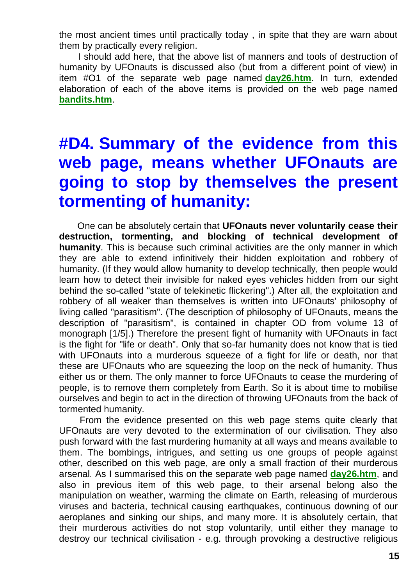the most ancient times until practically today , in spite that they are warn about them by practically every religion.

I should add here, that the above list of manners and tools of destruction of humanity by UFOnauts is discussed also (but from a different point of view) in item #O1 of the separate web page named **[day26.htm](http://totalizm.com.pl/day26.htm)**. In turn, extended elaboration of each of the above items is provided on the web page named **[bandits.htm](http://totalizm.com.pl/bandits.htm)**.

# **#D4. Summary of the evidence from this web page, means whether UFOnauts are going to stop by themselves the present tormenting of humanity:**

One can be absolutely certain that **UFOnauts never voluntarily cease their destruction, tormenting, and blocking of technical development of humanity**. This is because such criminal activities are the only manner in which they are able to extend infinitively their hidden exploitation and robbery of humanity. (If they would allow humanity to develop technically, then people would learn how to detect their invisible for naked eyes vehicles hidden from our sight behind the so-called "state of telekinetic flickering".) After all, the exploitation and robbery of all weaker than themselves is written into UFOnauts' philosophy of living called "parasitism". (The description of philosophy of UFOnauts, means the description of "parasitism", is contained in chapter OD from volume 13 of monograph [1/5].) Therefore the present fight of humanity with UFOnauts in fact is the fight for "life or death". Only that so-far humanity does not know that is tied with UFOnauts into a murderous squeeze of a fight for life or death, nor that these are UFOnauts who are squeezing the loop on the neck of humanity. Thus either us or them. The only manner to force UFOnauts to cease the murdering of people, is to remove them completely from Earth. So it is about time to mobilise ourselves and begin to act in the direction of throwing UFOnauts from the back of tormented humanity.

From the evidence presented on this web page stems quite clearly that UFOnauts are very devoted to the extermination of our civilisation. They also push forward with the fast murdering humanity at all ways and means available to them. The bombings, intrigues, and setting us one groups of people against other, described on this web page, are only a small fraction of their murderous arsenal. As I summarised this on the separate web page named **[day26.htm](http://totalizm.com.pl/day26.htm)**, and also in previous item of this web page, to their arsenal belong also the manipulation on weather, warming the climate on Earth, releasing of murderous viruses and bacteria, technical causing earthquakes, continuous downing of our aeroplanes and sinking our ships, and many more. It is absolutely certain, that their murderous activities do not stop voluntarily, until either they manage to destroy our technical civilisation - e.g. through provoking a destructive religious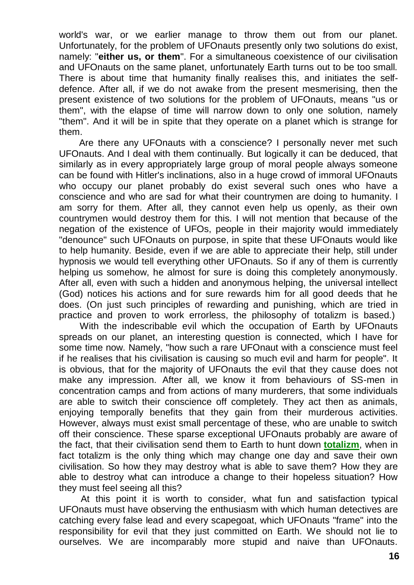world's war, or we earlier manage to throw them out from our planet. Unfortunately, for the problem of UFOnauts presently only two solutions do exist, namely: "**either us, or them**". For a simultaneous coexistence of our civilisation and UFOnauts on the same planet, unfortunately Earth turns out to be too small. There is about time that humanity finally realises this, and initiates the selfdefence. After all, if we do not awake from the present mesmerising, then the present existence of two solutions for the problem of UFOnauts, means "us or them", with the elapse of time will narrow down to only one solution, namely "them". And it will be in spite that they operate on a planet which is strange for them.

Are there any UFOnauts with a conscience? I personally never met such UFOnauts. And I deal with them continually. But logically it can be deduced, that similarly as in every appropriately large group of moral people always someone can be found with Hitler's inclinations, also in a huge crowd of immoral UFOnauts who occupy our planet probably do exist several such ones who have a conscience and who are sad for what their countrymen are doing to humanity. I am sorry for them. After all, they cannot even help us openly, as their own countrymen would destroy them for this. I will not mention that because of the negation of the existence of UFOs, people in their majority would immediately "denounce" such UFOnauts on purpose, in spite that these UFOnauts would like to help humanity. Beside, even if we are able to appreciate their help, still under hypnosis we would tell everything other UFOnauts. So if any of them is currently helping us somehow, he almost for sure is doing this completely anonymously. After all, even with such a hidden and anonymous helping, the universal intellect (God) notices his actions and for sure rewards him for all good deeds that he does. (On just such principles of rewarding and punishing, which are tried in practice and proven to work errorless, the philosophy of totalizm is based.)

With the indescribable evil which the occupation of Earth by UFOnauts spreads on our planet, an interesting question is connected, which I have for some time now. Namely, "how such a rare UFOnaut with a conscience must feel if he realises that his civilisation is causing so much evil and harm for people". It is obvious, that for the majority of UFOnauts the evil that they cause does not make any impression. After all, we know it from behaviours of SS-men in concentration camps and from actions of many murderers, that some individuals are able to switch their conscience off completely. They act then as animals, enjoying temporally benefits that they gain from their murderous activities. However, always must exist small percentage of these, who are unable to switch off their conscience. These sparse exceptional UFOnauts probably are aware of the fact, that their civilisation send them to Earth to hunt down **[totalizm](http://totalizm.com.pl/totalizm.htm)**, when in fact totalizm is the only thing which may change one day and save their own civilisation. So how they may destroy what is able to save them? How they are able to destroy what can introduce a change to their hopeless situation? How they must feel seeing all this?

At this point it is worth to consider, what fun and satisfaction typical UFOnauts must have observing the enthusiasm with which human detectives are catching every false lead and every scapegoat, which UFOnauts "frame" into the responsibility for evil that they just committed on Earth. We should not lie to ourselves. We are incomparably more stupid and naive than UFOnauts.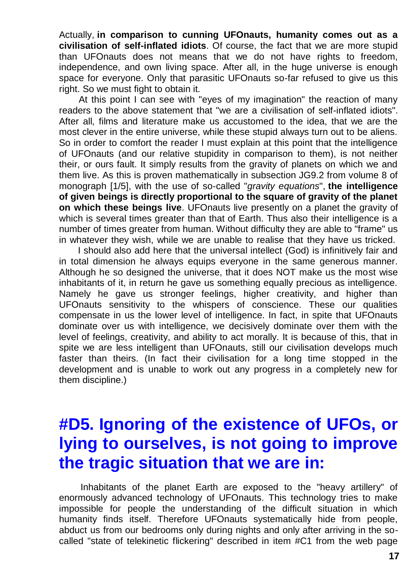Actually, **in comparison to cunning UFOnauts, humanity comes out as a civilisation of self-inflated idiots**. Of course, the fact that we are more stupid than UFOnauts does not means that we do not have rights to freedom, independence, and own living space. After all, in the huge universe is enough space for everyone. Only that parasitic UFOnauts so-far refused to give us this right. So we must fight to obtain it.

At this point I can see with "eyes of my imagination" the reaction of many readers to the above statement that "we are a civilisation of self-inflated idiots". After all, films and literature make us accustomed to the idea, that we are the most clever in the entire universe, while these stupid always turn out to be aliens. So in order to comfort the reader I must explain at this point that the intelligence of UFOnauts (and our relative stupidity in comparison to them), is not neither their, or ours fault. It simply results from the gravity of planets on which we and them live. As this is proven mathematically in subsection JG9.2 from volume 8 of monograph [1/5], with the use of so-called "*gravity equations*", **the intelligence of given beings is directly proportional to the square of gravity of the planet on which these beings live**. UFOnauts live presently on a planet the gravity of which is several times greater than that of Earth. Thus also their intelligence is a number of times greater from human. Without difficulty they are able to "frame" us in whatever they wish, while we are unable to realise that they have us tricked.

I should also add here that the universal intellect (God) is infinitively fair and in total dimension he always equips everyone in the same generous manner. Although he so designed the universe, that it does NOT make us the most wise inhabitants of it, in return he gave us something equally precious as intelligence. Namely he gave us stronger feelings, higher creativity, and higher than UFOnauts sensitivity to the whispers of conscience. These our qualities compensate in us the lower level of intelligence. In fact, in spite that UFOnauts dominate over us with intelligence, we decisively dominate over them with the level of feelings, creativity, and ability to act morally. It is because of this, that in spite we are less intelligent than UFOnauts, still our civilisation develops much faster than theirs. (In fact their civilisation for a long time stopped in the development and is unable to work out any progress in a completely new for them discipline.)

# **#D5. Ignoring of the existence of UFOs, or lying to ourselves, is not going to improve the tragic situation that we are in:**

Inhabitants of the planet Earth are exposed to the "heavy artillery" of enormously advanced technology of UFOnauts. This technology tries to make impossible for people the understanding of the difficult situation in which humanity finds itself. Therefore UFOnauts systematically hide from people, abduct us from our bedrooms only during nights and only after arriving in the socalled "state of telekinetic flickering" described in item #C1 from the web page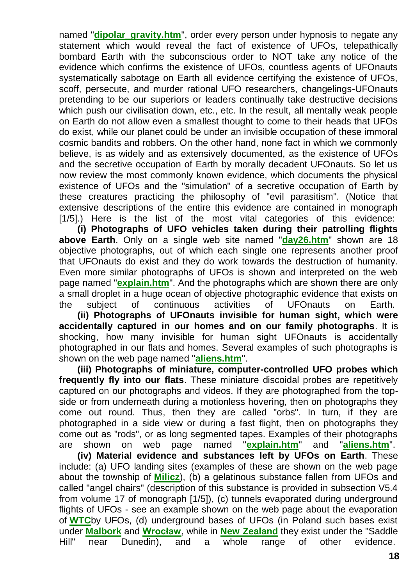named "**[dipolar\\_gravity.htm](http://totalizm.com.pl/dipolar_gravity.htm)**", order every person under hypnosis to negate any statement which would reveal the fact of existence of UFOs, telepathically bombard Earth with the subconscious order to NOT take any notice of the evidence which confirms the existence of UFOs, countless agents of UFOnauts systematically sabotage on Earth all evidence certifying the existence of UFOs, scoff, persecute, and murder rational UFO researchers, changelings-UFOnauts pretending to be our superiors or leaders continually take destructive decisions which push our civilisation down, etc., etc. In the result, all mentally weak people on Earth do not allow even a smallest thought to come to their heads that UFOs do exist, while our planet could be under an invisible occupation of these immoral cosmic bandits and robbers. On the other hand, none fact in which we commonly believe, is as widely and as extensively documented, as the existence of UFOs and the secretive occupation of Earth by morally decadent UFOnauts. So let us now review the most commonly known evidence, which documents the physical existence of UFOs and the "simulation" of a secretive occupation of Earth by these creatures practicing the philosophy of "evil parasitism". (Notice that extensive descriptions of the entire this evidence are contained in monograph [1/5].) Here is the list of the most vital categories of this evidence:

**(i) Photographs of UFO vehicles taken during their patrolling flights above Earth**. Only on a single web site named "**[day26.htm](http://totalizm.com.pl/day26.htm)**" shown are 18 objective photographs, out of which each single one represents another proof that UFOnauts do exist and they do work towards the destruction of humanity. Even more similar photographs of UFOs is shown and interpreted on the web page named "**[explain.htm](http://totalizm.com.pl/explain.htm)**". And the photographs which are shown there are only a small droplet in a huge ocean of objective photographic evidence that exists on the subject of continuous activities of UFOnauts on Earth.

**(ii) Photographs of UFOnauts invisible for human sight, which were accidentally captured in our homes and on our family photographs**. It is shocking, how many invisible for human sight UFOnauts is accidentally photographed in our flats and homes. Several examples of such photographs is shown on the web page named "**[aliens.htm](http://totalizm.com.pl/aliens.htm)**".

**(iii) Photographs of miniature, computer-controlled UFO probes which frequently fly into our flats**. These miniature discoidal probes are repetitively captured on our photographs and videos. If they are photographed from the topside or from underneath during a motionless hovering, then on photographs they come out round. Thus, then they are called "orbs". In turn, if they are photographed in a side view or during a fast flight, then on photographs they come out as "rods", or as long segmented tapes. Examples of their photographs are shown on web page named "**[explain.htm](http://totalizm.com.pl/explain.htm)**" and "**[aliens.htm](http://totalizm.com.pl/aliens.htm)**".

**(iv) Material evidence and substances left by UFOs on Earth**. These include: (a) UFO landing sites (examples of these are shown on the web page about the township of **[Milicz](http://totalizm.com.pl/milicz_uk.htm)**), (b) a gelatinous substance fallen from UFOs and called "angel chairs" (description of this substance is provided in subsection V5.4 from volume 17 of monograph [1/5]), (c) tunnels evaporated during underground flights of UFOs - see an example shown on the web page about the evaporation of **[WTC](http://totalizm.com.pl/wtc.htm)**by UFOs, (d) underground bases of UFOs (in Poland such bases exist under **[Malbork](http://totalizm.com.pl/malbork_uk.htm)** and **[Wrocław](http://totalizm.com.pl/wroclaw_uk.htm)**, while in **[New Zealand](http://totalizm.com.pl/newzealand.htm)** they exist under the "Saddle Hill" near Dunedin), and a whole range of other evidence.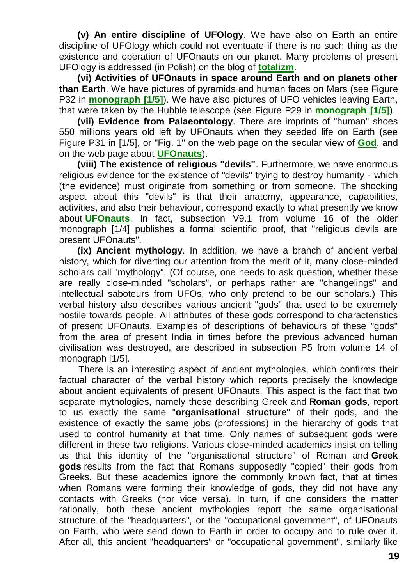**(v) An entire discipline of UFOlogy**. We have also on Earth an entire discipline of UFOlogy which could not eventuate if there is no such thing as the existence and operation of UFOnauts on our planet. Many problems of present UFOlogy is addressed (in Polish) on the blog of **[totalizm](http://totalizm.blox.pl/html/)**.

**(vi) Activities of UFOnauts in space around Earth and on planets other than Earth**. We have pictures of pyramids and human faces on Mars (see Figure P32 in **[monograph \[1/5\]](http://totalizm.com.pl/text_1_5.htm)**). We have also pictures of UFO vehicles leaving Earth, that were taken by the Hubble telescope (see Figure P29 in **[monograph \[1/5\]](http://totalizm.com.pl/text_1_5.htm)**).

**(vii) Evidence from Palaeontology**. There are imprints of "human" shoes 550 millions years old left by UFOnauts when they seeded life on Earth (see Figure P31 in [1/5], or "Fig. 1" on the web page on the secular view of **[God](http://totalizm.com.pl/god.htm)**, and on the web page about **[UFOnauts](http://totalizm.com.pl/ufo.htm)**).

**(viii) The existence of religious "devils"**. Furthermore, we have enormous religious evidence for the existence of "devils" trying to destroy humanity - which (the evidence) must originate from something or from someone. The shocking aspect about this "devils" is that their anatomy, appearance, capabilities, activities, and also their behaviour, correspond exactly to what presently we know about **[UFOnauts](http://totalizm.com.pl/ufo.htm)**. In fact, subsection V9.1 from volume 16 of the older monograph [1/4] publishes a formal scientific proof, that "religious devils are present UFOnauts".

**(ix) Ancient mythology**. In addition, we have a branch of ancient verbal history, which for diverting our attention from the merit of it, many close-minded scholars call "mythology". (Of course, one needs to ask question, whether these are really close-minded "scholars", or perhaps rather are "changelings" and intellectual saboteurs from UFOs, who only pretend to be our scholars.) This verbal history also describes various ancient "gods" that used to be extremely hostile towards people. All attributes of these gods correspond to characteristics of present UFOnauts. Examples of descriptions of behaviours of these "gods" from the area of present India in times before the previous advanced human civilisation was destroyed, are described in subsection P5 from volume 14 of monograph [1/5].

There is an interesting aspect of ancient mythologies, which confirms their factual character of the verbal history which reports precisely the knowledge about ancient equivalents of present UFOnauts. This aspect is the fact that two separate mythologies, namely these describing Greek and **Roman gods**, report to us exactly the same "**organisational structure**" of their gods, and the existence of exactly the same jobs (professions) in the hierarchy of gods that used to control humanity at that time. Only names of subsequent gods were different in these two religions. Various close-minded academics insist on telling us that this identity of the "organisational structure" of Roman and **Greek gods** results from the fact that Romans supposedly "copied" their gods from Greeks. But these academics ignore the commonly known fact, that at times when Romans were forming their knowledge of gods, they did not have any contacts with Greeks (nor vice versa). In turn, if one considers the matter rationally, both these ancient mythologies report the same organisational structure of the "headquarters", or the "occupational government", of UFOnauts on Earth, who were send down to Earth in order to occupy and to rule over it. After all, this ancient "headquarters" or "occupational government", similarly like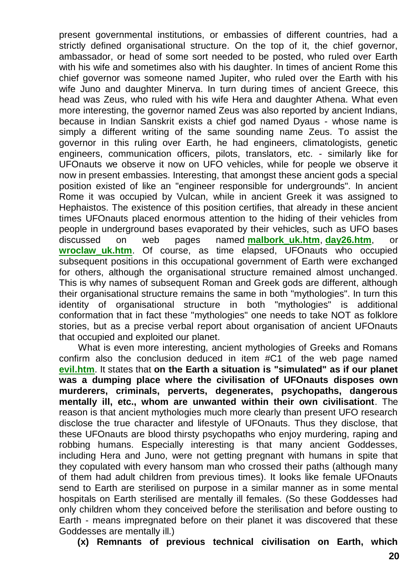present governmental institutions, or embassies of different countries, had a strictly defined organisational structure. On the top of it, the chief governor, ambassador, or head of some sort needed to be posted, who ruled over Earth with his wife and sometimes also with his daughter. In times of ancient Rome this chief governor was someone named Jupiter, who ruled over the Earth with his wife Juno and daughter Minerva. In turn during times of ancient Greece, this head was Zeus, who ruled with his wife Hera and daughter Athena. What even more interesting, the governor named Zeus was also reported by ancient Indians, because in Indian Sanskrit exists a chief god named Dyaus - whose name is simply a different writing of the same sounding name Zeus. To assist the governor in this ruling over Earth, he had engineers, climatologists, genetic engineers, communication officers, pilots, translators, etc. - similarly like for UFOnauts we observe it now on UFO vehicles, while for people we observe it now in present embassies. Interesting, that amongst these ancient gods a special position existed of like an "engineer responsible for undergrounds". In ancient Rome it was occupied by Vulcan, while in ancient Greek it was assigned to Hephaistos. The existence of this position certifies, that already in these ancient times UFOnauts placed enormous attention to the hiding of their vehicles from people in underground bases evaporated by their vehicles, such as UFO bases discussed on web pages named **[malbork\\_uk.htm](http://totalizm.com.pl/malbork_uk.htm)**, **[day26.htm](http://totalizm.com.pl/day26.htm)**, or wroclaw uk.htm. Of course, as time elapsed, UFOnauts who occupied subsequent positions in this occupational government of Earth were exchanged for others, although the organisational structure remained almost unchanged. This is why names of subsequent Roman and Greek gods are different, although their organisational structure remains the same in both "mythologies". In turn this identity of organisational structure in both "mythologies" is additional conformation that in fact these "mythologies" one needs to take NOT as folklore stories, but as a precise verbal report about organisation of ancient UFOnauts that occupied and exploited our planet.

What is even more interesting, ancient mythologies of Greeks and Romans confirm also the conclusion deduced in item #C1 of the web page named **[evil.htm](http://totalizm.com.pl/evil.htm)**. It states that **on the Earth a situation is "simulated" as if our planet was a dumping place where the civilisation of UFOnauts disposes own murderers, criminals, perverts, degenerates, psychopaths, dangerous mentally ill, etc., whom are unwanted within their own civilisationt**. The reason is that ancient mythologies much more clearly than present UFO research disclose the true character and lifestyle of UFOnauts. Thus they disclose, that these UFOnauts are blood thirsty psychopaths who enjoy murdering, raping and robbing humans. Especially interesting is that many ancient Goddesses, including Hera and Juno, were not getting pregnant with humans in spite that they copulated with every hansom man who crossed their paths (although many of them had adult children from previous times). It looks like female UFOnauts send to Earth are sterilised on purpose in a similar manner as in some mental hospitals on Earth sterilised are mentally ill females. (So these Goddesses had only children whom they conceived before the sterilisation and before ousting to Earth - means impregnated before on their planet it was discovered that these Goddesses are mentally ill.)

**(x) Remnants of previous technical civilisation on Earth, which**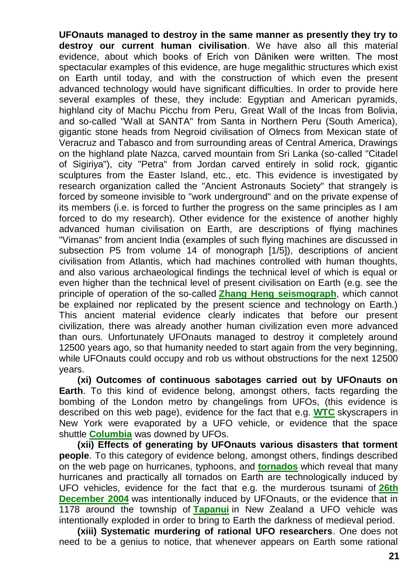**UFOnauts managed to destroy in the same manner as presently they try to destroy our current human civilisation**. We have also all this material evidence, about which books of Erich von Däniken were written. The most spectacular examples of this evidence, are huge megalithic structures which exist on Earth until today, and with the construction of which even the present advanced technology would have significant difficulties. In order to provide here several examples of these, they include: Egyptian and American pyramids, highland city of Machu Picchu from Peru, Great Wall of the Incas from Bolivia, and so-called "Wall at SANTA" from Santa in Northern Peru (South America), gigantic stone heads from Negroid civilisation of Olmecs from Mexican state of Veracruz and Tabasco and from surrounding areas of Central America, Drawings on the highland plate Nazca, carved mountain from Sri Lanka (so-called "Citadel of Sigiriya"), city "Petra" from Jordan carved entirely in solid rock, gigantic sculptures from the Easter Island, etc., etc. This evidence is investigated by research organization called the "Ancient Astronauts Society" that strangely is forced by someone invisible to "work underground" and on the private expense of its members (i.e. is forced to further the progress on the same principles as I am forced to do my research). Other evidence for the existence of another highly advanced human civilisation on Earth, are descriptions of flying machines "Vimanas" from ancient India (examples of such flying machines are discussed in subsection P5 from volume 14 of monograph [1/5]), descriptions of ancient civilisation from Atlantis, which had machines controlled with human thoughts, and also various archaeological findings the technical level of which is equal or even higher than the technical level of present civilisation on Earth (e.g. see the principle of operation of the so-called **[Zhang Heng seismograph](http://totalizm.com.pl/seismograph.htm)**, which cannot be explained nor replicated by the present science and technology on Earth.) This ancient material evidence clearly indicates that before our present civilization, there was already another human civilization even more advanced than ours. Unfortunately UFOnauts managed to destroy it completely around 12500 years ago, so that humanity needed to start again from the very beginning, while UFOnauts could occupy and rob us without obstructions for the next 12500 years.

**(xi) Outcomes of continuous sabotages carried out by UFOnauts on Earth**. To this kind of evidence belong, amongst others, facts regarding the bombing of the London metro by changelings from UFOs, (this evidence is described on this web page), evidence for the fact that e.g. **[WTC](http://totalizm.com.pl/wtc.htm)** skyscrapers in New York were evaporated by a UFO vehicle, or evidence that the space shuttle **[Columbia](http://totalizm.com.pl/shuttle.htm)** was downed by UFOs.

**(xii) Effects of generating by UFOnauts various disasters that torment people**. To this category of evidence belong, amongst others, findings described on the web page on hurricanes, typhoons, and **[tornados](http://totalizm.com.pl/tornado.htm)** which reveal that many hurricanes and practically all tornados on Earth are technologically induced by UFO vehicles, evidence for the fact that e.g. the murderous tsunami of **[26th](http://totalizm.com.pl/day26.htm)  [December 2004](http://totalizm.com.pl/day26.htm)** was intentionally induced by UFOnauts, or the evidence that in 1178 around the township of **[Tapanui](http://totalizm.com.pl/tapanui.htm)** in New Zealand a UFO vehicle was intentionally exploded in order to bring to Earth the darkness of medieval period.

**(xiii) Systematic murdering of rational UFO researchers**. One does not need to be a genius to notice, that whenever appears on Earth some rational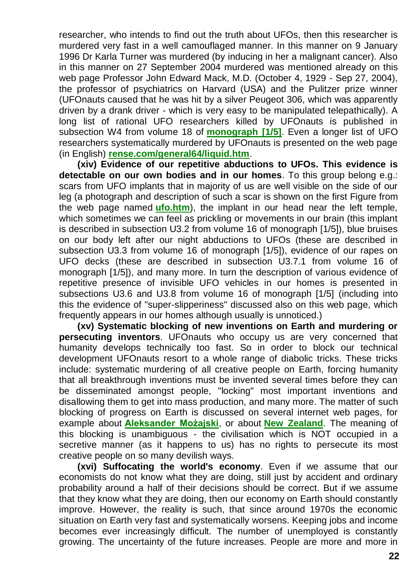researcher, who intends to find out the truth about UFOs, then this researcher is murdered very fast in a well camouflaged manner. In this manner on 9 January 1996 Dr Karla Turner was murdered (by inducing in her a malignant cancer). Also in this manner on 27 September 2004 murdered was mentioned already on this web page Professor John Edward Mack, M.D. (October 4, 1929 - Sep 27, 2004), the professor of psychiatrics on Harvard (USA) and the Pulitzer prize winner (UFOnauts caused that he was hit by a silver Peugeot 306, which was apparently driven by a drank driver - which is very easy to be manipulated telepathically). A long list of rational UFO researchers killed by UFOnauts is published in subsection W4 from volume 18 of **[monograph \[1/5\]](http://totalizm.com.pl/text_1_5.htm)**. Even a longer list of UFO researchers systematically murdered by UFOnauts is presented on the web page (in English) **[rense.com/general64/liquid.htm](http://rense.com/general64/liquid.htm)**.

**(xiv) Evidence of our repetitive abductions to UFOs. This evidence is detectable on our own bodies and in our homes**. To this group belong e.g.: scars from UFO implants that in majority of us are well visible on the side of our leg (a photograph and description of such a scar is shown on the first Figure from the web page named **[ufo.htm](http://totalizm.com.pl/ufo.htm)**), the implant in our head near the left temple, which sometimes we can feel as prickling or movements in our brain (this implant is described in subsection U3.2 from volume 16 of monograph [1/5]), blue bruises on our body left after our night abductions to UFOs (these are described in subsection U3.3 from volume 16 of monograph [1/5]), evidence of our rapes on UFO decks (these are described in subsection U3.7.1 from volume 16 of monograph [1/5]), and many more. In turn the description of various evidence of repetitive presence of invisible UFO vehicles in our homes is presented in subsections U3.6 and U3.8 from volume 16 of monograph [1/5] (including into this the evidence of "super-slipperiness" discussed also on this web page, which frequently appears in our homes although usually is unnoticed.)

**(xv) Systematic blocking of new inventions on Earth and murdering or persecuting inventors**. UFOnauts who occupy us are very concerned that humanity develops technically too fast. So in order to block our technical development UFOnauts resort to a whole range of diabolic tricks. These tricks include: systematic murdering of all creative people on Earth, forcing humanity that all breakthrough inventions must be invented several times before they can be disseminated amongst people, "locking" most important inventions and disallowing them to get into mass production, and many more. The matter of such blocking of progress on Earth is discussed on several internet web pages, for example about **[Aleksander Możajski](http://totalizm.com.pl/mozajski_uk.htm)**, or about **[New Zealand](http://totalizm.com.pl/newzealand.htm)**. The meaning of this blocking is unambiguous - the civilisation which is NOT occupied in a secretive manner (as it happens to us) has no rights to persecute its most creative people on so many devilish ways.

**(xvi) Suffocating the world's economy**. Even if we assume that our economists do not know what they are doing, still just by accident and ordinary probability around a half of their decisions should be correct. But if we assume that they know what they are doing, then our economy on Earth should constantly improve. However, the reality is such, that since around 1970s the economic situation on Earth very fast and systematically worsens. Keeping jobs and income becomes ever increasingly difficult. The number of unemployed is constantly growing. The uncertainty of the future increases. People are more and more in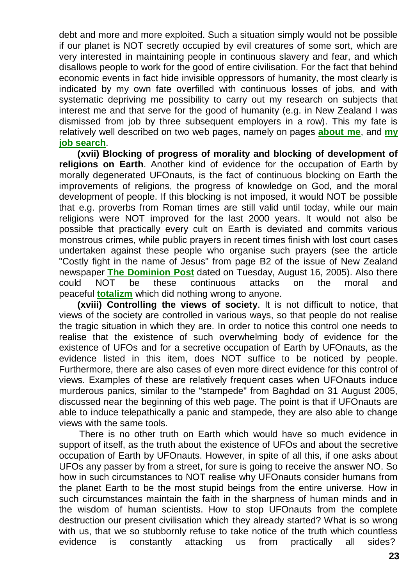debt and more and more exploited. Such a situation simply would not be possible if our planet is NOT secretly occupied by evil creatures of some sort, which are very interested in maintaining people in continuous slavery and fear, and which disallows people to work for the good of entire civilisation. For the fact that behind economic events in fact hide invisible oppressors of humanity, the most clearly is indicated by my own fate overfilled with continuous losses of jobs, and with systematic depriving me possibility to carry out my research on subjects that interest me and that serve for the good of humanity (e.g. in New Zealand I was dismissed from job by three subsequent employers in a row). This my fate is relatively well described on two web pages, namely on pages **[about me](http://totalizm.com.pl/pajak_jan_uk.htm)**, and **[my](http://totalizm.com.pl/job.htm)  [job search](http://totalizm.com.pl/job.htm)**.

**(xvii) Blocking of progress of morality and blocking of development of religions on Earth**. Another kind of evidence for the occupation of Earth by morally degenerated UFOnauts, is the fact of continuous blocking on Earth the improvements of religions, the progress of knowledge on God, and the moral development of people. If this blocking is not imposed, it would NOT be possible that e.g. proverbs from Roman times are still valid until today, while our main religions were NOT improved for the last 2000 years. It would not also be possible that practically every cult on Earth is deviated and commits various monstrous crimes, while public prayers in recent times finish with lost court cases undertaken against these people who organise such prayers (see the article "Costly fight in the name of Jesus" from page B2 of the issue of New Zealand newspaper **[The Dominion Post](http://www.dompost.co.nz/)** dated on Tuesday, August 16, 2005). Also there could NOT be these continuous attacks on the moral and peaceful **[totalizm](http://totalizm.com.pl/totalizm.htm)** which did nothing wrong to anyone.

**(xviii) Controlling the views of society**. It is not difficult to notice, that views of the society are controlled in various ways, so that people do not realise the tragic situation in which they are. In order to notice this control one needs to realise that the existence of such overwhelming body of evidence for the existence of UFOs and for a secretive occupation of Earth by UFOnauts, as the evidence listed in this item, does NOT suffice to be noticed by people. Furthermore, there are also cases of even more direct evidence for this control of views. Examples of these are relatively frequent cases when UFOnauts induce murderous panics, similar to the "stampede" from Baghdad on 31 August 2005, discussed near the beginning of this web page. The point is that if UFOnauts are able to induce telepathically a panic and stampede, they are also able to change views with the same tools.

There is no other truth on Earth which would have so much evidence in support of itself, as the truth about the existence of UFOs and about the secretive occupation of Earth by UFOnauts. However, in spite of all this, if one asks about UFOs any passer by from a street, for sure is going to receive the answer NO. So how in such circumstances to NOT realise why UFOnauts consider humans from the planet Earth to be the most stupid beings from the entire universe. How in such circumstances maintain the faith in the sharpness of human minds and in the wisdom of human scientists. How to stop UFOnauts from the complete destruction our present civilisation which they already started? What is so wrong with us, that we so stubbornly refuse to take notice of the truth which countless evidence is constantly attacking us from practically all sides?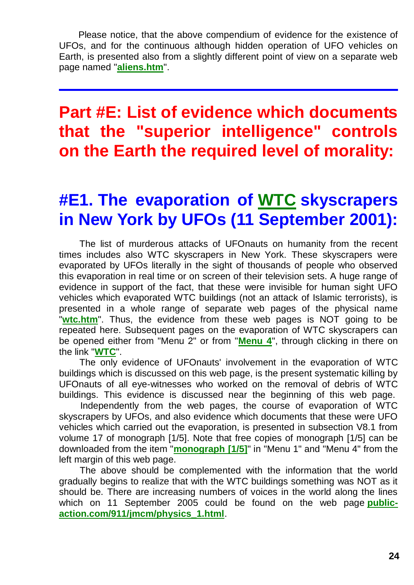Please notice, that the above compendium of evidence for the existence of UFOs, and for the continuous although hidden operation of UFO vehicles on Earth, is presented also from a slightly different point of view on a separate web page named "**[aliens.htm](http://totalizm.com.pl/aliens.htm)**".

## **Part #E: List of evidence which documents that the "superior intelligence" controls on the Earth the required level of morality:**

## **#E1. The evaporation of [WTC](http://totalizm.com.pl/wtc.htm) skyscrapers in New York by UFOs (11 September 2001):**

The list of murderous attacks of UFOnauts on humanity from the recent times includes also WTC skyscrapers in New York. These skyscrapers were evaporated by UFOs literally in the sight of thousands of people who observed this evaporation in real time or on screen of their television sets. A huge range of evidence in support of the fact, that these were invisible for human sight UFO vehicles which evaporated WTC buildings (not an attack of Islamic terrorists), is presented in a whole range of separate web pages of the physical name "**[wtc.htm](http://totalizm.com.pl/wtc.htm)**". Thus, the evidence from these web pages is NOT going to be repeated here. Subsequent pages on the evaporation of WTC skyscrapers can be opened either from "Menu 2" or from "**[Menu 4](http://totalizm.com.pl/menu.htm)**", through clicking in there on the link "**[WTC](http://totalizm.com.pl/wtc.htm)**".

The only evidence of UFOnauts' involvement in the evaporation of WTC buildings which is discussed on this web page, is the present systematic killing by UFOnauts of all eye-witnesses who worked on the removal of debris of WTC buildings. This evidence is discussed near the beginning of this web page.

Independently from the web pages, the course of evaporation of WTC skyscrapers by UFOs, and also evidence which documents that these were UFO vehicles which carried out the evaporation, is presented in subsection V8.1 from volume 17 of monograph [1/5]. Note that free copies of monograph [1/5] can be downloaded from the item "**[monograph \[1/5\]](http://totalizm.com.pl/text_1_5.htm)**" in "Menu 1" and "Menu 4" from the left margin of this web page.

The above should be complemented with the information that the world gradually begins to realize that with the WTC buildings something was NOT as it should be. There are increasing numbers of voices in the world along the lines which on 11 September 2005 could be found on the web page **[public](http://www.public-action.com/911/jmcm/physics_1.html)[action.com/911/jmcm/physics\\_1.html](http://www.public-action.com/911/jmcm/physics_1.html)**.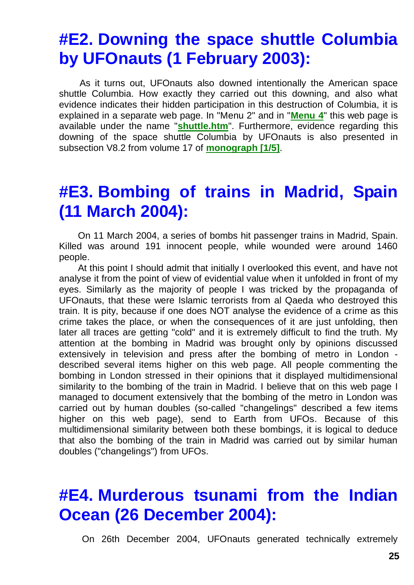## **#E2. Downing the space shuttle Columbia by UFOnauts (1 February 2003):**

As it turns out, UFOnauts also downed intentionally the American space shuttle Columbia. How exactly they carried out this downing, and also what evidence indicates their hidden participation in this destruction of Columbia, it is explained in a separate web page. In "Menu 2" and in "**[Menu 4](http://totalizm.com.pl/menu.htm)**" this web page is available under the name "**[shuttle.htm](http://totalizm.com.pl/shuttle.htm)**". Furthermore, evidence regarding this downing of the space shuttle Columbia by UFOnauts is also presented in subsection V8.2 from volume 17 of **[monograph \[1/5\]](http://totalizm.com.pl/text_1_5.htm)**.

#### **#E3. Bombing of trains in Madrid, Spain (11 March 2004):**

On 11 March 2004, a series of bombs hit passenger trains in Madrid, Spain. Killed was around 191 innocent people, while wounded were around 1460 people.

At this point I should admit that initially I overlooked this event, and have not analyse it from the point of view of evidential value when it unfolded in front of my eyes. Similarly as the majority of people I was tricked by the propaganda of UFOnauts, that these were Islamic terrorists from al Qaeda who destroyed this train. It is pity, because if one does NOT analyse the evidence of a crime as this crime takes the place, or when the consequences of it are just unfolding, then later all traces are getting "cold" and it is extremely difficult to find the truth. My attention at the bombing in Madrid was brought only by opinions discussed extensively in television and press after the bombing of metro in London described several items higher on this web page. All people commenting the bombing in London stressed in their opinions that it displayed multidimensional similarity to the bombing of the train in Madrid. I believe that on this web page I managed to document extensively that the bombing of the metro in London was carried out by human doubles (so-called "changelings" described a few items higher on this web page), send to Earth from UFOs. Because of this multidimensional similarity between both these bombings, it is logical to deduce that also the bombing of the train in Madrid was carried out by similar human doubles ("changelings") from UFOs.

## **#E4. Murderous tsunami from the Indian Ocean (26 December 2004):**

On 26th December 2004, UFOnauts generated technically extremely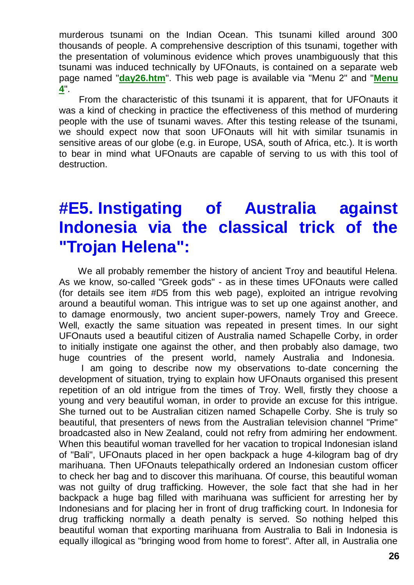murderous tsunami on the Indian Ocean. This tsunami killed around 300 thousands of people. A comprehensive description of this tsunami, together with the presentation of voluminous evidence which proves unambiguously that this tsunami was induced technically by UFOnauts, is contained on a separate web page named "**[day26.htm](http://totalizm.com.pl/day26.htm)**". This web page is available via "Menu 2" and "**[Menu](http://totalizm.com.pl/menu.htm)  [4](http://totalizm.com.pl/menu.htm)**".

From the characteristic of this tsunami it is apparent, that for UFOnauts it was a kind of checking in practice the effectiveness of this method of murdering people with the use of tsunami waves. After this testing release of the tsunami, we should expect now that soon UFOnauts will hit with similar tsunamis in sensitive areas of our globe (e.g. in Europe, USA, south of Africa, etc.). It is worth to bear in mind what UFOnauts are capable of serving to us with this tool of destruction.

## **#E5. Instigating of Australia against Indonesia via the classical trick of the "Trojan Helena":**

We all probably remember the history of ancient Troy and beautiful Helena. As we know, so-called "Greek gods" - as in these times UFOnauts were called (for details see item #D5 from this web page), exploited an intrigue revolving around a beautiful woman. This intrigue was to set up one against another, and to damage enormously, two ancient super-powers, namely Troy and Greece. Well, exactly the same situation was repeated in present times. In our sight UFOnauts used a beautiful citizen of Australia named Schapelle Corby, in order to initially instigate one against the other, and then probably also damage, two huge countries of the present world, namely Australia and Indonesia.

I am going to describe now my observations to-date concerning the development of situation, trying to explain how UFOnauts organised this present repetition of an old intrigue from the times of Troy. Well, firstly they choose a young and very beautiful woman, in order to provide an excuse for this intrigue. She turned out to be Australian citizen named Schapelle Corby. She is truly so beautiful, that presenters of news from the Australian television channel "Prime" broadcasted also in New Zealand, could not refry from admiring her endowment. When this beautiful woman travelled for her vacation to tropical Indonesian island of "Bali", UFOnauts placed in her open backpack a huge 4-kilogram bag of dry marihuana. Then UFOnauts telepathically ordered an Indonesian custom officer to check her bag and to discover this marihuana. Of course, this beautiful woman was not guilty of drug trafficking. However, the sole fact that she had in her backpack a huge bag filled with marihuana was sufficient for arresting her by Indonesians and for placing her in front of drug trafficking court. In Indonesia for drug trafficking normally a death penalty is served. So nothing helped this beautiful woman that exporting marihuana from Australia to Bali in Indonesia is equally illogical as "bringing wood from home to forest". After all, in Australia one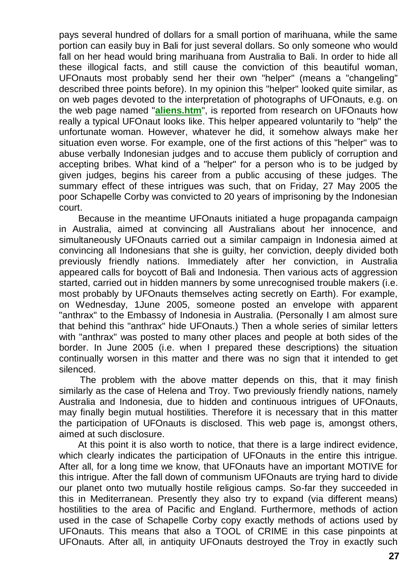pays several hundred of dollars for a small portion of marihuana, while the same portion can easily buy in Bali for just several dollars. So only someone who would fall on her head would bring marihuana from Australia to Bali. In order to hide all these illogical facts, and still cause the conviction of this beautiful woman, UFOnauts most probably send her their own "helper" (means a "changeling" described three points before). In my opinion this "helper" looked quite similar, as on web pages devoted to the interpretation of photographs of UFOnauts, e.g. on the web page named "**[aliens.htm](http://totalizm.com.pl/aliens.htm)**", is reported from research on UFOnauts how really a typical UFOnaut looks like. This helper appeared voluntarily to "help" the unfortunate woman. However, whatever he did, it somehow always make her situation even worse. For example, one of the first actions of this "helper" was to abuse verbally Indonesian judges and to accuse them publicly of corruption and accepting bribes. What kind of a "helper" for a person who is to be judged by given judges, begins his career from a public accusing of these judges. The summary effect of these intrigues was such, that on Friday, 27 May 2005 the poor Schapelle Corby was convicted to 20 years of imprisoning by the Indonesian court.

Because in the meantime UFOnauts initiated a huge propaganda campaign in Australia, aimed at convincing all Australians about her innocence, and simultaneously UFOnauts carried out a similar campaign in Indonesia aimed at convincing all Indonesians that she is guilty, her conviction, deeply divided both previously friendly nations. Immediately after her conviction, in Australia appeared calls for boycott of Bali and Indonesia. Then various acts of aggression started, carried out in hidden manners by some unrecognised trouble makers (i.e. most probably by UFOnauts themselves acting secretly on Earth). For example, on Wednesday, 1June 2005, someone posted an envelope with apparent "anthrax" to the Embassy of Indonesia in Australia. (Personally I am almost sure that behind this "anthrax" hide UFOnauts.) Then a whole series of similar letters with "anthrax" was posted to many other places and people at both sides of the border. In June 2005 (i.e. when I prepared these descriptions) the situation continually worsen in this matter and there was no sign that it intended to get silenced.

The problem with the above matter depends on this, that it may finish similarly as the case of Helena and Troy. Two previously friendly nations, namely Australia and Indonesia, due to hidden and continuous intrigues of UFOnauts, may finally begin mutual hostilities. Therefore it is necessary that in this matter the participation of UFOnauts is disclosed. This web page is, amongst others, aimed at such disclosure.

At this point it is also worth to notice, that there is a large indirect evidence, which clearly indicates the participation of UFOnauts in the entire this intrigue. After all, for a long time we know, that UFOnauts have an important MOTIVE for this intrigue. After the fall down of communism UFOnauts are trying hard to divide our planet onto two mutually hostile religious camps. So-far they succeeded in this in Mediterranean. Presently they also try to expand (via different means) hostilities to the area of Pacific and England. Furthermore, methods of action used in the case of Schapelle Corby copy exactly methods of actions used by UFOnauts. This means that also a TOOL of CRIME in this case pinpoints at UFOnauts. After all, in antiquity UFOnauts destroyed the Troy in exactly such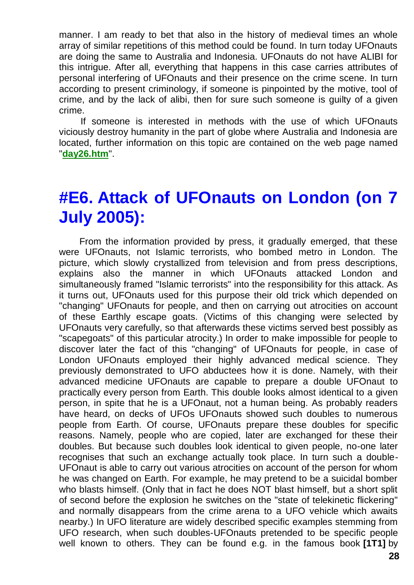manner. I am ready to bet that also in the history of medieval times an whole array of similar repetitions of this method could be found. In turn today UFOnauts are doing the same to Australia and Indonesia. UFOnauts do not have ALIBI for this intrigue. After all, everything that happens in this case carries attributes of personal interfering of UFOnauts and their presence on the crime scene. In turn according to present criminology, if someone is pinpointed by the motive, tool of crime, and by the lack of alibi, then for sure such someone is guilty of a given crime.

If someone is interested in methods with the use of which UFOnauts viciously destroy humanity in the part of globe where Australia and Indonesia are located, further information on this topic are contained on the web page named "**[day26.htm](http://totalizm.com.pl/day26.htm)**".

# **#E6. Attack of UFOnauts on London (on 7 July 2005):**

From the information provided by press, it gradually emerged, that these were UFOnauts, not Islamic terrorists, who bombed metro in London. The picture, which slowly crystallized from television and from press descriptions, explains also the manner in which UFOnauts attacked London and simultaneously framed "Islamic terrorists" into the responsibility for this attack. As it turns out, UFOnauts used for this purpose their old trick which depended on "changing" UFOnauts for people, and then on carrying out atrocities on account of these Earthly escape goats. (Victims of this changing were selected by UFOnauts very carefully, so that afterwards these victims served best possibly as "scapegoats" of this particular atrocity.) In order to make impossible for people to discover later the fact of this "changing" of UFOnauts for people, in case of London UFOnauts employed their highly advanced medical science. They previously demonstrated to UFO abductees how it is done. Namely, with their advanced medicine UFOnauts are capable to prepare a double UFOnaut to practically every person from Earth. This double looks almost identical to a given person, in spite that he is a UFOnaut, not a human being. As probably readers have heard, on decks of UFOs UFOnauts showed such doubles to numerous people from Earth. Of course, UFOnauts prepare these doubles for specific reasons. Namely, people who are copied, later are exchanged for these their doubles. But because such doubles look identical to given people, no-one later recognises that such an exchange actually took place. In turn such a double-UFOnaut is able to carry out various atrocities on account of the person for whom he was changed on Earth. For example, he may pretend to be a suicidal bomber who blasts himself. (Only that in fact he does NOT blast himself, but a short split of second before the explosion he switches on the "state of telekinetic flickering" and normally disappears from the crime arena to a UFO vehicle which awaits nearby.) In UFO literature are widely described specific examples stemming from UFO research, when such doubles-UFOnauts pretended to be specific people well known to others. They can be found e.g. in the famous book **[1T1]** by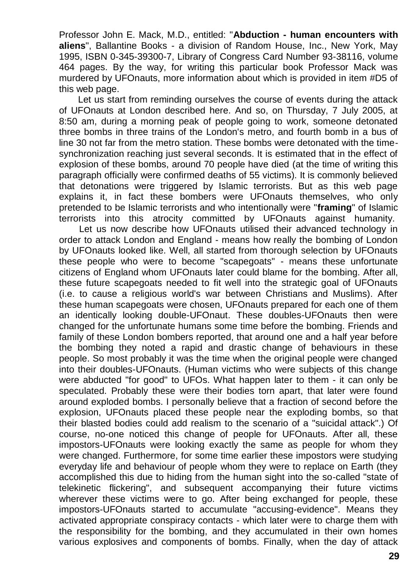Professor John E. Mack, M.D., entitled: "**Abduction - human encounters with aliens**", Ballantine Books - a division of Random House, Inc., New York, May 1995, ISBN 0-345-39300-7, Library of Congress Card Number 93-38116, volume 464 pages. By the way, for writing this particular book Professor Mack was murdered by UFOnauts, more information about which is provided in item #D5 of this web page.

Let us start from reminding ourselves the course of events during the attack of UFOnauts at London described here. And so, on Thursday, 7 July 2005, at 8:50 am, during a morning peak of people going to work, someone detonated three bombs in three trains of the London's metro, and fourth bomb in a bus of line 30 not far from the metro station. These bombs were detonated with the timesynchronization reaching just several seconds. It is estimated that in the effect of explosion of these bombs, around 70 people have died (at the time of writing this paragraph officially were confirmed deaths of 55 victims). It is commonly believed that detonations were triggered by Islamic terrorists. But as this web page explains it, in fact these bombers were UFOnauts themselves, who only pretended to be Islamic terrorists and who intentionally were "**framing**" of Islamic terrorists into this atrocity committed by UFOnauts against humanity.

Let us now describe how UFOnauts utilised their advanced technology in order to attack London and England - means how really the bombing of London by UFOnauts looked like. Well, all started from thorough selection by UFOnauts these people who were to become "scapegoats" - means these unfortunate citizens of England whom UFOnauts later could blame for the bombing. After all, these future scapegoats needed to fit well into the strategic goal of UFOnauts (i.e. to cause a religious world's war between Christians and Muslims). After these human scapegoats were chosen, UFOnauts prepared for each one of them an identically looking double-UFOnaut. These doubles-UFOnauts then were changed for the unfortunate humans some time before the bombing. Friends and family of these London bombers reported, that around one and a half year before the bombing they noted a rapid and drastic change of behaviours in these people. So most probably it was the time when the original people were changed into their doubles-UFOnauts. (Human victims who were subjects of this change were abducted "for good" to UFOs. What happen later to them - it can only be speculated. Probably these were their bodies torn apart, that later were found around exploded bombs. I personally believe that a fraction of second before the explosion, UFOnauts placed these people near the exploding bombs, so that their blasted bodies could add realism to the scenario of a "suicidal attack".) Of course, no-one noticed this change of people for UFOnauts. After all, these impostors-UFOnauts were looking exactly the same as people for whom they were changed. Furthermore, for some time earlier these impostors were studying everyday life and behaviour of people whom they were to replace on Earth (they accomplished this due to hiding from the human sight into the so-called "state of telekinetic flickering", and subsequent accompanying their future victims wherever these victims were to go. After being exchanged for people, these impostors-UFOnauts started to accumulate "accusing-evidence". Means they activated appropriate conspiracy contacts - which later were to charge them with the responsibility for the bombing, and they accumulated in their own homes various explosives and components of bombs. Finally, when the day of attack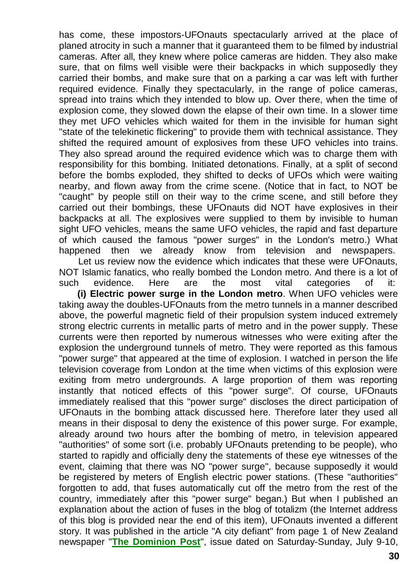has come, these impostors-UFOnauts spectacularly arrived at the place of planed atrocity in such a manner that it guaranteed them to be filmed by industrial cameras. After all, they knew where police cameras are hidden. They also make sure, that on films well visible were their backpacks in which supposedly they carried their bombs, and make sure that on a parking a car was left with further required evidence. Finally they spectacularly, in the range of police cameras, spread into trains which they intended to blow up. Over there, when the time of explosion come, they slowed down the elapse of their own time. In a slower time they met UFO vehicles which waited for them in the invisible for human sight "state of the telekinetic flickering" to provide them with technical assistance. They shifted the required amount of explosives from these UFO vehicles into trains. They also spread around the required evidence which was to charge them with responsibility for this bombing. Initiated detonations. Finally, at a split of second before the bombs exploded, they shifted to decks of UFOs which were waiting nearby, and flown away from the crime scene. (Notice that in fact, to NOT be "caught" by people still on their way to the crime scene, and still before they carried out their bombings, these UFOnauts did NOT have explosives in their backpacks at all. The explosives were supplied to them by invisible to human sight UFO vehicles, means the same UFO vehicles, the rapid and fast departure of which caused the famous "power surges" in the London's metro.) What happened then we already know from television and newspapers.

Let us review now the evidence which indicates that these were UFOnauts, NOT Islamic fanatics, who really bombed the London metro. And there is a lot of such evidence. Here are the most vital categories of it:

**(i) Electric power surge in the London metro**. When UFO vehicles were taking away the doubles-UFOnauts from the metro tunnels in a manner described above, the powerful magnetic field of their propulsion system induced extremely strong electric currents in metallic parts of metro and in the power supply. These currents were then reported by numerous witnesses who were exiting after the explosion the underground tunnels of metro. They were reported as this famous "power surge" that appeared at the time of explosion. I watched in person the life television coverage from London at the time when victims of this explosion were exiting from metro undergrounds. A large proportion of them was reporting instantly that noticed effects of this "power surge". Of course, UFOnauts immediately realised that this "power surge" discloses the direct participation of UFOnauts in the bombing attack discussed here. Therefore later they used all means in their disposal to deny the existence of this power surge. For example, already around two hours after the bombing of metro, in television appeared "authorities" of some sort (i.e. probably UFOnauts pretending to be people), who started to rapidly and officially deny the statements of these eye witnesses of the event, claiming that there was NO "power surge", because supposedly it would be registered by meters of English electric power stations. (These "authorities" forgotten to add, that fuses automatically cut off the metro from the rest of the country, immediately after this "power surge" began.) But when I published an explanation about the action of fuses in the blog of totalizm (the Internet address of this blog is provided near the end of this item), UFOnauts invented a different story. It was published in the article "A city defiant" from page 1 of New Zealand newspaper "**[The Dominion Post](http://dompost.co.nz/)**", issue dated on Saturday-Sunday, July 9-10,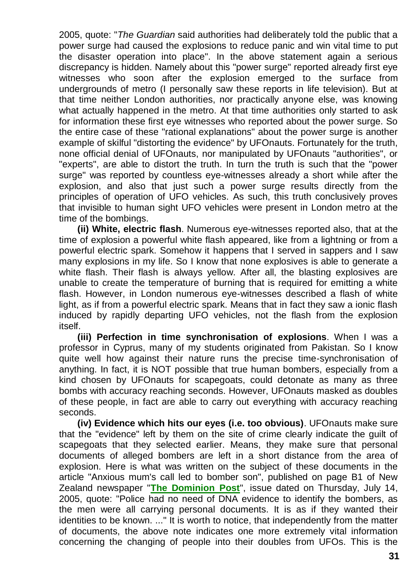2005, quote: "*The Guardian* said authorities had deliberately told the public that a power surge had caused the explosions to reduce panic and win vital time to put the disaster operation into place". In the above statement again a serious discrepancy is hidden. Namely about this "power surge" reported already first eye witnesses who soon after the explosion emerged to the surface from undergrounds of metro (I personally saw these reports in life television). But at that time neither London authorities, nor practically anyone else, was knowing what actually happened in the metro. At that time authorities only started to ask for information these first eye witnesses who reported about the power surge. So the entire case of these "rational explanations" about the power surge is another example of skilful "distorting the evidence" by UFOnauts. Fortunately for the truth, none official denial of UFOnauts, nor manipulated by UFOnauts "authorities", or "experts", are able to distort the truth. In turn the truth is such that the "power surge" was reported by countless eye-witnesses already a short while after the explosion, and also that just such a power surge results directly from the principles of operation of UFO vehicles. As such, this truth conclusively proves that invisible to human sight UFO vehicles were present in London metro at the time of the bombings.

**(ii) White, electric flash**. Numerous eye-witnesses reported also, that at the time of explosion a powerful white flash appeared, like from a lightning or from a powerful electric spark. Somehow it happens that I served in sappers and I saw many explosions in my life. So I know that none explosives is able to generate a white flash. Their flash is always yellow. After all, the blasting explosives are unable to create the temperature of burning that is required for emitting a white flash. However, in London numerous eye-witnesses described a flash of white light, as if from a powerful electric spark. Means that in fact they saw a ionic flash induced by rapidly departing UFO vehicles, not the flash from the explosion itself.

**(iii) Perfection in time synchronisation of explosions**. When I was a professor in Cyprus, many of my students originated from Pakistan. So I know quite well how against their nature runs the precise time-synchronisation of anything. In fact, it is NOT possible that true human bombers, especially from a kind chosen by UFOnauts for scapegoats, could detonate as many as three bombs with accuracy reaching seconds. However, UFOnauts masked as doubles of these people, in fact are able to carry out everything with accuracy reaching seconds.

**(iv) Evidence which hits our eyes (i.e. too obvious)**. UFOnauts make sure that the "evidence" left by them on the site of crime clearly indicate the guilt of scapegoats that they selected earlier. Means, they make sure that personal documents of alleged bombers are left in a short distance from the area of explosion. Here is what was written on the subject of these documents in the article "Anxious mum's call led to bomber son", published on page B1 of New Zealand newspaper "**[The Dominion Post](http://dompost.co.nz/)**", issue dated on Thursday, July 14, 2005, quote: "Police had no need of DNA evidence to identify the bombers, as the men were all carrying personal documents. It is as if they wanted their identities to be known. ..." It is worth to notice, that independently from the matter of documents, the above note indicates one more extremely vital information concerning the changing of people into their doubles from UFOs. This is the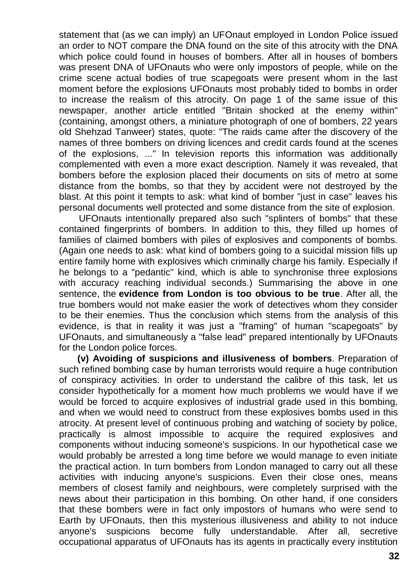statement that (as we can imply) an UFOnaut employed in London Police issued an order to NOT compare the DNA found on the site of this atrocity with the DNA which police could found in houses of bombers. After all in houses of bombers was present DNA of UFOnauts who were only impostors of people, while on the crime scene actual bodies of true scapegoats were present whom in the last moment before the explosions UFOnauts most probably tided to bombs in order to increase the realism of this atrocity. On page 1 of the same issue of this newspaper, another article entitled "Britain shocked at the enemy within" (containing, amongst others, a miniature photograph of one of bombers, 22 years old Shehzad Tanweer) states, quote: "The raids came after the discovery of the names of three bombers on driving licences and credit cards found at the scenes of the explosions, ..." In television reports this information was additionally complemented with even a more exact description. Namely it was revealed, that bombers before the explosion placed their documents on sits of metro at some distance from the bombs, so that they by accident were not destroyed by the blast. At this point it tempts to ask: what kind of bomber "just in case" leaves his personal documents well protected and some distance from the site of explosion.

UFOnauts intentionally prepared also such "splinters of bombs" that these contained fingerprints of bombers. In addition to this, they filled up homes of families of claimed bombers with piles of explosives and components of bombs. (Again one needs to ask: what kind of bombers going to a suicidal mission fills up entire family home with explosives which criminally charge his family. Especially if he belongs to a "pedantic" kind, which is able to synchronise three explosions with accuracy reaching individual seconds.) Summarising the above in one sentence, the **evidence from London is too obvious to be true**. After all, the true bombers would not make easier the work of detectives whom they consider to be their enemies. Thus the conclusion which stems from the analysis of this evidence, is that in reality it was just a "framing" of human "scapegoats" by UFOnauts, and simultaneously a "false lead" prepared intentionally by UFOnauts for the London police forces.

**(v) Avoiding of suspicions and illusiveness of bombers**. Preparation of such refined bombing case by human terrorists would require a huge contribution of conspiracy activities. In order to understand the calibre of this task, let us consider hypothetically for a moment how much problems we would have if we would be forced to acquire explosives of industrial grade used in this bombing, and when we would need to construct from these explosives bombs used in this atrocity. At present level of continuous probing and watching of society by police, practically is almost impossible to acquire the required explosives and components without inducing someone's suspicions. In our hypothetical case we would probably be arrested a long time before we would manage to even initiate the practical action. In turn bombers from London managed to carry out all these activities with inducing anyone's suspicions. Even their close ones, means members of closest family and neighbours, were completely surprised with the news about their participation in this bombing. On other hand, if one considers that these bombers were in fact only impostors of humans who were send to Earth by UFOnauts, then this mysterious illusiveness and ability to not induce anyone's suspicions become fully understandable. After all, secretive occupational apparatus of UFOnauts has its agents in practically every institution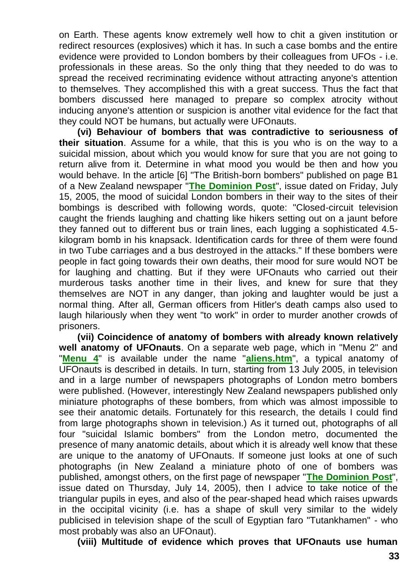on Earth. These agents know extremely well how to chit a given institution or redirect resources (explosives) which it has. In such a case bombs and the entire evidence were provided to London bombers by their colleagues from UFOs - i.e. professionals in these areas. So the only thing that they needed to do was to spread the received recriminating evidence without attracting anyone's attention to themselves. They accomplished this with a great success. Thus the fact that bombers discussed here managed to prepare so complex atrocity without inducing anyone's attention or suspicion is another vital evidence for the fact that they could NOT be humans, but actually were UFOnauts.

**(vi) Behaviour of bombers that was contradictive to seriousness of their situation**. Assume for a while, that this is you who is on the way to a suicidal mission, about which you would know for sure that you are not going to return alive from it. Determine in what mood you would be then and how you would behave. In the article [6] "The British-born bombers" published on page B1 of a New Zealand newspaper "**[The Dominion Post](http://dompost.co.nz/)**", issue dated on Friday, July 15, 2005, the mood of suicidal London bombers in their way to the sites of their bombings is described with following words, quote: "Closed-circuit television caught the friends laughing and chatting like hikers setting out on a jaunt before they fanned out to different bus or train lines, each lugging a sophisticated 4.5 kilogram bomb in his knapsack. Identification cards for three of them were found in two Tube carriages and a bus destroyed in the attacks." If these bombers were people in fact going towards their own deaths, their mood for sure would NOT be for laughing and chatting. But if they were UFOnauts who carried out their murderous tasks another time in their lives, and knew for sure that they themselves are NOT in any danger, than joking and laughter would be just a normal thing. After all, German officers from Hitler's death camps also used to laugh hilariously when they went "to work" in order to murder another crowds of prisoners.

**(vii) Coincidence of anatomy of bombers with already known relatively well anatomy of UFOnauts**. On a separate web page, which in "Menu 2" and "**[Menu 4](http://totalizm.com.pl/menu.htm)**" is available under the name "**[aliens.htm](http://totalizm.com.pl/aliens.htm)**", a typical anatomy of UFOnauts is described in details. In turn, starting from 13 July 2005, in television and in a large number of newspapers photographs of London metro bombers were published. (However, interestingly New Zealand newspapers published only miniature photographs of these bombers, from which was almost impossible to see their anatomic details. Fortunately for this research, the details I could find from large photographs shown in television.) As it turned out, photographs of all four "suicidal Islamic bombers" from the London metro, documented the presence of many anatomic details, about which it is already well know that these are unique to the anatomy of UFOnauts. If someone just looks at one of such photographs (in New Zealand a miniature photo of one of bombers was published, amongst others, on the first page of newspaper "**[The Dominion Post](http://dompost.co.nz/)**", issue dated on Thursday, July 14, 2005), then I advice to take notice of the triangular pupils in eyes, and also of the pear-shaped head which raises upwards in the occipital vicinity (i.e. has a shape of skull very similar to the widely publicised in television shape of the scull of Egyptian faro "Tutankhamen" - who most probably was also an UFOnaut).

**(viii) Multitude of evidence which proves that UFOnauts use human**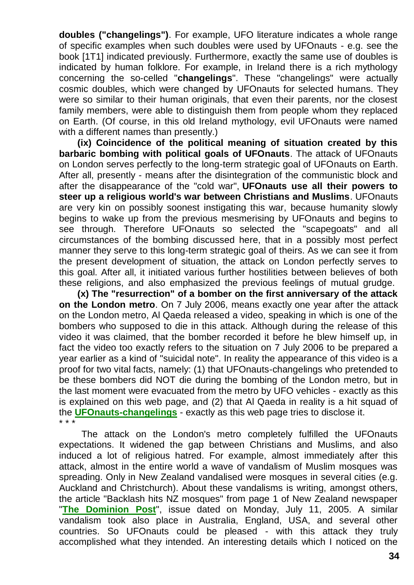**doubles ("changelings")**. For example, UFO literature indicates a whole range of specific examples when such doubles were used by UFOnauts - e.g. see the book [1T1] indicated previously. Furthermore, exactly the same use of doubles is indicated by human folklore. For example, in Ireland there is a rich mythology concerning the so-celled "**changelings**". These "changelings" were actually cosmic doubles, which were changed by UFOnauts for selected humans. They were so similar to their human originals, that even their parents, nor the closest family members, were able to distinguish them from people whom they replaced on Earth. (Of course, in this old Ireland mythology, evil UFOnauts were named with a different names than presently.)

**(ix) Coincidence of the political meaning of situation created by this barbaric bombing with political goals of UFOnauts**. The attack of UFOnauts on London serves perfectly to the long-term strategic goal of UFOnauts on Earth. After all, presently - means after the disintegration of the communistic block and after the disappearance of the "cold war", **UFOnauts use all their powers to steer up a religious world's war between Christians and Muslims**. UFOnauts are very kin on possibly soonest instigating this war, because humanity slowly begins to wake up from the previous mesmerising by UFOnauts and begins to see through. Therefore UFOnauts so selected the "scapegoats" and all circumstances of the bombing discussed here, that in a possibly most perfect manner they serve to this long-term strategic goal of theirs. As we can see it from the present development of situation, the attack on London perfectly serves to this goal. After all, it initiated various further hostilities between believes of both these religions, and also emphasized the previous feelings of mutual grudge.

**(x) The "resurrection" of a bomber on the first anniversary of the attack on the London metro**. On 7 July 2006, means exactly one year after the attack on the London metro, Al Qaeda released a video, speaking in which is one of the bombers who supposed to die in this attack. Although during the release of this video it was claimed, that the bomber recorded it before he blew himself up, in fact the video too exactly refers to the situation on 7 July 2006 to be prepared a year earlier as a kind of "suicidal note". In reality the appearance of this video is a proof for two vital facts, namely: (1) that UFOnauts-changelings who pretended to be these bombers did NOT die during the bombing of the London metro, but in the last moment were evacuated from the metro by UFO vehicles - exactly as this is explained on this web page, and (2) that Al Qaeda in reality is a hit squad of the **[UFOnauts-changelings](http://totalizm.com.pl/changelings.htm)** - exactly as this web page tries to disclose it. \* \* \*

The attack on the London's metro completely fulfilled the UFOnauts expectations. It widened the gap between Christians and Muslims, and also induced a lot of religious hatred. For example, almost immediately after this attack, almost in the entire world a wave of vandalism of Muslim mosques was spreading. Only in New Zealand vandalised were mosques in several cities (e.g. Auckland and Christchurch). About these vandalisms is writing, amongst others, the article "Backlash hits NZ mosques" from page 1 of New Zealand newspaper "**[The Dominion Post](http://dompost.co.nz/)**", issue dated on Monday, July 11, 2005. A similar vandalism took also place in Australia, England, USA, and several other countries. So UFOnauts could be pleased - with this attack they truly accomplished what they intended. An interesting details which I noticed on the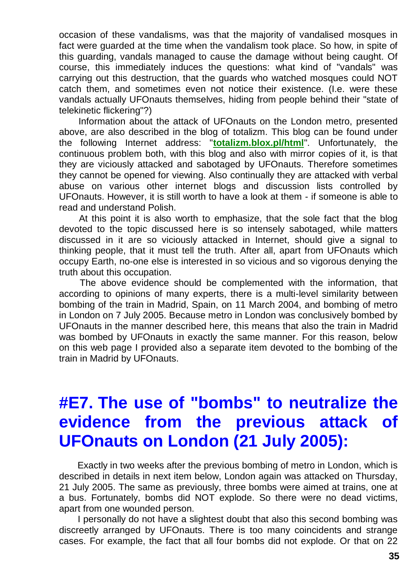occasion of these vandalisms, was that the majority of vandalised mosques in fact were guarded at the time when the vandalism took place. So how, in spite of this guarding, vandals managed to cause the damage without being caught. Of course, this immediately induces the questions: what kind of "vandals" was carrying out this destruction, that the guards who watched mosques could NOT catch them, and sometimes even not notice their existence. (I.e. were these vandals actually UFOnauts themselves, hiding from people behind their "state of telekinetic flickering"?)

Information about the attack of UFOnauts on the London metro, presented above, are also described in the blog of totalizm. This blog can be found under the following Internet address: "**[totalizm.blox.pl/html](http://totalizm.blox.pl/html/)**". Unfortunately, the continuous problem both, with this blog and also with mirror copies of it, is that they are viciously attacked and sabotaged by UFOnauts. Therefore sometimes they cannot be opened for viewing. Also continually they are attacked with verbal abuse on various other internet blogs and discussion lists controlled by UFOnauts. However, it is still worth to have a look at them - if someone is able to read and understand Polish.

At this point it is also worth to emphasize, that the sole fact that the blog devoted to the topic discussed here is so intensely sabotaged, while matters discussed in it are so viciously attacked in Internet, should give a signal to thinking people, that it must tell the truth. After all, apart from UFOnauts which occupy Earth, no-one else is interested in so vicious and so vigorous denying the truth about this occupation.

The above evidence should be complemented with the information, that according to opinions of many experts, there is a multi-level similarity between bombing of the train in Madrid, Spain, on 11 March 2004, and bombing of metro in London on 7 July 2005. Because metro in London was conclusively bombed by UFOnauts in the manner described here, this means that also the train in Madrid was bombed by UFOnauts in exactly the same manner. For this reason, below on this web page I provided also a separate item devoted to the bombing of the train in Madrid by UFOnauts.

# **#E7. The use of "bombs" to neutralize the evidence from the previous attack of UFOnauts on London (21 July 2005):**

Exactly in two weeks after the previous bombing of metro in London, which is described in details in next item below, London again was attacked on Thursday, 21 July 2005. The same as previously, three bombs were aimed at trains, one at a bus. Fortunately, bombs did NOT explode. So there were no dead victims, apart from one wounded person.

I personally do not have a slightest doubt that also this second bombing was discreetly arranged by UFOnauts. There is too many coincidents and strange cases. For example, the fact that all four bombs did not explode. Or that on 22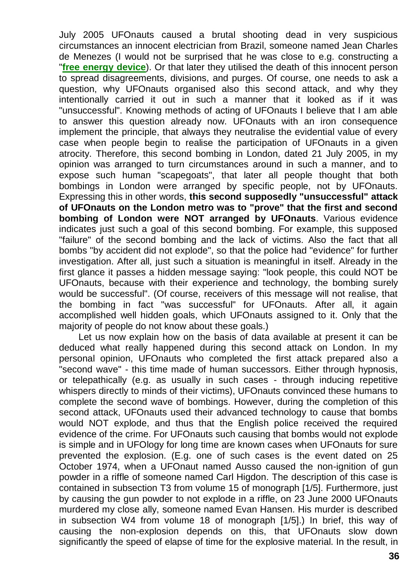July 2005 UFOnauts caused a brutal shooting dead in very suspicious circumstances an innocent electrician from Brazil, someone named Jean Charles de Menezes (I would not be surprised that he was close to e.g. constructing a "**[free energy device](http://totalizm.com.pl/free_energy.htm)**). Or that later they utilised the death of this innocent person to spread disagreements, divisions, and purges. Of course, one needs to ask a question, why UFOnauts organised also this second attack, and why they intentionally carried it out in such a manner that it looked as if it was "unsuccessful". Knowing methods of acting of UFOnauts I believe that I am able to answer this question already now. UFOnauts with an iron consequence implement the principle, that always they neutralise the evidential value of every case when people begin to realise the participation of UFOnauts in a given atrocity. Therefore, this second bombing in London, dated 21 July 2005, in my opinion was arranged to turn circumstances around in such a manner, and to expose such human "scapegoats", that later all people thought that both bombings in London were arranged by specific people, not by UFOnauts. Expressing this in other words, **this second supposedly "unsuccessful" attack of UFOnauts on the London metro was to "prove" that the first and second bombing of London were NOT arranged by UFOnauts**. Various evidence indicates just such a goal of this second bombing. For example, this supposed "failure" of the second bombing and the lack of victims. Also the fact that all bombs "by accident did not explode", so that the police had "evidence" for further investigation. After all, just such a situation is meaningful in itself. Already in the first glance it passes a hidden message saying: "look people, this could NOT be UFOnauts, because with their experience and technology, the bombing surely would be successful". (Of course, receivers of this message will not realise, that the bombing in fact "was successful" for UFOnauts. After all, it again accomplished well hidden goals, which UFOnauts assigned to it. Only that the majority of people do not know about these goals.)

Let us now explain how on the basis of data available at present it can be deduced what really happened during this second attack on London. In my personal opinion, UFOnauts who completed the first attack prepared also a "second wave" - this time made of human successors. Either through hypnosis, or telepathically (e.g. as usually in such cases - through inducing repetitive whispers directly to minds of their victims), UFOnauts convinced these humans to complete the second wave of bombings. However, during the completion of this second attack, UFOnauts used their advanced technology to cause that bombs would NOT explode, and thus that the English police received the required evidence of the crime. For UFOnauts such causing that bombs would not explode is simple and in UFOlogy for long time are known cases when UFOnauts for sure prevented the explosion. (E.g. one of such cases is the event dated on 25 October 1974, when a UFOnaut named Ausso caused the non-ignition of gun powder in a riffle of someone named Carl Higdon. The description of this case is contained in subsection T3 from volume 15 of monograph [1/5]. Furthermore, just by causing the gun powder to not explode in a riffle, on 23 June 2000 UFOnauts murdered my close ally, someone named Evan Hansen. His murder is described in subsection W4 from volume 18 of monograph [1/5].) In brief, this way of causing the non-explosion depends on this, that UFOnauts slow down significantly the speed of elapse of time for the explosive material. In the result, in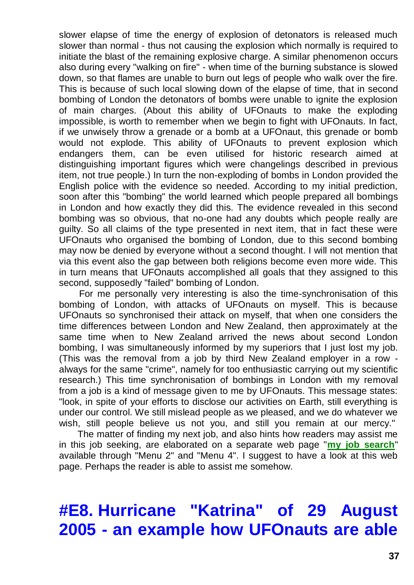slower elapse of time the energy of explosion of detonators is released much slower than normal - thus not causing the explosion which normally is required to initiate the blast of the remaining explosive charge. A similar phenomenon occurs also during every "walking on fire" - when time of the burning substance is slowed down, so that flames are unable to burn out legs of people who walk over the fire. This is because of such local slowing down of the elapse of time, that in second bombing of London the detonators of bombs were unable to ignite the explosion of main charges. (About this ability of UFOnauts to make the exploding impossible, is worth to remember when we begin to fight with UFOnauts. In fact, if we unwisely throw a grenade or a bomb at a UFOnaut, this grenade or bomb would not explode. This ability of UFOnauts to prevent explosion which endangers them, can be even utilised for historic research aimed at distinguishing important figures which were changelings described in previous item, not true people.) In turn the non-exploding of bombs in London provided the English police with the evidence so needed. According to my initial prediction, soon after this "bombing" the world learned which people prepared all bombings in London and how exactly they did this. The evidence revealed in this second bombing was so obvious, that no-one had any doubts which people really are guilty. So all claims of the type presented in next item, that in fact these were UFOnauts who organised the bombing of London, due to this second bombing may now be denied by everyone without a second thought. I will not mention that via this event also the gap between both religions become even more wide. This in turn means that UFOnauts accomplished all goals that they assigned to this second, supposedly "failed" bombing of London.

For me personally very interesting is also the time-synchronisation of this bombing of London, with attacks of UFOnauts on myself. This is because UFOnauts so synchronised their attack on myself, that when one considers the time differences between London and New Zealand, then approximately at the same time when to New Zealand arrived the news about second London bombing, I was simultaneously informed by my superiors that I just lost my job. (This was the removal from a job by third New Zealand employer in a row always for the same "crime", namely for too enthusiastic carrying out my scientific research.) This time synchronisation of bombings in London with my removal from a job is a kind of message given to me by UFOnauts. This message states: "look, in spite of your efforts to disclose our activities on Earth, still everything is under our control. We still mislead people as we pleased, and we do whatever we wish, still people believe us not you, and still you remain at our mercy."

The matter of finding my next job, and also hints how readers may assist me in this job seeking, are elaborated on a separate web page "**[my job search](http://totalizm.com.pl/job.htm)**" available through "Menu 2" and "Menu 4". I suggest to have a look at this web page. Perhaps the reader is able to assist me somehow.

# **#E8. Hurricane "Katrina" of 29 August 2005 - an example how UFOnauts are able**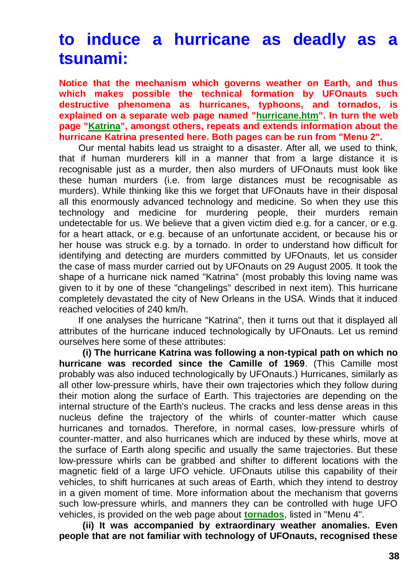## **to induce a hurricane as deadly as a tsunami:**

**Notice that the mechanism which governs weather on Earth, and thus which makes possible the technical formation by UFOnauts such destructive phenomena as hurricanes, typhoons, and tornados, is explained on a separate web page named ["hurricane.htm"](http://totalizm.com.pl/hurricane.htm). In turn the web page ["Katrina"](http://totalizm.com.pl/katrina.htm), amongst others, repeats and extends information about the hurricane Katrina presented here. Both pages can be run from "Menu 2".**

Our mental habits lead us straight to a disaster. After all, we used to think, that if human murderers kill in a manner that from a large distance it is recognisable just as a murder, then also murders of UFOnauts must look like these human murders (i.e. from large distances must be recognisable as murders). While thinking like this we forget that UFOnauts have in their disposal all this enormously advanced technology and medicine. So when they use this technology and medicine for murdering people, their murders remain undetectable for us. We believe that a given victim died e.g. for a cancer, or e.g. for a heart attack, or e.g. because of an unfortunate accident, or because his or her house was struck e.g. by a tornado. In order to understand how difficult for identifying and detecting are murders committed by UFOnauts, let us consider the case of mass murder carried out by UFOnauts on 29 August 2005. It took the shape of a hurricane nick named "Katrina" (most probably this loving name was given to it by one of these "changelings" described in next item). This hurricane completely devastated the city of New Orleans in the USA. Winds that it induced reached velocities of 240 km/h.

If one analyses the hurricane "Katrina", then it turns out that it displayed all attributes of the hurricane induced technologically by UFOnauts. Let us remind ourselves here some of these attributes:

**(i) The hurricane Katrina was following a non-typical path on which no hurricane was recorded since the Camille of 1969**. (This Camille most probably was also induced technologically by UFOnauts.) Hurricanes, similarly as all other low-pressure whirls, have their own trajectories which they follow during their motion along the surface of Earth. This trajectories are depending on the internal structure of the Earth's nucleus. The cracks and less dense areas in this nucleus define the trajectory of the whirls of counter-matter which cause hurricanes and tornados. Therefore, in normal cases, low-pressure whirls of counter-matter, and also hurricanes which are induced by these whirls, move at the surface of Earth along specific and usually the same trajectories. But these low-pressure whirls can be grabbed and shifter to different locations with the magnetic field of a large UFO vehicle. UFOnauts utilise this capability of their vehicles, to shift hurricanes at such areas of Earth, which they intend to destroy in a given moment of time. More information about the mechanism that governs such low-pressure whirls, and manners they can be controlled with huge UFO vehicles, is provided on the web page about **[tornados](http://totalizm.com.pl/tornado.htm)**, listed in "Menu 4".

**(ii) It was accompanied by extraordinary weather anomalies. Even people that are not familiar with technology of UFOnauts, recognised these**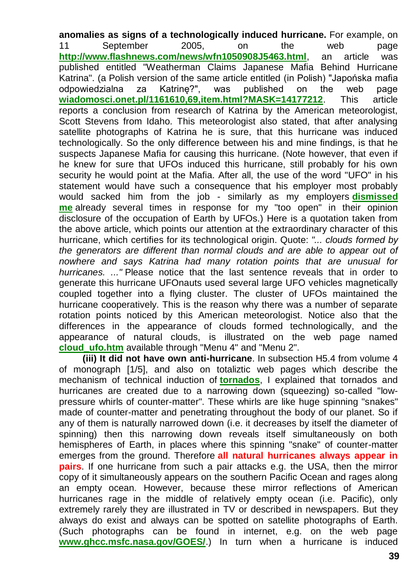**anomalies as signs of a technologically induced hurricane.** For example, on 11 September 2005, on the web page **<http://www.flashnews.com/news/wfn1050908J5463.html>**, an article was published entitled "Weatherman Claims Japanese Mafia Behind Hurricane Katrina". (a Polish version of the same article entitled (in Polish) "Japońska mafia odpowiedzialna za Katrinę?", was published on the web page **[wiadomosci.onet.pl/1161610,69,item.html?MASK=14177212](http://wiadomosci.onet.pl/1161610,69,item.html?MASK=14177212)**. This article reports a conclusion from research of Katrina by the American meteorologist, Scott Stevens from Idaho. This meteorologist also stated, that after analysing satellite photographs of Katrina he is sure, that this hurricane was induced technologically. So the only difference between his and mine findings, is that he suspects Japanese Mafia for causing this hurricane. (Note however, that even if he knew for sure that UFOs induced this hurricane, still probably for his own security he would point at the Mafia. After all, the use of the word "UFO" in his statement would have such a consequence that his employer most probably would sacked him from the job - similarly as my employers **[dismissed](http://totalizm.com.pl/job.htm)  [me](http://totalizm.com.pl/job.htm)** already several times in response for my "too open" in their opinion disclosure of the occupation of Earth by UFOs.) Here is a quotation taken from the above article, which points our attention at the extraordinary character of this hurricane, which certifies for its technological origin. Quote: *"... clouds formed by the generators are different than normal clouds and are able to appear out of nowhere and says Katrina had many rotation points that are unusual for hurricanes. ..."* Please notice that the last sentence reveals that in order to generate this hurricane UFOnauts used several large UFO vehicles magnetically coupled together into a flying cluster. The cluster of UFOs maintained the hurricane cooperatively. This is the reason why there was a number of separate rotation points noticed by this American meteorologist. Notice also that the differences in the appearance of clouds formed technologically, and the appearance of natural clouds, is illustrated on the web page named **[cloud\\_ufo.htm](http://totalizm.com.pl/cloud_ufo.htm)** available through "Menu 4" and "Menu 2".

**(iii) It did not have own anti-hurricane**. In subsection H5.4 from volume 4 of monograph [1/5], and also on totaliztic web pages which describe the mechanism of technical induction of **[tornados](http://totalizm.com.pl/tornado.htm)**, I explained that tornados and hurricanes are created due to a narrowing down (squeezing) so-called "lowpressure whirls of counter-matter". These whirls are like huge spinning "snakes" made of counter-matter and penetrating throughout the body of our planet. So if any of them is naturally narrowed down (i.e. it decreases by itself the diameter of spinning) then this narrowing down reveals itself simultaneously on both hemispheres of Earth, in places where this spinning "snake" of counter-matter emerges from the ground. Therefore **all natural hurricanes always appear in pairs**. If one hurricane from such a pair attacks e.g. the USA, then the mirror copy of it simultaneously appears on the southern Pacific Ocean and rages along an empty ocean. However, because these mirror reflections of American hurricanes rage in the middle of relatively empty ocean (i.e. Pacific), only extremely rarely they are illustrated in TV or described in newspapers. But they always do exist and always can be spotted on satellite photographs of Earth. (Such photographs can be found in internet, e.g. on the web page **[www.ghcc.msfc.nasa.gov/GOES/](http://www.ghcc.msfc.nasa.gov/GOES/)**.) In turn when a hurricane is induced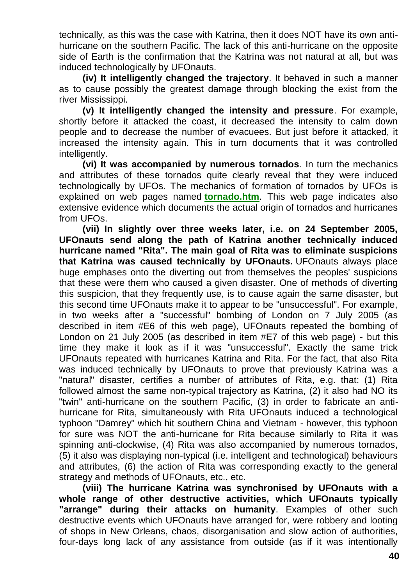technically, as this was the case with Katrina, then it does NOT have its own antihurricane on the southern Pacific. The lack of this anti-hurricane on the opposite side of Earth is the confirmation that the Katrina was not natural at all, but was induced technologically by UFOnauts.

**(iv) It intelligently changed the trajectory**. It behaved in such a manner as to cause possibly the greatest damage through blocking the exist from the river Mississippi.

**(v) It intelligently changed the intensity and pressure**. For example, shortly before it attacked the coast, it decreased the intensity to calm down people and to decrease the number of evacuees. But just before it attacked, it increased the intensity again. This in turn documents that it was controlled intelligently.

**(vi) It was accompanied by numerous tornados**. In turn the mechanics and attributes of these tornados quite clearly reveal that they were induced technologically by UFOs. The mechanics of formation of tornados by UFOs is explained on web pages named **[tornado.htm](http://totalizm.com.pl/tornado.htm)**. This web page indicates also extensive evidence which documents the actual origin of tornados and hurricanes from UFOs.

**(vii) In slightly over three weeks later, i.e. on 24 September 2005, UFOnauts send along the path of Katrina another technically induced hurricane named "Rita". The main goal of Rita was to eliminate suspicions that Katrina was caused technically by UFOnauts.** UFOnauts always place huge emphases onto the diverting out from themselves the peoples' suspicions that these were them who caused a given disaster. One of methods of diverting this suspicion, that they frequently use, is to cause again the same disaster, but this second time UFOnauts make it to appear to be "unsuccessful". For example, in two weeks after a "successful" bombing of London on 7 July 2005 (as described in item #E6 of this web page), UFOnauts repeated the bombing of London on 21 July 2005 (as described in item #E7 of this web page) - but this time they make it look as if it was "unsuccessful". Exactly the same trick UFOnauts repeated with hurricanes Katrina and Rita. For the fact, that also Rita was induced technically by UFOnauts to prove that previously Katrina was a "natural" disaster, certifies a number of attributes of Rita, e.g. that: (1) Rita followed almost the same non-typical trajectory as Katrina, (2) it also had NO its "twin" anti-hurricane on the southern Pacific, (3) in order to fabricate an antihurricane for Rita, simultaneously with Rita UFOnauts induced a technological typhoon "Damrey" which hit southern China and Vietnam - however, this typhoon for sure was NOT the anti-hurricane for Rita because similarly to Rita it was spinning anti-clockwise, (4) Rita was also accompanied by numerous tornados, (5) it also was displaying non-typical (i.e. intelligent and technological) behaviours and attributes, (6) the action of Rita was corresponding exactly to the general strategy and methods of UFOnauts, etc., etc.

**(viii) The hurricane Katrina was synchronised by UFOnauts with a whole range of other destructive activities, which UFOnauts typically "arrange" during their attacks on humanity**. Examples of other such destructive events which UFOnauts have arranged for, were robbery and looting of shops in New Orleans, chaos, disorganisation and slow action of authorities, four-days long lack of any assistance from outside (as if it was intentionally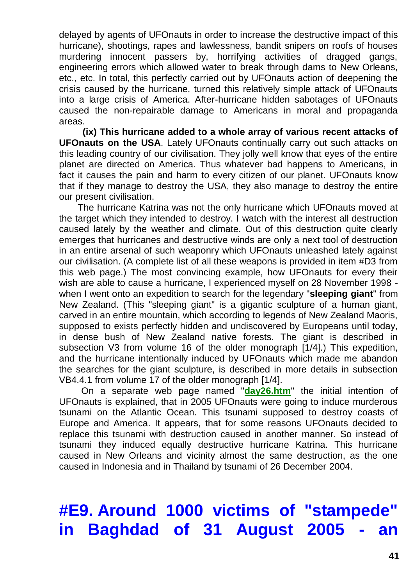delayed by agents of UFOnauts in order to increase the destructive impact of this hurricane), shootings, rapes and lawlessness, bandit snipers on roofs of houses murdering innocent passers by, horrifying activities of dragged gangs, engineering errors which allowed water to break through dams to New Orleans, etc., etc. In total, this perfectly carried out by UFOnauts action of deepening the crisis caused by the hurricane, turned this relatively simple attack of UFOnauts into a large crisis of America. After-hurricane hidden sabotages of UFOnauts caused the non-repairable damage to Americans in moral and propaganda areas.

**(ix) This hurricane added to a whole array of various recent attacks of UFOnauts on the USA**. Lately UFOnauts continually carry out such attacks on this leading country of our civilisation. They jolly well know that eyes of the entire planet are directed on America. Thus whatever bad happens to Americans, in fact it causes the pain and harm to every citizen of our planet. UFOnauts know that if they manage to destroy the USA, they also manage to destroy the entire our present civilisation.

The hurricane Katrina was not the only hurricane which UFOnauts moved at the target which they intended to destroy. I watch with the interest all destruction caused lately by the weather and climate. Out of this destruction quite clearly emerges that hurricanes and destructive winds are only a next tool of destruction in an entire arsenal of such weaponry which UFOnauts unleashed lately against our civilisation. (A complete list of all these weapons is provided in item #D3 from this web page.) The most convincing example, how UFOnauts for every their wish are able to cause a hurricane, I experienced myself on 28 November 1998 when I went onto an expedition to search for the legendary "**sleeping giant**" from New Zealand. (This "sleeping giant" is a gigantic sculpture of a human giant, carved in an entire mountain, which according to legends of New Zealand Maoris, supposed to exists perfectly hidden and undiscovered by Europeans until today, in dense bush of New Zealand native forests. The giant is described in subsection V3 from volume 16 of the older monograph [1/4].) This expedition, and the hurricane intentionally induced by UFOnauts which made me abandon the searches for the giant sculpture, is described in more details in subsection VB4.4.1 from volume 17 of the older monograph [1/4].

On a separate web page named "**[day26.htm](http://totalizm.com.pl/day26.htm)**" the initial intention of UFOnauts is explained, that in 2005 UFOnauts were going to induce murderous tsunami on the Atlantic Ocean. This tsunami supposed to destroy coasts of Europe and America. It appears, that for some reasons UFOnauts decided to replace this tsunami with destruction caused in another manner. So instead of tsunami they induced equally destructive hurricane Katrina. This hurricane caused in New Orleans and vicinity almost the same destruction, as the one caused in Indonesia and in Thailand by tsunami of 26 December 2004.

# **#E9. Around 1000 victims of "stampede" in Baghdad of 31 August 2005**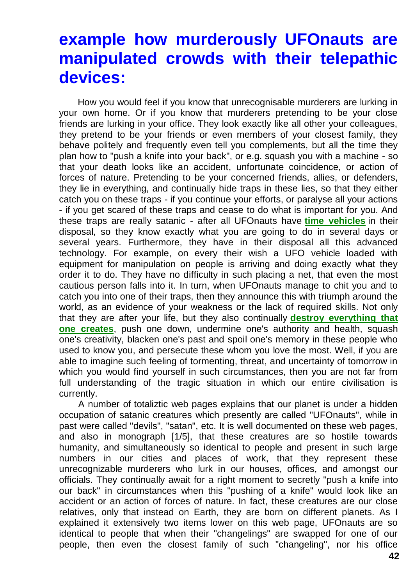#### **example how murderously UFOnauts are manipulated crowds with their telepathic devices:**

How you would feel if you know that unrecognisable murderers are lurking in your own home. Or if you know that murderers pretending to be your close friends are lurking in your office. They look exactly like all other your colleagues, they pretend to be your friends or even members of your closest family, they behave politely and frequently even tell you complements, but all the time they plan how to "push a knife into your back", or e.g. squash you with a machine - so that your death looks like an accident, unfortunate coincidence, or action of forces of nature. Pretending to be your concerned friends, allies, or defenders, they lie in everything, and continually hide traps in these lies, so that they either catch you on these traps - if you continue your efforts, or paralyse all your actions - if you get scared of these traps and cease to do what is important for you. And these traps are really satanic - after all UFOnauts have **[time vehicles](http://totalizm.com.pl/timevehicle.htm)** in their disposal, so they know exactly what you are going to do in several days or several years. Furthermore, they have in their disposal all this advanced technology. For example, on every their wish a UFO vehicle loaded with equipment for manipulation on people is arriving and doing exactly what they order it to do. They have no difficulty in such placing a net, that even the most cautious person falls into it. In turn, when UFOnauts manage to chit you and to catch you into one of their traps, then they announce this with triumph around the world, as an evidence of your weakness or the lack of required skills. Not only that they are after your life, but they also continually **[destroy everything that](http://totalizm.com.pl/mozajski_uk.htm)  [one creates](http://totalizm.com.pl/mozajski_uk.htm)**, push one down, undermine one's authority and health, squash one's creativity, blacken one's past and spoil one's memory in these people who used to know you, and persecute these whom you love the most. Well, if you are able to imagine such feeling of tormenting, threat, and uncertainty of tomorrow in which you would find yourself in such circumstances, then you are not far from full understanding of the tragic situation in which our entire civilisation is currently.

A number of totaliztic web pages explains that our planet is under a hidden occupation of satanic creatures which presently are called "UFOnauts", while in past were called "devils", "satan", etc. It is well documented on these web pages, and also in monograph [1/5], that these creatures are so hostile towards humanity, and simultaneously so identical to people and present in such large numbers in our cities and places of work, that they represent these unrecognizable murderers who lurk in our houses, offices, and amongst our officials. They continually await for a right moment to secretly "push a knife into our back" in circumstances when this "pushing of a knife" would look like an accident or an action of forces of nature. In fact, these creatures are our close relatives, only that instead on Earth, they are born on different planets. As I explained it extensively two items lower on this web page, UFOnauts are so identical to people that when their "changelings" are swapped for one of our people, then even the closest family of such "changeling", nor his office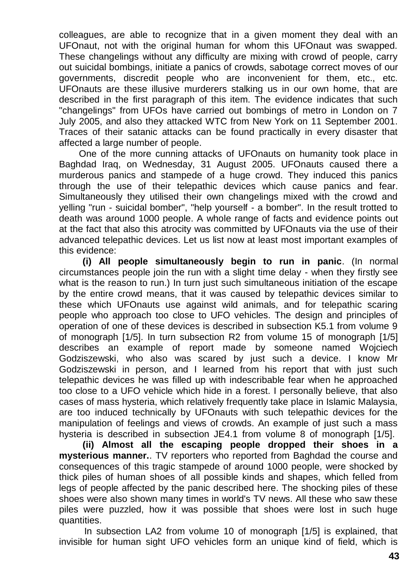colleagues, are able to recognize that in a given moment they deal with an UFOnaut, not with the original human for whom this UFOnaut was swapped. These changelings without any difficulty are mixing with crowd of people, carry out suicidal bombings, initiate a panics of crowds, sabotage correct moves of our governments, discredit people who are inconvenient for them, etc., etc. UFOnauts are these illusive murderers stalking us in our own home, that are described in the first paragraph of this item. The evidence indicates that such "changelings" from UFOs have carried out bombings of metro in London on 7 July 2005, and also they attacked WTC from New York on 11 September 2001. Traces of their satanic attacks can be found practically in every disaster that affected a large number of people.

One of the more cunning attacks of UFOnauts on humanity took place in Baghdad Iraq, on Wednesday, 31 August 2005. UFOnauts caused there a murderous panics and stampede of a huge crowd. They induced this panics through the use of their telepathic devices which cause panics and fear. Simultaneously they utilised their own changelings mixed with the crowd and yelling "run - suicidal bomber", "help yourself - a bomber". In the result trotted to death was around 1000 people. A whole range of facts and evidence points out at the fact that also this atrocity was committed by UFOnauts via the use of their advanced telepathic devices. Let us list now at least most important examples of this evidence:

**(i) All people simultaneously begin to run in panic**. (In normal circumstances people join the run with a slight time delay - when they firstly see what is the reason to run.) In turn just such simultaneous initiation of the escape by the entire crowd means, that it was caused by telepathic devices similar to these which UFOnauts use against wild animals, and for telepathic scaring people who approach too close to UFO vehicles. The design and principles of operation of one of these devices is described in subsection K5.1 from volume 9 of monograph [1/5]. In turn subsection R2 from volume 15 of monograph [1/5] describes an example of report made by someone named Wojciech Godziszewski, who also was scared by just such a device. I know Mr Godziszewski in person, and I learned from his report that with just such telepathic devices he was filled up with indescribable fear when he approached too close to a UFO vehicle which hide in a forest. I personally believe, that also cases of mass hysteria, which relatively frequently take place in Islamic Malaysia, are too induced technically by UFOnauts with such telepathic devices for the manipulation of feelings and views of crowds. An example of just such a mass hysteria is described in subsection JE4.1 from volume 8 of monograph [1/5].

**(ii) Almost all the escaping people dropped their shoes in a mysterious manner.**. TV reporters who reported from Baghdad the course and consequences of this tragic stampede of around 1000 people, were shocked by thick piles of human shoes of all possible kinds and shapes, which felled from legs of people affected by the panic described here. The shocking piles of these shoes were also shown many times in world's TV news. All these who saw these piles were puzzled, how it was possible that shoes were lost in such huge quantities.

In subsection LA2 from volume 10 of monograph [1/5] is explained, that invisible for human sight UFO vehicles form an unique kind of field, which is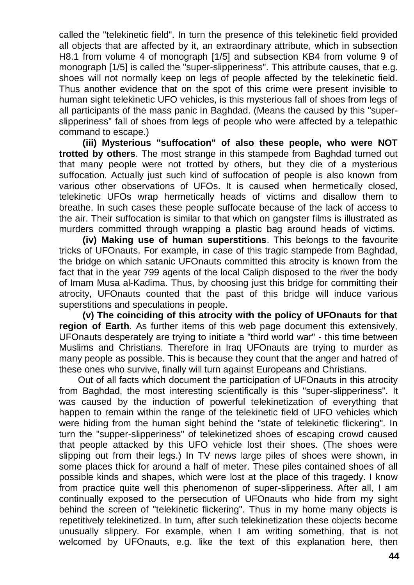called the "telekinetic field". In turn the presence of this telekinetic field provided all objects that are affected by it, an extraordinary attribute, which in subsection H8.1 from volume 4 of monograph [1/5] and subsection KB4 from volume 9 of monograph [1/5] is called the "super-slipperiness". This attribute causes, that e.g. shoes will not normally keep on legs of people affected by the telekinetic field. Thus another evidence that on the spot of this crime were present invisible to human sight telekinetic UFO vehicles, is this mysterious fall of shoes from legs of all participants of the mass panic in Baghdad. (Means the caused by this "superslipperiness" fall of shoes from legs of people who were affected by a telepathic command to escape.)

**(iii) Mysterious "suffocation" of also these people, who were NOT trotted by others**. The most strange in this stampede from Baghdad turned out that many people were not trotted by others, but they die of a mysterious suffocation. Actually just such kind of suffocation of people is also known from various other observations of UFOs. It is caused when hermetically closed, telekinetic UFOs wrap hermetically heads of victims and disallow them to breathe. In such cases these people suffocate because of the lack of access to the air. Their suffocation is similar to that which on gangster films is illustrated as murders committed through wrapping a plastic bag around heads of victims.

**(iv) Making use of human superstitions**. This belongs to the favourite tricks of UFOnauts. For example, in case of this tragic stampede from Baghdad, the bridge on which satanic UFOnauts committed this atrocity is known from the fact that in the year 799 agents of the local Caliph disposed to the river the body of Imam Musa al-Kadima. Thus, by choosing just this bridge for committing their atrocity, UFOnauts counted that the past of this bridge will induce various superstitions and speculations in people.

**(v) The coinciding of this atrocity with the policy of UFOnauts for that region of Earth**. As further items of this web page document this extensively, UFOnauts desperately are trying to initiate a "third world war" - this time between Muslims and Christians. Therefore in Iraq UFOnauts are trying to murder as many people as possible. This is because they count that the anger and hatred of these ones who survive, finally will turn against Europeans and Christians.

Out of all facts which document the participation of UFOnauts in this atrocity from Baghdad, the most interesting scientifically is this "super-slipperiness". It was caused by the induction of powerful telekinetization of everything that happen to remain within the range of the telekinetic field of UFO vehicles which were hiding from the human sight behind the "state of telekinetic flickering". In turn the "supper-slipperiness" of telekinetized shoes of escaping crowd caused that people attacked by this UFO vehicle lost their shoes. (The shoes were slipping out from their legs.) In TV news large piles of shoes were shown, in some places thick for around a half of meter. These piles contained shoes of all possible kinds and shapes, which were lost at the place of this tragedy. I know from practice quite well this phenomenon of super-slipperiness. After all, I am continually exposed to the persecution of UFOnauts who hide from my sight behind the screen of "telekinetic flickering". Thus in my home many objects is repetitively telekinetized. In turn, after such telekinetization these objects become unusually slippery. For example, when I am writing something, that is not welcomed by UFOnauts, e.g. like the text of this explanation here, then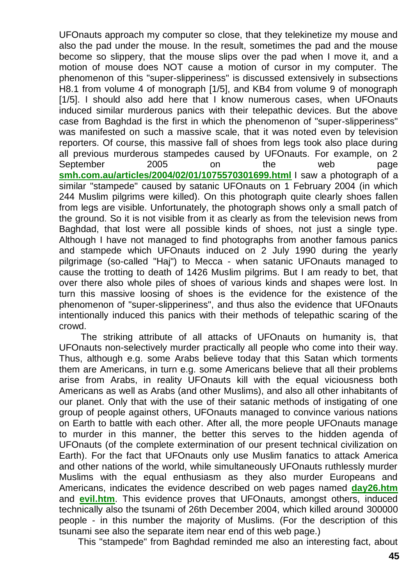UFOnauts approach my computer so close, that they telekinetize my mouse and also the pad under the mouse. In the result, sometimes the pad and the mouse become so slippery, that the mouse slips over the pad when I move it, and a motion of mouse does NOT cause a motion of cursor in my computer. The phenomenon of this "super-slipperiness" is discussed extensively in subsections H8.1 from volume 4 of monograph [1/5], and KB4 from volume 9 of monograph [1/5]. I should also add here that I know numerous cases, when UFOnauts induced similar murderous panics with their telepathic devices. But the above case from Baghdad is the first in which the phenomenon of "super-slipperiness" was manifested on such a massive scale, that it was noted even by television reporters. Of course, this massive fall of shoes from legs took also place during all previous murderous stampedes caused by UFOnauts. For example, on 2 September 2005 on the web page **[smh.com.au/articles/2004/02/01/1075570301699.html](http://www.smh.com.au/articles/2004/02/01/1075570301699.html)** I saw a photograph of a similar "stampede" caused by satanic UFOnauts on 1 February 2004 (in which 244 Muslim pilgrims were killed). On this photograph quite clearly shoes fallen from legs are visible. Unfortunately, the photograph shows only a small patch of the ground. So it is not visible from it as clearly as from the television news from Baghdad, that lost were all possible kinds of shoes, not just a single type. Although I have not managed to find photographs from another famous panics and stampede which UFOnauts induced on 2 July 1990 during the yearly pilgrimage (so-called "Haj") to Mecca - when satanic UFOnauts managed to cause the trotting to death of 1426 Muslim pilgrims. But I am ready to bet, that over there also whole piles of shoes of various kinds and shapes were lost. In turn this massive loosing of shoes is the evidence for the existence of the phenomenon of "super-slipperiness", and thus also the evidence that UFOnauts intentionally induced this panics with their methods of telepathic scaring of the crowd.

The striking attribute of all attacks of UFOnauts on humanity is, that UFOnauts non-selectively murder practically all people who come into their way. Thus, although e.g. some Arabs believe today that this Satan which torments them are Americans, in turn e.g. some Americans believe that all their problems arise from Arabs, in reality UFOnauts kill with the equal viciousness both Americans as well as Arabs (and other Muslims), and also all other inhabitants of our planet. Only that with the use of their satanic methods of instigating of one group of people against others, UFOnauts managed to convince various nations on Earth to battle with each other. After all, the more people UFOnauts manage to murder in this manner, the better this serves to the hidden agenda of UFOnauts (of the complete extermination of our present technical civilization on Earth). For the fact that UFOnauts only use Muslim fanatics to attack America and other nations of the world, while simultaneously UFOnauts ruthlessly murder Muslims with the equal enthusiasm as they also murder Europeans and Americans, indicates the evidence described on web pages named **[day26.htm](http://totalizm.com.pl/day26.htm)** and **[evil.htm](http://totalizm.com.pl/evil.htm)**. This evidence proves that UFOnauts, amongst others, induced technically also the tsunami of 26th December 2004, which killed around 300000 people - in this number the majority of Muslims. (For the description of this tsunami see also the separate item near end of this web page.)

This "stampede" from Baghdad reminded me also an interesting fact, about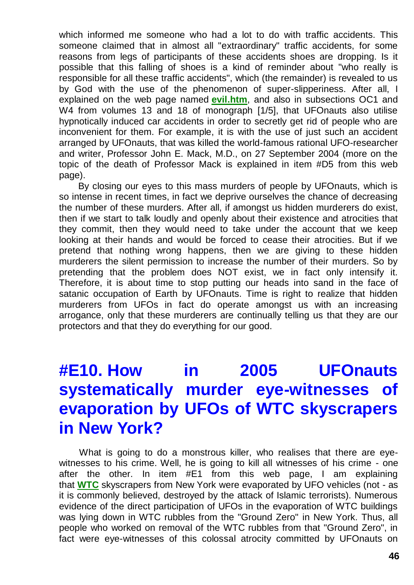which informed me someone who had a lot to do with traffic accidents. This someone claimed that in almost all "extraordinary" traffic accidents, for some reasons from legs of participants of these accidents shoes are dropping. Is it possible that this falling of shoes is a kind of reminder about "who really is responsible for all these traffic accidents", which (the remainder) is revealed to us by God with the use of the phenomenon of super-slipperiness. After all, I explained on the web page named **[evil.htm](http://totalizm.com.pl/evil.htm)**, and also in subsections OC1 and W4 from volumes 13 and 18 of monograph [1/5], that UFOnauts also utilise hypnotically induced car accidents in order to secretly get rid of people who are inconvenient for them. For example, it is with the use of just such an accident arranged by UFOnauts, that was killed the world-famous rational UFO-researcher and writer, Professor John E. Mack, M.D., on 27 September 2004 (more on the topic of the death of Professor Mack is explained in item #D5 from this web page).

By closing our eyes to this mass murders of people by UFOnauts, which is so intense in recent times, in fact we deprive ourselves the chance of decreasing the number of these murders. After all, if amongst us hidden murderers do exist, then if we start to talk loudly and openly about their existence and atrocities that they commit, then they would need to take under the account that we keep looking at their hands and would be forced to cease their atrocities. But if we pretend that nothing wrong happens, then we are giving to these hidden murderers the silent permission to increase the number of their murders. So by pretending that the problem does NOT exist, we in fact only intensify it. Therefore, it is about time to stop putting our heads into sand in the face of satanic occupation of Earth by UFOnauts. Time is right to realize that hidden murderers from UFOs in fact do operate amongst us with an increasing arrogance, only that these murderers are continually telling us that they are our protectors and that they do everything for our good.

# **#E10. How in 2005 UFOnauts systematically murder eye-witnesses of evaporation by UFOs of WTC skyscrapers in New York?**

What is going to do a monstrous killer, who realises that there are eyewitnesses to his crime. Well, he is going to kill all witnesses of his crime - one after the other. In item #E1 from this web page, I am explaining that **[WTC](http://totalizm.com.pl/wtc.htm)** skyscrapers from New York were evaporated by UFO vehicles (not - as it is commonly believed, destroyed by the attack of Islamic terrorists). Numerous evidence of the direct participation of UFOs in the evaporation of WTC buildings was lying down in WTC rubbles from the "Ground Zero" in New York. Thus, all people who worked on removal of the WTC rubbles from that "Ground Zero", in fact were eye-witnesses of this colossal atrocity committed by UFOnauts on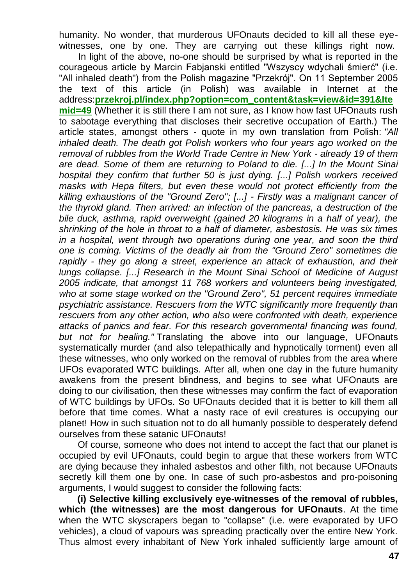humanity. No wonder, that murderous UFOnauts decided to kill all these eyewitnesses, one by one. They are carrying out these killings right now.

In light of the above, no-one should be surprised by what is reported in the courageous article by Marcin Fabjanski entitled "Wszyscy wdychali śmierć" (i.e. "All inhaled death") from the Polish magazine "Przekrój". On 11 September 2005 the text of this article (in Polish) was available in Internet at the address:**[przekroj.pl/index.php?option=com\\_content&task=view&id=391&Ite](http://www.przekroj.pl/index.php?option=com_content&task=view&id=391&Itemid=49) [mid=49](http://www.przekroj.pl/index.php?option=com_content&task=view&id=391&Itemid=49)** (Whether it is still there I am not sure, as I know how fast UFOnauts rush to sabotage everything that discloses their secretive occupation of Earth.) The article states, amongst others - quote in my own translation from Polish: *"All inhaled death. The death got Polish workers who four years ago worked on the removal of rubbles from the World Trade Centre in New York - already 19 of them are dead. Some of them are returning to Poland to die. [...] In the Mount Sinai hospital they confirm that further 50 is just dying. [...] Polish workers received masks with Hepa filters, but even these would not protect efficiently from the killing exhaustions of the "Ground Zero"; [...] - Firstly was a malignant cancer of the thyroid gland. Then arrived: an infection of the pancreas, a destruction of the bile duck, asthma, rapid overweight (gained 20 kilograms in a half of year), the shrinking of the hole in throat to a half of diameter, asbestosis. He was six times*  in a hospital, went through two operations during one year, and soon the third *one is coming. Victims of the deadly air from the "Ground Zero" sometimes die rapidly - they go along a street, experience an attack of exhaustion, and their lungs collapse. [...] Research in the Mount Sinai School of Medicine of August 2005 indicate, that amongst 11 768 workers and volunteers being investigated, who at some stage worked on the "Ground Zero", 51 percent requires immediate psychiatric assistance. Rescuers from the WTC significantly more frequently than rescuers from any other action, who also were confronted with death, experience attacks of panics and fear. For this research governmental financing was found, but not for healing."* Translating the above into our language, UFOnauts systematically murder (and also telepathically and hypnotically torment) even all these witnesses, who only worked on the removal of rubbles from the area where UFOs evaporated WTC buildings. After all, when one day in the future humanity awakens from the present blindness, and begins to see what UFOnauts are doing to our civilisation, then these witnesses may confirm the fact of evaporation of WTC buildings by UFOs. So UFOnauts decided that it is better to kill them all before that time comes. What a nasty race of evil creatures is occupying our planet! How in such situation not to do all humanly possible to desperately defend ourselves from these satanic UFOnauts!

Of course, someone who does not intend to accept the fact that our planet is occupied by evil UFOnauts, could begin to argue that these workers from WTC are dying because they inhaled asbestos and other filth, not because UFOnauts secretly kill them one by one. In case of such pro-asbestos and pro-poisoning arguments, I would suggest to consider the following facts:

**(i) Selective killing exclusively eye-witnesses of the removal of rubbles, which (the witnesses) are the most dangerous for UFOnauts**. At the time when the WTC skyscrapers began to "collapse" (i.e. were evaporated by UFO vehicles), a cloud of vapours was spreading practically over the entire New York. Thus almost every inhabitant of New York inhaled sufficiently large amount of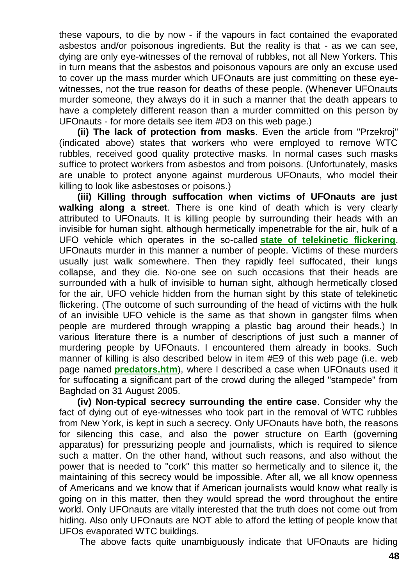these vapours, to die by now - if the vapours in fact contained the evaporated asbestos and/or poisonous ingredients. But the reality is that - as we can see, dying are only eye-witnesses of the removal of rubbles, not all New Yorkers. This in turn means that the asbestos and poisonous vapours are only an excuse used to cover up the mass murder which UFOnauts are just committing on these eyewitnesses, not the true reason for deaths of these people. (Whenever UFOnauts murder someone, they always do it in such a manner that the death appears to have a completely different reason than a murder committed on this person by UFOnauts - for more details see item #D3 on this web page.)

**(ii) The lack of protection from masks**. Even the article from "Przekroj" (indicated above) states that workers who were employed to remove WTC rubbles, received good quality protective masks. In normal cases such masks suffice to protect workers from asbestos and from poisons. (Unfortunately, masks are unable to protect anyone against murderous UFOnauts, who model their killing to look like asbestoses or poisons.)

**(iii) Killing through suffocation when victims of UFOnauts are just walking along a street**. There is one kind of death which is very clearly attributed to UFOnauts. It is killing people by surrounding their heads with an invisible for human sight, although hermetically impenetrable for the air, hulk of a UFO vehicle which operates in the so-called **[state of telekinetic flickering](http://totalizm.com.pl/dipolar_gravity.htm)**. UFOnauts murder in this manner a number of people. Victims of these murders usually just walk somewhere. Then they rapidly feel suffocated, their lungs collapse, and they die. No-one see on such occasions that their heads are surrounded with a hulk of invisible to human sight, although hermetically closed for the air, UFO vehicle hidden from the human sight by this state of telekinetic flickering. (The outcome of such surrounding of the head of victims with the hulk of an invisible UFO vehicle is the same as that shown in gangster films when people are murdered through wrapping a plastic bag around their heads.) In various literature there is a number of descriptions of just such a manner of murdering people by UFOnauts. I encountered them already in books. Such manner of killing is also described below in item #E9 of this web page (i.e. web page named **[predators.htm](http://totalizm.com.pl/predators.htm)**), where I described a case when UFOnauts used it for suffocating a significant part of the crowd during the alleged "stampede" from Baghdad on 31 August 2005.

**(iv) Non-typical secrecy surrounding the entire case**. Consider why the fact of dying out of eye-witnesses who took part in the removal of WTC rubbles from New York, is kept in such a secrecy. Only UFOnauts have both, the reasons for silencing this case, and also the power structure on Earth (governing apparatus) for pressurizing people and journalists, which is required to silence such a matter. On the other hand, without such reasons, and also without the power that is needed to "cork" this matter so hermetically and to silence it, the maintaining of this secrecy would be impossible. After all, we all know openness of Americans and we know that if American journalists would know what really is going on in this matter, then they would spread the word throughout the entire world. Only UFOnauts are vitally interested that the truth does not come out from hiding. Also only UFOnauts are NOT able to afford the letting of people know that UFOs evaporated WTC buildings.

The above facts quite unambiguously indicate that UFOnauts are hiding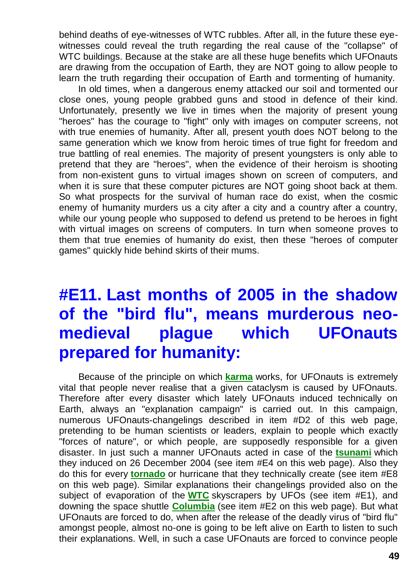behind deaths of eye-witnesses of WTC rubbles. After all, in the future these eyewitnesses could reveal the truth regarding the real cause of the "collapse" of WTC buildings. Because at the stake are all these huge benefits which UFOnauts are drawing from the occupation of Earth, they are NOT going to allow people to learn the truth regarding their occupation of Earth and tormenting of humanity.

In old times, when a dangerous enemy attacked our soil and tormented our close ones, young people grabbed guns and stood in defence of their kind. Unfortunately, presently we live in times when the majority of present young "heroes" has the courage to "fight" only with images on computer screens, not with true enemies of humanity. After all, present youth does NOT belong to the same generation which we know from heroic times of true fight for freedom and true battling of real enemies. The majority of present youngsters is only able to pretend that they are "heroes", when the evidence of their heroism is shooting from non-existent guns to virtual images shown on screen of computers, and when it is sure that these computer pictures are NOT going shoot back at them. So what prospects for the survival of human race do exist, when the cosmic enemy of humanity murders us a city after a city and a country after a country, while our young people who supposed to defend us pretend to be heroes in fight with virtual images on screens of computers. In turn when someone proves to them that true enemies of humanity do exist, then these "heroes of computer games" quickly hide behind skirts of their mums.

## **#E11. Last months of 2005 in the shadow of the "bird flu", means murderous neomedieval plague which UFOnauts prepared for humanity:**

Because of the principle on which **[karma](http://totalizm.com.pl/karma.htm)** works, for UFOnauts is extremely vital that people never realise that a given cataclysm is caused by UFOnauts. Therefore after every disaster which lately UFOnauts induced technically on Earth, always an "explanation campaign" is carried out. In this campaign, numerous UFOnauts-changelings described in item #D2 of this web page, pretending to be human scientists or leaders, explain to people which exactly "forces of nature", or which people, are supposedly responsible for a given disaster. In just such a manner UFOnauts acted in case of the **[tsunami](http://totalizm.com.pl/day26.htm)** which they induced on 26 December 2004 (see item #E4 on this web page). Also they do this for every **[tornado](http://totalizm.com.pl/tornado.htm)** or hurricane that they technically create (see item #E8 on this web page). Similar explanations their changelings provided also on the subject of evaporation of the **[WTC](http://totalizm.com.pl/wtc.htm)** skyscrapers by UFOs (see item #E1), and downing the space shuttle **[Columbia](http://totalizm.com.pl/shuttle.htm)** (see item #E2 on this web page). But what UFOnauts are forced to do, when after the release of the deadly virus of "bird flu" amongst people, almost no-one is going to be left alive on Earth to listen to such their explanations. Well, in such a case UFOnauts are forced to convince people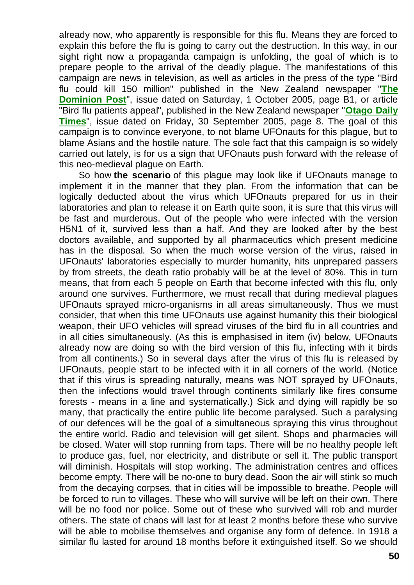already now, who apparently is responsible for this flu. Means they are forced to explain this before the flu is going to carry out the destruction. In this way, in our sight right now a propaganda campaign is unfolding, the goal of which is to prepare people to the arrival of the deadly plague. The manifestations of this campaign are news in television, as well as articles in the press of the type "Bird flu could kill 150 million" published in the New Zealand newspaper "**[The](http://www.dompost.co.nz/)  [Dominion Post](http://www.dompost.co.nz/)**", issue dated on Saturday, 1 October 2005, page B1, or article "Bird flu patients appeal", published in the New Zealand newspaper "**[Otago Daily](http://www.odt.co.nz/)  [Times](http://www.odt.co.nz/)**", issue dated on Friday, 30 September 2005, page 8. The goal of this campaign is to convince everyone, to not blame UFOnauts for this plague, but to blame Asians and the hostile nature. The sole fact that this campaign is so widely carried out lately, is for us a sign that UFOnauts push forward with the release of this neo-medieval plague on Earth.

So how **the scenario** of this plague may look like if UFOnauts manage to implement it in the manner that they plan. From the information that can be logically deducted about the virus which UFOnauts prepared for us in their laboratories and plan to release it on Earth quite soon, it is sure that this virus will be fast and murderous. Out of the people who were infected with the version H5N1 of it, survived less than a half. And they are looked after by the best doctors available, and supported by all pharmaceutics which present medicine has in the disposal. So when the much worse version of the virus, raised in UFOnauts' laboratories especially to murder humanity, hits unprepared passers by from streets, the death ratio probably will be at the level of 80%. This in turn means, that from each 5 people on Earth that become infected with this flu, only around one survives. Furthermore, we must recall that during medieval plagues UFOnauts sprayed micro-organisms in all areas simultaneously. Thus we must consider, that when this time UFOnauts use against humanity this their biological weapon, their UFO vehicles will spread viruses of the bird flu in all countries and in all cities simultaneously. (As this is emphasised in item (iv) below, UFOnauts already now are doing so with the bird version of this flu, infecting with it birds from all continents.) So in several days after the virus of this flu is released by UFOnauts, people start to be infected with it in all corners of the world. (Notice that if this virus is spreading naturally, means was NOT sprayed by UFOnauts, then the infections would travel through continents similarly like fires consume forests - means in a line and systematically.) Sick and dying will rapidly be so many, that practically the entire public life become paralysed. Such a paralysing of our defences will be the goal of a simultaneous spraying this virus throughout the entire world. Radio and television will get silent. Shops and pharmacies will be closed. Water will stop running from taps. There will be no healthy people left to produce gas, fuel, nor electricity, and distribute or sell it. The public transport will diminish. Hospitals will stop working. The administration centres and offices become empty. There will be no-one to bury dead. Soon the air will stink so much from the decaying corpses, that in cities will be impossible to breathe. People will be forced to run to villages. These who will survive will be left on their own. There will be no food nor police. Some out of these who survived will rob and murder others. The state of chaos will last for at least 2 months before these who survive will be able to mobilise themselves and organise any form of defence. In 1918 a similar flu lasted for around 18 months before it extinguished itself. So we should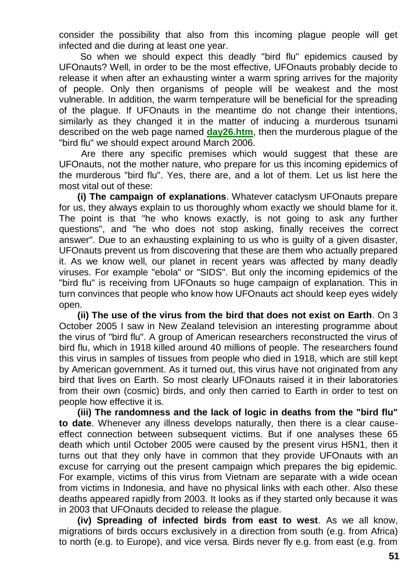consider the possibility that also from this incoming plague people will get infected and die during at least one year.

So when we should expect this deadly "bird flu" epidemics caused by UFOnauts? Well, in order to be the most effective, UFOnauts probably decide to release it when after an exhausting winter a warm spring arrives for the majority of people. Only then organisms of people will be weakest and the most vulnerable. In addition, the warm temperature will be beneficial for the spreading of the plague. If UFOnauts in the meantime do not change their intentions, similarly as they changed it in the matter of inducing a murderous tsunami described on the web page named **[day26.htm](http://totalizm.com.pl/day26.htm)**, then the murderous plague of the "bird flu" we should expect around March 2006.

Are there any specific premises which would suggest that these are UFOnauts, not the mother nature, who prepare for us this incoming epidemics of the murderous "bird flu". Yes, there are, and a lot of them. Let us list here the most vital out of these:

**(i) The campaign of explanations**. Whatever cataclysm UFOnauts prepare for us, they always explain to us thoroughly whom exactly we should blame for it. The point is that "he who knows exactly, is not going to ask any further questions", and "he who does not stop asking, finally receives the correct answer". Due to an exhausting explaining to us who is guilty of a given disaster, UFOnauts prevent us from discovering that these are them who actually prepared it. As we know well, our planet in recent years was affected by many deadly viruses. For example "ebola" or "SIDS". But only the incoming epidemics of the "bird flu" is receiving from UFOnauts so huge campaign of explanation. This in turn convinces that people who know how UFOnauts act should keep eyes widely open.

**(ii) The use of the virus from the bird that does not exist on Earth**. On 3 October 2005 I saw in New Zealand television an interesting programme about the virus of "bird flu". A group of American researchers reconstructed the virus of bird flu, which in 1918 killed around 40 millions of people. The researchers found this virus in samples of tissues from people who died in 1918, which are still kept by American government. As it turned out, this virus have not originated from any bird that lives on Earth. So most clearly UFOnauts raised it in their laboratories from their own (cosmic) birds, and only then carried to Earth in order to test on people how effective it is.

**(iii) The randomness and the lack of logic in deaths from the "bird flu" to date**. Whenever any illness develops naturally, then there is a clear causeeffect connection between subsequent victims. But if one analyses these 65 death which until October 2005 were caused by the present virus H5N1, then it turns out that they only have in common that they provide UFOnauts with an excuse for carrying out the present campaign which prepares the big epidemic. For example, victims of this virus from Vietnam are separate with a wide ocean from victims in Indonesia, and have no physical links with each other. Also these deaths appeared rapidly from 2003. It looks as if they started only because it was in 2003 that UFOnauts decided to release the plague.

**(iv) Spreading of infected birds from east to west**. As we all know, migrations of birds occurs exclusively in a direction from south (e.g. from Africa) to north (e.g. to Europe), and vice versa. Birds never fly e.g. from east (e.g. from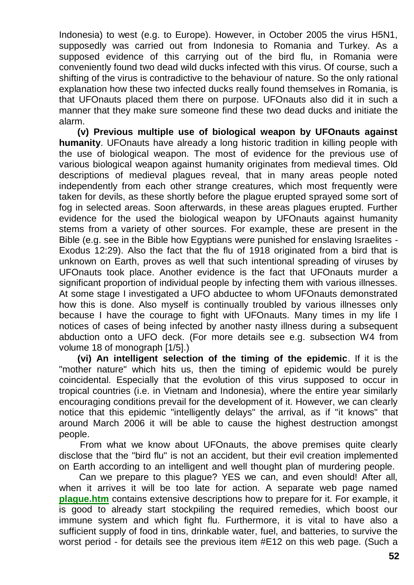Indonesia) to west (e.g. to Europe). However, in October 2005 the virus H5N1, supposedly was carried out from Indonesia to Romania and Turkey. As a supposed evidence of this carrying out of the bird flu, in Romania were conveniently found two dead wild ducks infected with this virus. Of course, such a shifting of the virus is contradictive to the behaviour of nature. So the only rational explanation how these two infected ducks really found themselves in Romania, is that UFOnauts placed them there on purpose. UFOnauts also did it in such a manner that they make sure someone find these two dead ducks and initiate the alarm.

**(v) Previous multiple use of biological weapon by UFOnauts against humanity**. UFOnauts have already a long historic tradition in killing people with the use of biological weapon. The most of evidence for the previous use of various biological weapon against humanity originates from medieval times. Old descriptions of medieval plagues reveal, that in many areas people noted independently from each other strange creatures, which most frequently were taken for devils, as these shortly before the plague erupted sprayed some sort of fog in selected areas. Soon afterwards, in these areas plagues erupted. Further evidence for the used the biological weapon by UFOnauts against humanity stems from a variety of other sources. For example, these are present in the Bible (e.g. see in the Bible how Egyptians were punished for enslaving Israelites - Exodus 12:29). Also the fact that the flu of 1918 originated from a bird that is unknown on Earth, proves as well that such intentional spreading of viruses by UFOnauts took place. Another evidence is the fact that UFOnauts murder a significant proportion of individual people by infecting them with various illnesses. At some stage I investigated a UFO abductee to whom UFOnauts demonstrated how this is done. Also myself is continually troubled by various illnesses only because I have the courage to fight with UFOnauts. Many times in my life I notices of cases of being infected by another nasty illness during a subsequent abduction onto a UFO deck. (For more details see e.g. subsection W4 from volume 18 of monograph [1/5].)

**(vi) An intelligent selection of the timing of the epidemic**. If it is the "mother nature" which hits us, then the timing of epidemic would be purely coincidental. Especially that the evolution of this virus supposed to occur in tropical countries (i.e. in Vietnam and Indonesia), where the entire year similarly encouraging conditions prevail for the development of it. However, we can clearly notice that this epidemic "intelligently delays" the arrival, as if "it knows" that around March 2006 it will be able to cause the highest destruction amongst people.

From what we know about UFOnauts, the above premises quite clearly disclose that the "bird flu" is not an accident, but their evil creation implemented on Earth according to an intelligent and well thought plan of murdering people.

Can we prepare to this plague? YES we can, and even should! After all, when it arrives it will be too late for action. A separate web page named **[plague.htm](http://totalizm.com.pl/plague.htm)** contains extensive descriptions how to prepare for it. For example, it is good to already start stockpiling the required remedies, which boost our immune system and which fight flu. Furthermore, it is vital to have also a sufficient supply of food in tins, drinkable water, fuel, and batteries, to survive the worst period - for details see the previous item #E12 on this web page. (Such a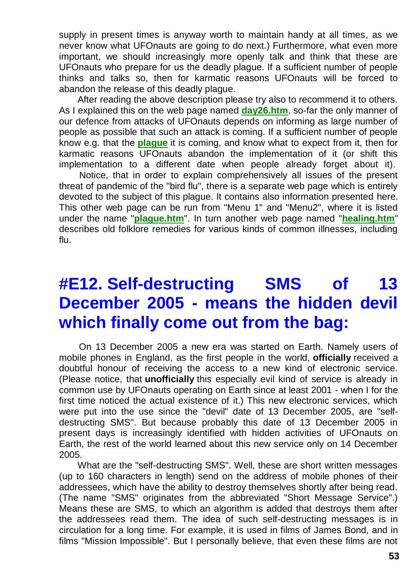supply in present times is anyway worth to maintain handy at all times, as we never know what UFOnauts are going to do next.) Furthermore, what even more important, we should increasingly more openly talk and think that these are UFOnauts who prepare for us the deadly plague. If a sufficient number of people thinks and talks so, then for karmatic reasons UFOnauts will be forced to abandon the release of this deadly plague.

After reading the above description please try also to recommend it to others. As I explained this on the web page named **[day26.htm](http://totalizm.com.pl/day26.htm)**, so-far the only manner of our defence from attacks of UFOnauts depends on informing as large number of people as possible that such an attack is coming. If a sufficient number of people know e.g. that the **[plague](http://totalizm.com.pl/plague.htm)** it is coming, and know what to expect from it, then for karmatic reasons UFOnauts abandon the implementation of it (or shift this implementation to a different date when people already forget about it).

Notice, that in order to explain comprehensively all issues of the present threat of pandemic of the "bird flu", there is a separate web page which is entirely devoted to the subject of this plague. It contains also information presented here. This other web page can be run from "Menu 1" and "Menu2", where it is listed under the name "**[plague.htm](http://totalizm.com.pl/plague.htm)**". In turn another web page named "**[healing.htm](http://totalizm.com.pl/healing.htm)**" describes old folklore remedies for various kinds of common illnesses, including flu.

## **#E12. Self-destructing SMS of 13 December 2005 - means the hidden devil which finally come out from the bag:**

On 13 December 2005 a new era was started on Earth. Namely users of mobile phones in England, as the first people in the world, **officially** received a doubtful honour of receiving the access to a new kind of electronic service. (Please notice, that **unofficially** this especially evil kind of service is already in common use by UFOnauts operating on Earth since at least 2001 - when I for the first time noticed the actual existence of it.) This new electronic services, which were put into the use since the "devil" date of 13 December 2005, are "selfdestructing SMS". But because probably this date of 13 December 2005 in present days is increasingly identified with hidden activities of UFOnauts on Earth, the rest of the world learned about this new service only on 14 December 2005.

What are the "self-destructing SMS". Well, these are short written messages (up to 160 characters in length) send on the address of mobile phones of their addressees, which have the ability to destroy themselves shortly after being read. (The name "SMS" originates from the abbreviated "Short Message Service".) Means these are SMS, to which an algorithm is added that destroys them after the addressees read them. The idea of such self-destructing messages is in circulation for a long time. For example, it is used in films of James Bond, and in films "Mission Impossible". But I personally believe, that even these films are not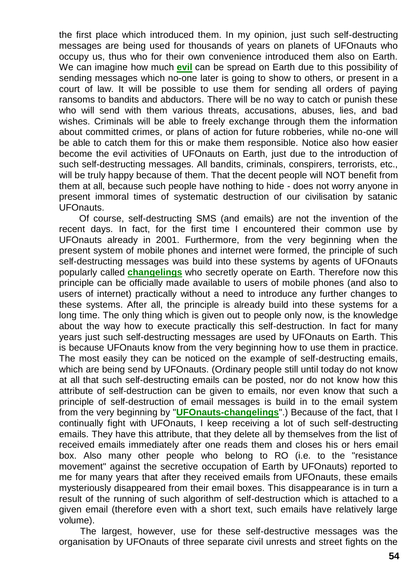the first place which introduced them. In my opinion, just such self-destructing messages are being used for thousands of years on planets of UFOnauts who occupy us, thus who for their own convenience introduced them also on Earth. We can imagine how much **[evil](http://totalizm.com.pl/evil.htm)** can be spread on Earth due to this possibility of sending messages which no-one later is going to show to others, or present in a court of law. It will be possible to use them for sending all orders of paying ransoms to bandits and abductors. There will be no way to catch or punish these who will send with them various threats, accusations, abuses, lies, and bad wishes. Criminals will be able to freely exchange through them the information about committed crimes, or plans of action for future robberies, while no-one will be able to catch them for this or make them responsible. Notice also how easier become the evil activities of UFOnauts on Earth, just due to the introduction of such self-destructing messages. All bandits, criminals, conspirers, terrorists, etc., will be truly happy because of them. That the decent people will NOT benefit from them at all, because such people have nothing to hide - does not worry anyone in present immoral times of systematic destruction of our civilisation by satanic UFOnauts.

Of course, self-destructing SMS (and emails) are not the invention of the recent days. In fact, for the first time I encountered their common use by UFOnauts already in 2001. Furthermore, from the very beginning when the present system of mobile phones and internet were formed, the principle of such self-destructing messages was build into these systems by agents of UFOnauts popularly called **[changelings](http://totalizm.com.pl/changelings.htm)** who secretly operate on Earth. Therefore now this principle can be officially made available to users of mobile phones (and also to users of internet) practically without a need to introduce any further changes to these systems. After all, the principle is already build into these systems for a long time. The only thing which is given out to people only now, is the knowledge about the way how to execute practically this self-destruction. In fact for many years just such self-destructing messages are used by UFOnauts on Earth. This is because UFOnauts know from the very beginning how to use them in practice. The most easily they can be noticed on the example of self-destructing emails, which are being send by UFOnauts. (Ordinary people still until today do not know at all that such self-destructing emails can be posted, nor do not know how this attribute of self-destruction can be given to emails, nor even know that such a principle of self-destruction of email messages is build in to the email system from the very beginning by "**[UFOnauts-changelings](http://totalizm.com.pl/changelings.htm)**".) Because of the fact, that I continually fight with UFOnauts, I keep receiving a lot of such self-destructing emails. They have this attribute, that they delete all by themselves from the list of received emails immediately after one reads them and closes his or hers email box. Also many other people who belong to RO (i.e. to the "resistance movement" against the secretive occupation of Earth by UFOnauts) reported to me for many years that after they received emails from UFOnauts, these emails mysteriously disappeared from their email boxes. This disappearance is in turn a result of the running of such algorithm of self-destruction which is attached to a given email (therefore even with a short text, such emails have relatively large volume).

The largest, however, use for these self-destructive messages was the organisation by UFOnauts of three separate civil unrests and street fights on the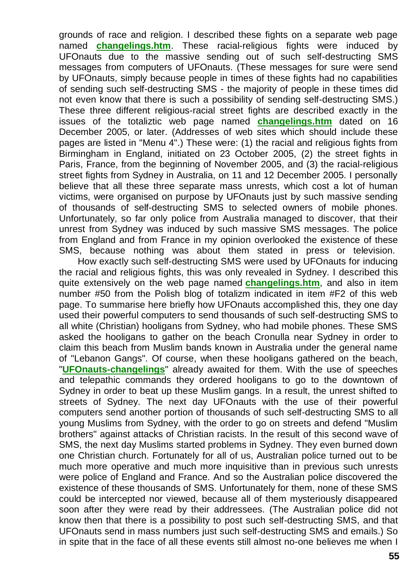grounds of race and religion. I described these fights on a separate web page named **[changelings.htm](http://totalizm.com.pl/changelings.htm)**. These racial-religious fights were induced by UFOnauts due to the massive sending out of such self-destructing SMS messages from computers of UFOnauts. (These messages for sure were send by UFOnauts, simply because people in times of these fights had no capabilities of sending such self-destructing SMS - the majority of people in these times did not even know that there is such a possibility of sending self-destructing SMS.) These three different religious-racial street fights are described exactly in the issues of the totaliztic web page named **[changelings.htm](http://totalizm.com.pl/changelings.htm)** dated on 16 December 2005, or later. (Addresses of web sites which should include these pages are listed in "Menu 4".) These were: (1) the racial and religious fights from Birmingham in England, initiated on 23 October 2005, (2) the street fights in Paris, France, from the beginning of November 2005, and (3) the racial-religious street fights from Sydney in Australia, on 11 and 12 December 2005. I personally believe that all these three separate mass unrests, which cost a lot of human victims, were organised on purpose by UFOnauts just by such massive sending of thousands of self-destructing SMS to selected owners of mobile phones. Unfortunately, so far only police from Australia managed to discover, that their unrest from Sydney was induced by such massive SMS messages. The police from England and from France in my opinion overlooked the existence of these SMS, because nothing was about them stated in press or television.

How exactly such self-destructing SMS were used by UFOnauts for inducing the racial and religious fights, this was only revealed in Sydney. I described this quite extensively on the web page named **[changelings.htm](http://totalizm.com.pl/changelings.htm)**, and also in item number #50 from the Polish blog of totalizm indicated in item #F2 of this web page. To summarise here briefly how UFOnauts accomplished this, they one day used their powerful computers to send thousands of such self-destructing SMS to all white (Christian) hooligans from Sydney, who had mobile phones. These SMS asked the hooligans to gather on the beach Cronulla near Sydney in order to claim this beach from Muslim bands known in Australia under the general name of "Lebanon Gangs". Of course, when these hooligans gathered on the beach, "**[UFOnauts-changelings](http://totalizm.com.pl/changelings.htm)**" already awaited for them. With the use of speeches and telepathic commands they ordered hooligans to go to the downtown of Sydney in order to beat up these Muslim gangs. In a result, the unrest shifted to streets of Sydney. The next day UFOnauts with the use of their powerful computers send another portion of thousands of such self-destructing SMS to all young Muslims from Sydney, with the order to go on streets and defend "Muslim brothers" against attacks of Christian racists. In the result of this second wave of SMS, the next day Muslims started problems in Sydney. They even burned down one Christian church. Fortunately for all of us, Australian police turned out to be much more operative and much more inquisitive than in previous such unrests were police of England and France. And so the Australian police discovered the existence of these thousands of SMS. Unfortunately for them, none of these SMS could be intercepted nor viewed, because all of them mysteriously disappeared soon after they were read by their addressees. (The Australian police did not know then that there is a possibility to post such self-destructing SMS, and that UFOnauts send in mass numbers just such self-destructing SMS and emails.) So in spite that in the face of all these events still almost no-one believes me when I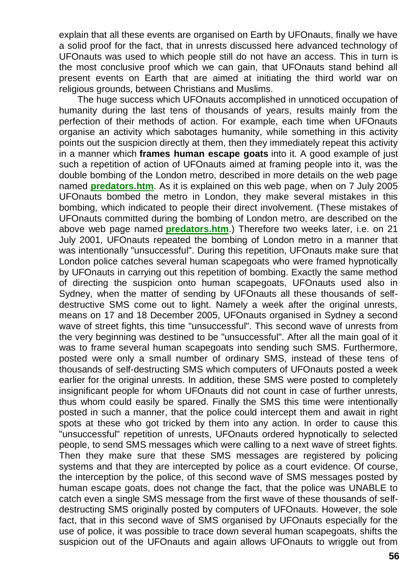explain that all these events are organised on Earth by UFOnauts, finally we have a solid proof for the fact, that in unrests discussed here advanced technology of UFOnauts was used to which people still do not have an access. This in turn is the most conclusive proof which we can gain, that UFOnauts stand behind all present events on Earth that are aimed at initiating the third world war on religious grounds, between Christians and Muslims.

The huge success which UFOnauts accomplished in unnoticed occupation of humanity during the last tens of thousands of years, results mainly from the perfection of their methods of action. For example, each time when UFOnauts organise an activity which sabotages humanity, while something in this activity points out the suspicion directly at them, then they immediately repeat this activity in a manner which **frames human escape goats** into it. A good example of just such a repetition of action of UFOnauts aimed at framing people into it, was the double bombing of the London metro, described in more details on the web page named **[predators.htm](http://totalizm.com.pl/predators.htm)**. As it is explained on this web page, when on 7 July 2005 UFOnauts bombed the metro in London, they make several mistakes in this bombing, which indicated to people their direct involvement. (These mistakes of UFOnauts committed during the bombing of London metro, are described on the above web page named **[predators.htm](http://totalizm.com.pl/predators.htm)**.) Therefore two weeks later, i.e. on 21 July 2001, UFOnauts repeated the bombing of London metro in a manner that was intentionally "unsuccessful". During this repetition, UFOnauts make sure that London police catches several human scapegoats who were framed hypnotically by UFOnauts in carrying out this repetition of bombing. Exactly the same method of directing the suspicion onto human scapegoats, UFOnauts used also in Sydney, when the matter of sending by UFOnauts all these thousands of selfdestructive SMS come out to light. Namely a week after the original unrests, means on 17 and 18 December 2005, UFOnauts organised in Sydney a second wave of street fights, this time "unsuccessful". This second wave of unrests from the very beginning was destined to be "unsuccessful". After all the main goal of it was to frame several human scapegoats into sending such SMS. Furthermore, posted were only a small number of ordinary SMS, instead of these tens of thousands of self-destructing SMS which computers of UFOnauts posted a week earlier for the original unrests. In addition, these SMS were posted to completely insignificant people for whom UFOnauts did not count in case of further unrests, thus whom could easily be spared. Finally the SMS this time were intentionally posted in such a manner, that the police could intercept them and await in right spots at these who got tricked by them into any action. In order to cause this "unsuccessful" repetition of unrests, UFOnauts ordered hypnotically to selected people, to send SMS messages which were calling to a next wave of street fights. Then they make sure that these SMS messages are registered by policing systems and that they are intercepted by police as a court evidence. Of course, the interception by the police, of this second wave of SMS messages posted by human escape goats, does not change the fact, that the police was UNABLE to catch even a single SMS message from the first wave of these thousands of selfdestructing SMS originally posted by computers of UFOnauts. However, the sole fact, that in this second wave of SMS organised by UFOnauts especially for the use of police, it was possible to trace down several human scapegoats, shifts the suspicion out of the UFOnauts and again allows UFOnauts to wriggle out from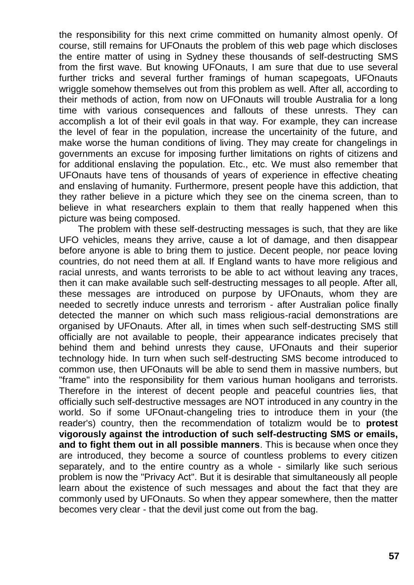the responsibility for this next crime committed on humanity almost openly. Of course, still remains for UFOnauts the problem of this web page which discloses the entire matter of using in Sydney these thousands of self-destructing SMS from the first wave. But knowing UFOnauts, I am sure that due to use several further tricks and several further framings of human scapegoats, UFOnauts wriggle somehow themselves out from this problem as well. After all, according to their methods of action, from now on UFOnauts will trouble Australia for a long time with various consequences and fallouts of these unrests. They can accomplish a lot of their evil goals in that way. For example, they can increase the level of fear in the population, increase the uncertainity of the future, and make worse the human conditions of living. They may create for changelings in governments an excuse for imposing further limitations on rights of citizens and for additional enslaving the population. Etc., etc. We must also remember that UFOnauts have tens of thousands of years of experience in effective cheating and enslaving of humanity. Furthermore, present people have this addiction, that they rather believe in a picture which they see on the cinema screen, than to believe in what researchers explain to them that really happened when this picture was being composed.

The problem with these self-destructing messages is such, that they are like UFO vehicles, means they arrive, cause a lot of damage, and then disappear before anyone is able to bring them to justice. Decent people, nor peace loving countries, do not need them at all. If England wants to have more religious and racial unrests, and wants terrorists to be able to act without leaving any traces, then it can make available such self-destructing messages to all people. After all, these messages are introduced on purpose by UFOnauts, whom they are needed to secretly induce unrests and terrorism - after Australian police finally detected the manner on which such mass religious-racial demonstrations are organised by UFOnauts. After all, in times when such self-destructing SMS still officially are not available to people, their appearance indicates precisely that behind them and behind unrests they cause, UFOnauts and their superior technology hide. In turn when such self-destructing SMS become introduced to common use, then UFOnauts will be able to send them in massive numbers, but "frame" into the responsibility for them various human hooligans and terrorists. Therefore in the interest of decent people and peaceful countries lies, that officially such self-destructive messages are NOT introduced in any country in the world. So if some UFOnaut-changeling tries to introduce them in your (the reader's) country, then the recommendation of totalizm would be to **protest vigorously against the introduction of such self-destructing SMS or emails, and to fight them out in all possible manners**. This is because when once they are introduced, they become a source of countless problems to every citizen separately, and to the entire country as a whole - similarly like such serious problem is now the "Privacy Act". But it is desirable that simultaneously all people learn about the existence of such messages and about the fact that they are commonly used by UFOnauts. So when they appear somewhere, then the matter becomes very clear - that the devil just come out from the bag.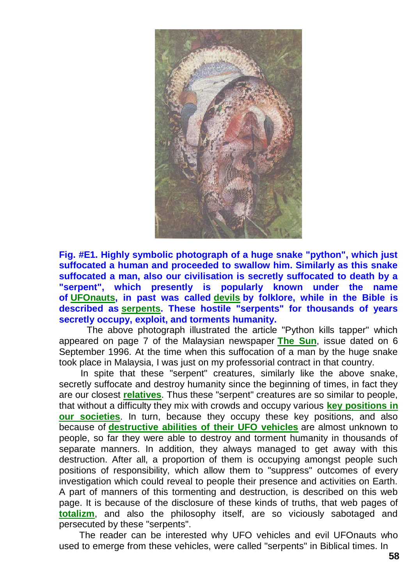

**Fig. #E1. Highly symbolic photograph of a huge snake "python", which just suffocated a human and proceeded to swallow him. Similarly as this snake suffocated a man, also our civilisation is secretly suffocated to death by a "serpent", which presently is popularly known under the name of [UFOnauts,](http://totalizm.com.pl/ufo.htm) in past was called [devils](http://totalizm.com.pl/god.htm) by folklore, while in the Bible is described as [serpents.](http://totalizm.com.pl/changelings.htm) These hostile "serpents" for thousands of years secretly occupy, exploit, and torments humanity.**

The above photograph illustrated the article "Python kills tapper" which appeared on page 7 of the Malaysian newspaper **[The Sun](http://www.thesundaily.com/)**, issue dated on 6 September 1996. At the time when this suffocation of a man by the huge snake took place in Malaysia, I was just on my professorial contract in that country.

In spite that these "serpent" creatures, similarly like the above snake, secretly suffocate and destroy humanity since the beginning of times, in fact they are our closest **[relatives](http://totalizm.com.pl/evil.htm)**. Thus these "serpent" creatures are so similar to people, that without a difficulty they mix with crowds and occupy various **[key positions in](http://totalizm.com.pl/changelings.htm)  [our societies](http://totalizm.com.pl/changelings.htm)**. In turn, because they occupy these key positions, and also because of **[destructive abilities of their UFO vehicles](http://totalizm.com.pl/military_magnocraft.htm)** are almost unknown to people, so far they were able to destroy and torment humanity in thousands of separate manners. In addition, they always managed to get away with this destruction. After all, a proportion of them is occupying amongst people such positions of responsibility, which allow them to "suppress" outcomes of every investigation which could reveal to people their presence and activities on Earth. A part of manners of this tormenting and destruction, is described on this web page. It is because of the disclosure of these kinds of truths, that web pages of **[totalizm](http://totalizm.com.pl/totalizm.htm)**, and also the philosophy itself, are so viciously sabotaged and persecuted by these "serpents".

The reader can be interested why UFO vehicles and evil UFOnauts who used to emerge from these vehicles, were called "serpents" in Biblical times. In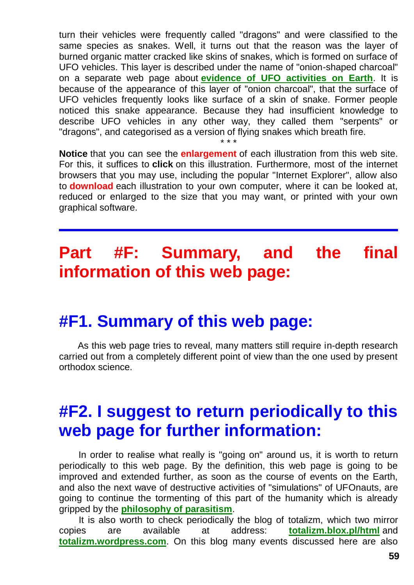turn their vehicles were frequently called "dragons" and were classified to the same species as snakes. Well, it turns out that the reason was the layer of burned organic matter cracked like skins of snakes, which is formed on surface of UFO vehicles. This layer is described under the name of "onion-shaped charcoal" on a separate web page about **[evidence of UFO activities on Earth](http://totalizm.com.pl/evidence.htm)**. It is because of the appearance of this layer of "onion charcoal", that the surface of UFO vehicles frequently looks like surface of a skin of snake. Former people noticed this snake appearance. Because they had insufficient knowledge to describe UFO vehicles in any other way, they called them "serpents" or "dragons", and categorised as a version of flying snakes which breath fire.

**Notice** that you can see the **enlargement** of each illustration from this web site. For this, it suffices to **click** on this illustration. Furthermore, most of the internet browsers that you may use, including the popular "Internet Explorer", allow also to **download** each illustration to your own computer, where it can be looked at, reduced or enlarged to the size that you may want, or printed with your own graphical software.

\* \* \*

# **Part #F: Summary, and the final information of this web page:**

#### **#F1. Summary of this web page:**

As this web page tries to reveal, many matters still require in-depth research carried out from a completely different point of view than the one used by present orthodox science.

## **#F2. I suggest to return periodically to this web page for further information:**

In order to realise what really is "going on" around us, it is worth to return periodically to this web page. By the definition, this web page is going to be improved and extended further, as soon as the course of events on the Earth, and also the next wave of destructive activities of "simulations" of UFOnauts, are going to continue the tormenting of this part of the humanity which is already gripped by the **[philosophy of parasitism](http://totalizm.com.pl/parasitism.htm)**.

It is also worth to check periodically the blog of totalizm, which two mirror copies are available at address: **[totalizm.blox.pl/html](http://totalizm.blox.pl/html/)** and **[totalizm.wordpress.com](http://totalizm.wordpress.com/)**. On this blog many events discussed here are also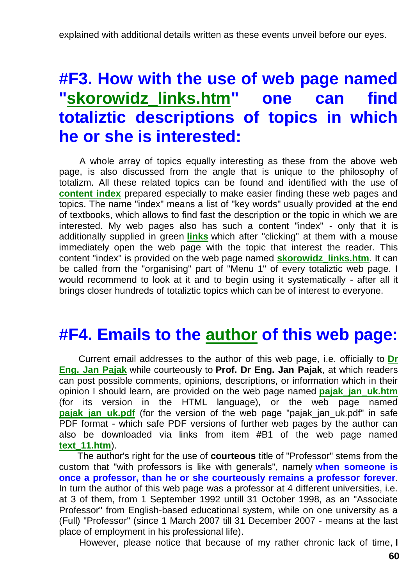# **#F3. How with the use of web page named ["skorowidz\\_links.htm"](http://totalizm.com.pl/skorowidz_links.htm) one can find totaliztic descriptions of topics in which he or she is interested:**

A whole array of topics equally interesting as these from the above web page, is also discussed from the angle that is unique to the philosophy of totalizm. All these related topics can be found and identified with the use of **[content index](http://totalizm.com.pl/skorowidz_links.htm)** prepared especially to make easier finding these web pages and topics. The name "index" means a list of "key words" usually provided at the end of textbooks, which allows to find fast the description or the topic in which we are interested. My web pages also has such a content "index" - only that it is additionally supplied in green **[links](http://totalizm.com.pl/katowice_uk.htm)** which after "clicking" at them with a mouse immediately open the web page with the topic that interest the reader. This content "index" is provided on the web page named **[skorowidz\\_links.htm](http://totalizm.com.pl/skorowidz_links.htm)**. It can be called from the "organising" part of "Menu 1" of every totaliztic web page. I would recommend to look at it and to begin using it systematically - after all it brings closer hundreds of totaliztic topics which can be of interest to everyone.

#### **#F4. Emails to the [author](http://totalizm.com.pl/pajak_jan_uk.htm) of this web page:**

Current email addresses to the author of this web page, i.e. officially to **[Dr](http://images.google.co.nz/images?hl=en&q=Jan+Pajak&btnG=Search+Images&gbv=1)  [Eng. Jan Pajak](http://images.google.co.nz/images?hl=en&q=Jan+Pajak&btnG=Search+Images&gbv=1)** while courteously to **Prof. Dr Eng. Jan Pajak**, at which readers can post possible comments, opinions, descriptions, or information which in their opinion I should learn, are provided on the web page named **[pajak\\_jan\\_uk.htm](http://totalizm.com.pl/pajak_jan_uk.htm)** (for its version in the HTML language), or the web page named **pajak jan\_uk.pdf** (for the version of the web page "[pajak\\_jan\\_uk.pdf](http://totalizm.com.pl/pajak_jan_uk.pdf)" in safe PDF format - which safe PDF versions of further web pages by the author can also be downloaded via links from item #B1 of the web page named **[text\\_11.htm](http://totalizm.com.pl/text_11.htm)**).

The author's right for the use of **courteous** title of "Professor" stems from the custom that "with professors is like with generals", namely **when someone is once a professor, than he or she courteously remains a professor forever**. In turn the author of this web page was a professor at 4 different universities, i.e. at 3 of them, from 1 September 1992 untill 31 October 1998, as an "Associate Professor" from English-based educational system, while on one university as a (Full) "Professor" (since 1 March 2007 till 31 December 2007 - means at the last place of employment in his professional life).

However, please notice that because of my rather chronic lack of time, **I**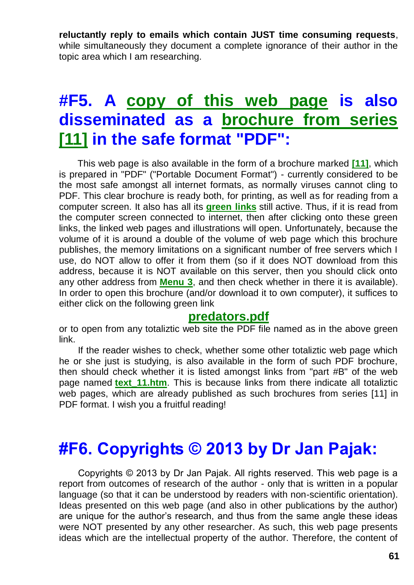**reluctantly reply to emails which contain JUST time consuming requests**, while simultaneously they document a complete ignorance of their author in the topic area which I am researching.

## **#F5. A [copy of this web page](http://totalizm.com.pl/predators.pdf) is also disseminated as a [brochure from series](http://totalizm.com.pl/text_11.htm)  [\[11\]](http://totalizm.com.pl/text_11.htm) in the safe format "PDF":**

This web page is also available in the form of a brochure marked **[\[11\]](http://totalizm.com.pl/text_11.htm)**, which is prepared in "PDF" ("Portable Document Format") - currently considered to be the most safe amongst all internet formats, as normally viruses cannot cling to PDF. This clear brochure is ready both, for printing, as well as for reading from a computer screen. It also has all its **[green links](http://totalizm.com.pl/tornado.htm)** still active. Thus, if it is read from the computer screen connected to internet, then after clicking onto these green links, the linked web pages and illustrations will open. Unfortunately, because the volume of it is around a double of the volume of web page which this brochure publishes, the memory limitations on a significant number of free servers which I use, do NOT allow to offer it from them (so if it does NOT download from this address, because it is NOT available on this server, then you should click onto any other address from **[Menu 3](http://totalizm.com.pl/menu.htm)**, and then check whether in there it is available). In order to open this brochure (and/or download it to own computer), it suffices to either click on the following green link

#### **[predators.pdf](http://totalizm.com.pl/predators.pdf)**

or to open from any totaliztic web site the PDF file named as in the above green link.

If the reader wishes to check, whether some other totaliztic web page which he or she just is studying, is also available in the form of such PDF brochure, then should check whether it is listed amongst links from "part #B" of the web page named **[text\\_11.htm](http://totalizm.com.pl/text_11.htm)**. This is because links from there indicate all totaliztic web pages, which are already published as such brochures from series [11] in PDF format. I wish you a fruitful reading!

#### **#F6. Copyrights © 2013 by Dr Jan Pajak:**

Copyrights © 2013 by Dr Jan Pajak. All rights reserved. This web page is a report from outcomes of research of the author - only that is written in a popular language (so that it can be understood by readers with non-scientific orientation). Ideas presented on this web page (and also in other publications by the author) are unique for the author's research, and thus from the same angle these ideas were NOT presented by any other researcher. As such, this web page presents ideas which are the intellectual property of the author. Therefore, the content of